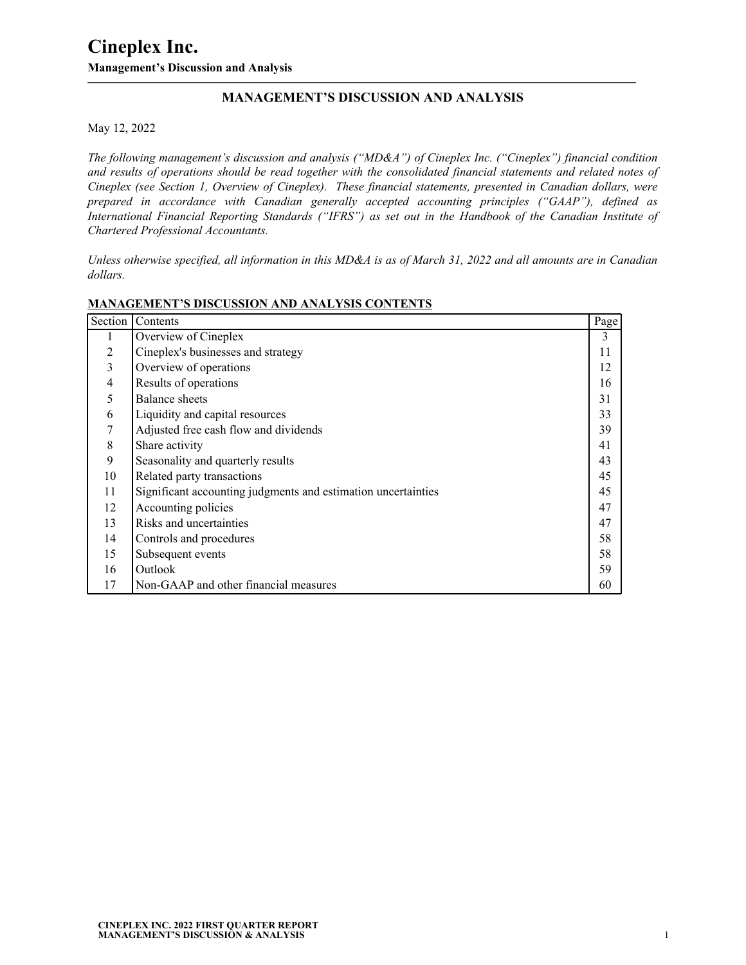## **MANAGEMENT'S DISCUSSION AND ANALYSIS**

**—————————————————————————————————————————————**

May 12, 2022

*The following management's discussion and analysis ("MD&A") of Cineplex Inc. ("Cineplex") financial condition and results of operations should be read together with the consolidated financial statements and related notes of Cineplex (see Section 1, Overview of Cineplex). These financial statements, presented in Canadian dollars, were prepared in accordance with Canadian generally accepted accounting principles ("GAAP"), defined as International Financial Reporting Standards ("IFRS") as set out in the Handbook of the Canadian Institute of Chartered Professional Accountants.* 

*Unless otherwise specified, all information in this MD&A is as of March 31, 2022 and all amounts are in Canadian dollars.*

| Section | Contents                                                      | Page |
|---------|---------------------------------------------------------------|------|
| л.      | Overview of Cineplex                                          | 3    |
| 2       | Cineplex's businesses and strategy                            | 11   |
| 3       | Overview of operations                                        | 12   |
| 4       | Results of operations                                         | 16   |
| 5       | Balance sheets                                                | 31   |
| 6       | Liquidity and capital resources                               | 33   |
| 7       | Adjusted free cash flow and dividends                         | 39   |
| 8       | Share activity                                                | 41   |
| 9       | Seasonality and quarterly results                             | 43   |
| 10      | Related party transactions                                    | 45   |
| 11      | Significant accounting judgments and estimation uncertainties | 45   |
| 12      | Accounting policies                                           | 47   |
| 13      | Risks and uncertainties                                       | 47   |
| 14      | Controls and procedures                                       | 58   |
| 15      | Subsequent events                                             | 58   |
| 16      | Outlook                                                       | 59   |
| 17      | Non-GAAP and other financial measures                         | 60   |

#### **MANAGEMENT'S DISCUSSION AND ANALYSIS CONTENTS**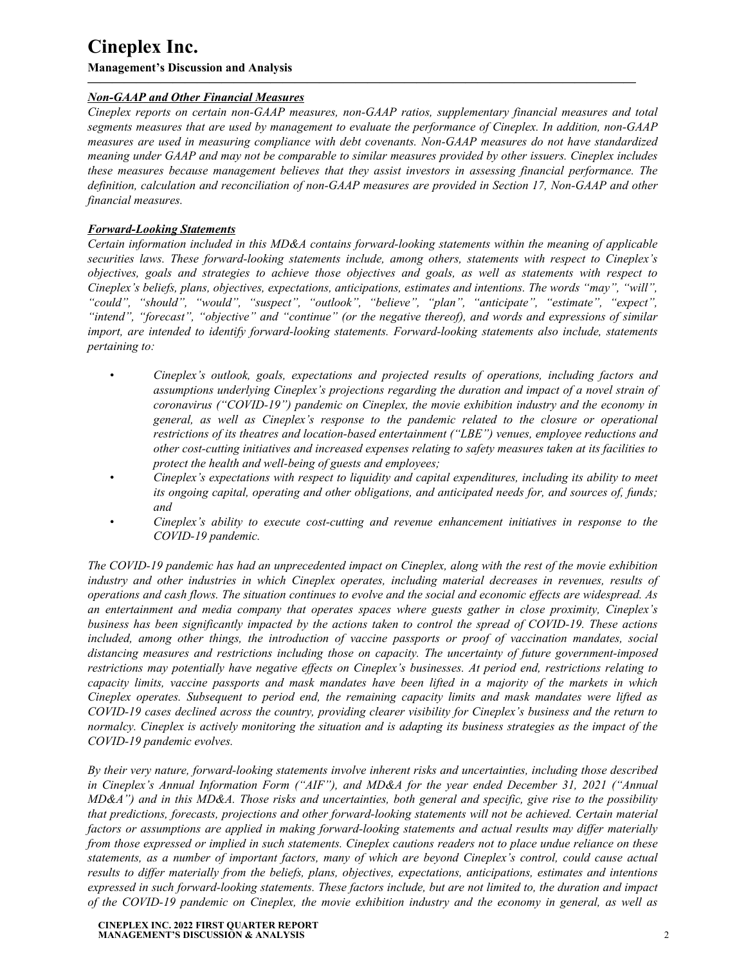**Management's Discussion and Analysis**

## *Non-GAAP and Other Financial Measures*

*Cineplex reports on certain non-GAAP measures, non-GAAP ratios, supplementary financial measures and total segments measures that are used by management to evaluate the performance of Cineplex. In addition, non-GAAP measures are used in measuring compliance with debt covenants. Non-GAAP measures do not have standardized meaning under GAAP and may not be comparable to similar measures provided by other issuers. Cineplex includes these measures because management believes that they assist investors in assessing financial performance. The definition, calculation and reconciliation of non-GAAP measures are provided in Section 17, Non-GAAP and other financial measures.*

**—————————————————————————————————————————————**

## *Forward-Looking Statements*

*Certain information included in this MD&A contains forward-looking statements within the meaning of applicable securities laws. These forward-looking statements include, among others, statements with respect to Cineplex's objectives, goals and strategies to achieve those objectives and goals, as well as statements with respect to Cineplex's beliefs, plans, objectives, expectations, anticipations, estimates and intentions. The words "may", "will", "could", "should", "would", "suspect", "outlook", "believe", "plan", "anticipate", "estimate", "expect", "intend", "forecast", "objective" and "continue" (or the negative thereof), and words and expressions of similar import, are intended to identify forward-looking statements. Forward-looking statements also include, statements pertaining to:*

- *• Cineplex's outlook, goals, expectations and projected results of operations, including factors and assumptions underlying Cineplex's projections regarding the duration and impact of a novel strain of coronavirus ("COVID-19") pandemic on Cineplex, the movie exhibition industry and the economy in general, as well as Cineplex's response to the pandemic related to the closure or operational restrictions of its theatres and location-based entertainment ("LBE") venues, employee reductions and other cost-cutting initiatives and increased expenses relating to safety measures taken at its facilities to protect the health and well-being of guests and employees;*
- *• Cineplex's expectations with respect to liquidity and capital expenditures, including its ability to meet its ongoing capital, operating and other obligations, and anticipated needs for, and sources of, funds; and*
- *• Cineplex's ability to execute cost-cutting and revenue enhancement initiatives in response to the COVID-19 pandemic.*

*The COVID-19 pandemic has had an unprecedented impact on Cineplex, along with the rest of the movie exhibition industry and other industries in which Cineplex operates, including material decreases in revenues, results of operations and cash flows. The situation continues to evolve and the social and economic effects are widespread. As an entertainment and media company that operates spaces where guests gather in close proximity, Cineplex's business has been significantly impacted by the actions taken to control the spread of COVID-19. These actions included, among other things, the introduction of vaccine passports or proof of vaccination mandates, social distancing measures and restrictions including those on capacity. The uncertainty of future government-imposed restrictions may potentially have negative effects on Cineplex's businesses. At period end, restrictions relating to capacity limits, vaccine passports and mask mandates have been lifted in a majority of the markets in which Cineplex operates. Subsequent to period end, the remaining capacity limits and mask mandates were lifted as COVID-19 cases declined across the country, providing clearer visibility for Cineplex's business and the return to normalcy. Cineplex is actively monitoring the situation and is adapting its business strategies as the impact of the COVID-19 pandemic evolves.*

*By their very nature, forward-looking statements involve inherent risks and uncertainties, including those described in Cineplex's Annual Information Form ("AIF"), and MD&A for the year ended December 31, 2021 ("Annual MD&A") and in this MD&A. Those risks and uncertainties, both general and specific, give rise to the possibility that predictions, forecasts, projections and other forward-looking statements will not be achieved. Certain material factors or assumptions are applied in making forward-looking statements and actual results may differ materially from those expressed or implied in such statements. Cineplex cautions readers not to place undue reliance on these statements, as a number of important factors, many of which are beyond Cineplex's control, could cause actual results to differ materially from the beliefs, plans, objectives, expectations, anticipations, estimates and intentions expressed in such forward-looking statements. These factors include, but are not limited to, the duration and impact of the COVID-19 pandemic on Cineplex, the movie exhibition industry and the economy in general, as well as*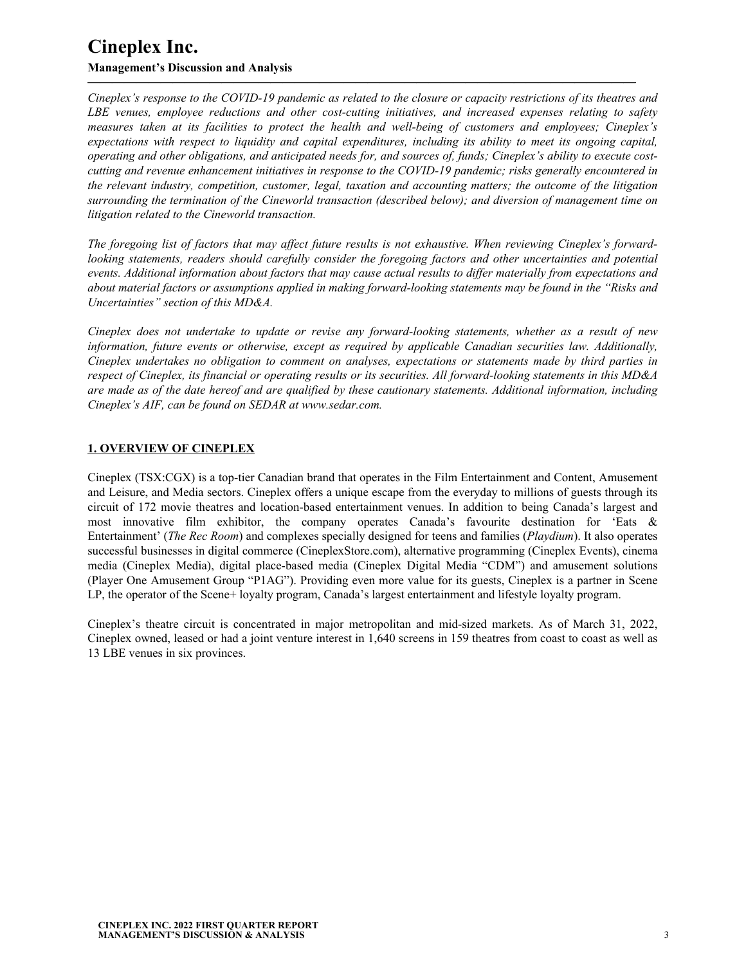*Cineplex's response to the COVID-19 pandemic as related to the closure or capacity restrictions of its theatres and LBE venues, employee reductions and other cost-cutting initiatives, and increased expenses relating to safety measures taken at its facilities to protect the health and well-being of customers and employees; Cineplex's expectations with respect to liquidity and capital expenditures, including its ability to meet its ongoing capital, operating and other obligations, and anticipated needs for, and sources of, funds; Cineplex's ability to execute costcutting and revenue enhancement initiatives in response to the COVID-19 pandemic; risks generally encountered in the relevant industry, competition, customer, legal, taxation and accounting matters; the outcome of the litigation surrounding the termination of the Cineworld transaction (described below); and diversion of management time on litigation related to the Cineworld transaction.* 

<span id="page-2-0"></span>**—————————————————————————————————————————————**

*The foregoing list of factors that may affect future results is not exhaustive. When reviewing Cineplex's forwardlooking statements, readers should carefully consider the foregoing factors and other uncertainties and potential events. Additional information about factors that may cause actual results to differ materially from expectations and about material factors or assumptions applied in making forward-looking statements may be found in the "Risks and Uncertainties" section of this MD&A.* 

*Cineplex does not undertake to update or revise any forward-looking statements, whether as a result of new information, future events or otherwise, except as required by applicable Canadian securities law. Additionally, Cineplex undertakes no obligation to comment on analyses, expectations or statements made by third parties in respect of Cineplex, its financial or operating results or its securities. All forward-looking statements in this MD&A are made as of the date hereof and are qualified by these cautionary statements. Additional information, including Cineplex's AIF, can be found on SEDAR at www.sedar.com.*

### **1. OVERVIEW OF CINEPLEX**

Cineplex (TSX:CGX) is a top-tier Canadian brand that operates in the Film Entertainment and Content, Amusement and Leisure, and Media sectors. Cineplex offers a unique escape from the everyday to millions of guests through its circuit of 172 movie theatres and location-based entertainment venues. In addition to being Canada's largest and most innovative film exhibitor, the company operates Canada's favourite destination for 'Eats & Entertainment' (*The Rec Room*) and complexes specially designed for teens and families (*Playdium*). It also operates successful businesses in digital commerce (CineplexStore.com), alternative programming (Cineplex Events), cinema media (Cineplex Media), digital place-based media (Cineplex Digital Media "CDM") and amusement solutions (Player One Amusement Group "P1AG"). Providing even more value for its guests, Cineplex is a partner in Scene LP, the operator of the Scene+ loyalty program, Canada's largest entertainment and lifestyle loyalty program.

Cineplex's theatre circuit is concentrated in major metropolitan and mid-sized markets. As of March 31, 2022, Cineplex owned, leased or had a joint venture interest in 1,640 screens in 159 theatres from coast to coast as well as 13 LBE venues in six provinces.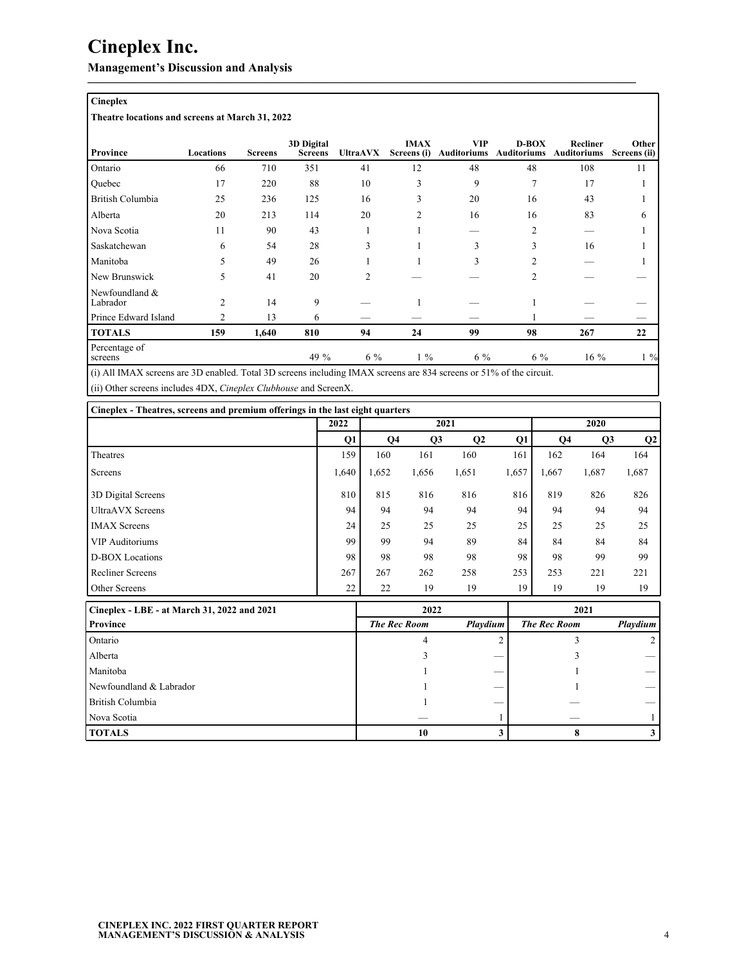**Management's Discussion and Analysis**

## **Cineplex**

**Theatre locations and screens at March 31, 2022**

| <b>Province</b>            | Locations      | <b>Screens</b> | 3D Digital<br><b>Screens</b> | <b>UltraAVX</b> | <b>IMAX</b><br>Screens (i) | <b>VIP</b><br><b>Auditoriums</b> | $D-BOX$<br><b>Auditoriums</b> | Recliner<br><b>Auditoriums</b> | Other<br>Screens (ii) |
|----------------------------|----------------|----------------|------------------------------|-----------------|----------------------------|----------------------------------|-------------------------------|--------------------------------|-----------------------|
| Ontario                    | 66             | 710            | 351                          | 41              | 12                         | 48                               | 48                            | 108                            | 11                    |
| Quebec                     | 17             | 220            | 88                           | 10              | 3                          | 9                                | $\overline{7}$                | 17                             |                       |
| British Columbia           | 25             | 236            | 125                          | 16              | 3                          | 20                               | 16                            | 43                             |                       |
| Alberta                    | 20             | 213            | 114                          | 20              | $\overline{2}$             | 16                               | 16                            | 83                             |                       |
| Nova Scotia                | 11             | 90             | 43                           |                 |                            |                                  | $\overline{2}$                |                                |                       |
| Saskatchewan               | 6              | 54             | 28                           | 3               |                            | 3                                | 3                             | 16                             |                       |
| Manitoba                   | 5              | 49             | 26                           |                 |                            | 3                                | 2                             |                                |                       |
| New Brunswick              | 5              | 41             | 20                           | $\mathfrak{D}$  |                            |                                  | $\overline{c}$                |                                |                       |
| Newfoundland &<br>Labrador | $\overline{c}$ | 14             | 9                            |                 |                            |                                  |                               |                                |                       |
| Prince Edward Island       | $\overline{2}$ | 13             | 6                            |                 |                            |                                  |                               |                                |                       |
| <b>TOTALS</b>              | 159            | 1,640          | 810                          | 94              | 24                         | 99                               | 98                            | 267                            | 22                    |
| Percentage of<br>screens   |                |                | 49 %                         | $6\%$           | $1\%$                      | $6\%$                            | $6\%$                         | $16\%$                         | $1\%$                 |

**—————————————————————————————————————————————**

(i) All IMAX screens are 3D enabled. Total 3D screens including IMAX screens are 834 screens or 51% of the circuit. (ii) Other screens includes 4DX, *Cineplex Clubhouse* and ScreenX.

|                                             | 2022  |                | 2021  |                |       | 2020  |       |                |  |
|---------------------------------------------|-------|----------------|-------|----------------|-------|-------|-------|----------------|--|
|                                             | Q1    | Q <sub>4</sub> | Q3    | Q <sub>2</sub> | Q1    | Q4    | Q3    | Q <sub>2</sub> |  |
| Theatres                                    | 159   | 160            | 161   | 160            | 161   | 162   | 164   | 164            |  |
| Screens                                     | 1,640 | 1,652          | 1,656 | 1,651          | 1,657 | 1,667 | 1,687 | 1,687          |  |
| 3D Digital Screens                          | 810   | 815            | 816   | 816            | 816   | 819   | 826   | 826            |  |
| <b>UltraAVX</b> Screens                     | 94    | 94             | 94    | 94             | 94    | 94    | 94    | 94             |  |
| <b>IMAX Screens</b>                         | 24    | 25             | 25    | 25             | 25    | 25    | 25    | 25             |  |
| <b>VIP Auditoriums</b>                      | 99    | 99             | 94    | 89             | 84    | 84    | 84    | 84             |  |
| D-BOX Locations                             | 98    | 98             | 98    | 98             | 98    | 98    | 99    | 99             |  |
| Recliner Screens                            | 267   | 267            | 262   | 258            | 253   | 253   | 221   | 221            |  |
| Other Screens                               | 22    | 22             | 19    | 19             | 19    | 19    | 19    | 19             |  |
| Cineplex - LBE - at March 31, 2022 and 2021 |       |                | 2022  |                |       |       | 2021  |                |  |

| Cineplex - LBE - at March 31, 2022 and 2021 | 2022                |          | 2021                |          |
|---------------------------------------------|---------------------|----------|---------------------|----------|
| <b>Province</b>                             | <b>The Rec Room</b> | Playdium | <b>The Rec Room</b> | Playdium |
| Ontario                                     |                     |          |                     |          |
| l Alberta                                   |                     |          |                     |          |
| Manitoba                                    |                     |          |                     |          |
| Newfoundland & Labrador                     |                     |          |                     |          |
| British Columbia                            |                     |          |                     |          |
| Nova Scotia                                 |                     |          |                     |          |
| <b>TOTALS</b>                               | 10                  |          |                     |          |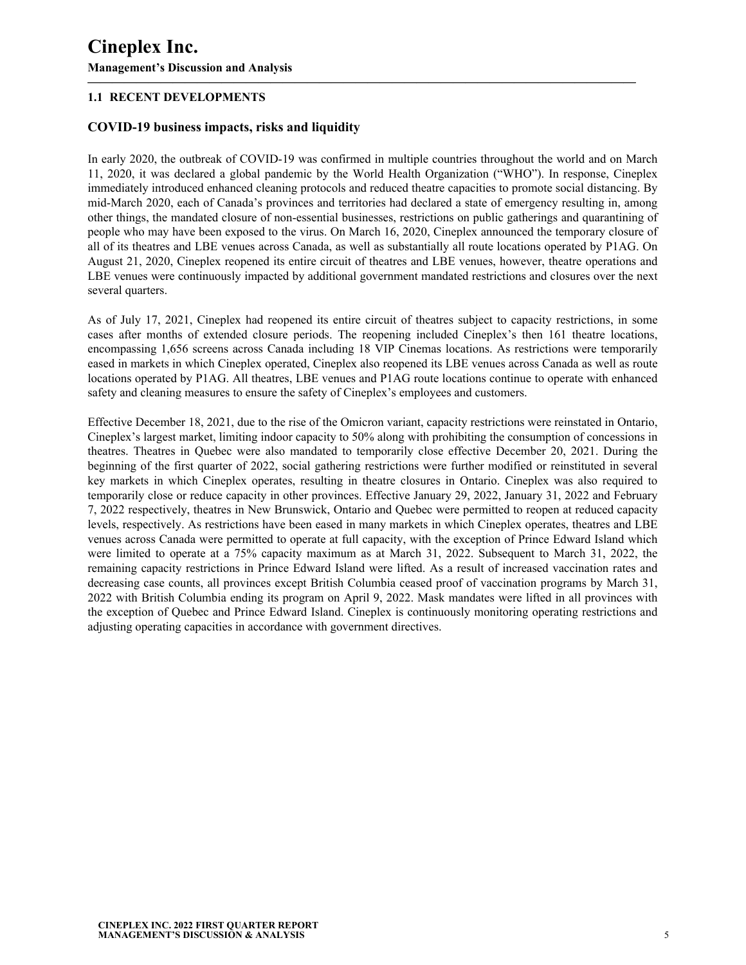## **1.1 RECENT DEVELOPMENTS**

## **COVID-19 business impacts, risks and liquidity**

In early 2020, the outbreak of COVID-19 was confirmed in multiple countries throughout the world and on March 11, 2020, it was declared a global pandemic by the World Health Organization ("WHO"). In response, Cineplex immediately introduced enhanced cleaning protocols and reduced theatre capacities to promote social distancing. By mid-March 2020, each of Canada's provinces and territories had declared a state of emergency resulting in, among other things, the mandated closure of non-essential businesses, restrictions on public gatherings and quarantining of people who may have been exposed to the virus. On March 16, 2020, Cineplex announced the temporary closure of all of its theatres and LBE venues across Canada, as well as substantially all route locations operated by P1AG. On August 21, 2020, Cineplex reopened its entire circuit of theatres and LBE venues, however, theatre operations and LBE venues were continuously impacted by additional government mandated restrictions and closures over the next several quarters.

**—————————————————————————————————————————————**

As of July 17, 2021, Cineplex had reopened its entire circuit of theatres subject to capacity restrictions, in some cases after months of extended closure periods. The reopening included Cineplex's then 161 theatre locations, encompassing 1,656 screens across Canada including 18 VIP Cinemas locations. As restrictions were temporarily eased in markets in which Cineplex operated, Cineplex also reopened its LBE venues across Canada as well as route locations operated by P1AG. All theatres, LBE venues and P1AG route locations continue to operate with enhanced safety and cleaning measures to ensure the safety of Cineplex's employees and customers.

Effective December 18, 2021, due to the rise of the Omicron variant, capacity restrictions were reinstated in Ontario, Cineplex's largest market, limiting indoor capacity to 50% along with prohibiting the consumption of concessions in theatres. Theatres in Quebec were also mandated to temporarily close effective December 20, 2021. During the beginning of the first quarter of 2022, social gathering restrictions were further modified or reinstituted in several key markets in which Cineplex operates, resulting in theatre closures in Ontario. Cineplex was also required to temporarily close or reduce capacity in other provinces. Effective January 29, 2022, January 31, 2022 and February 7, 2022 respectively, theatres in New Brunswick, Ontario and Quebec were permitted to reopen at reduced capacity levels, respectively. As restrictions have been eased in many markets in which Cineplex operates, theatres and LBE venues across Canada were permitted to operate at full capacity, with the exception of Prince Edward Island which were limited to operate at a 75% capacity maximum as at March 31, 2022. Subsequent to March 31, 2022, the remaining capacity restrictions in Prince Edward Island were lifted. As a result of increased vaccination rates and decreasing case counts, all provinces except British Columbia ceased proof of vaccination programs by March 31, 2022 with British Columbia ending its program on April 9, 2022. Mask mandates were lifted in all provinces with the exception of Quebec and Prince Edward Island. Cineplex is continuously monitoring operating restrictions and adjusting operating capacities in accordance with government directives.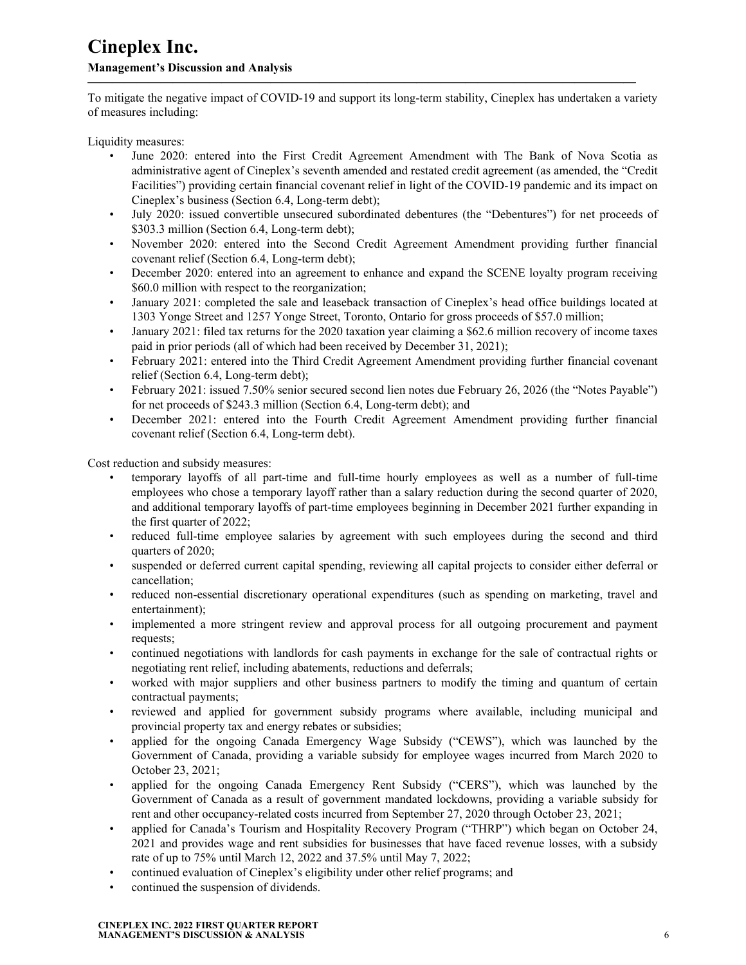To mitigate the negative impact of COVID-19 and support its long-term stability, Cineplex has undertaken a variety of measures including:

**—————————————————————————————————————————————**

Liquidity measures:

- June 2020: entered into the First Credit Agreement Amendment with The Bank of Nova Scotia as administrative agent of Cineplex's seventh amended and restated credit agreement (as amended, the "Credit Facilities") providing certain financial covenant relief in light of the COVID-19 pandemic and its impact on Cineplex's business (Section 6.4, Long-term debt);
- July 2020: issued convertible unsecured subordinated debentures (the "Debentures") for net proceeds of \$303.3 million (Section 6.4, Long-term debt);
- November 2020: entered into the Second Credit Agreement Amendment providing further financial covenant relief (Section 6.4, Long-term debt);
- December 2020: entered into an agreement to enhance and expand the SCENE loyalty program receiving \$60.0 million with respect to the reorganization;
- January 2021: completed the sale and leaseback transaction of Cineplex's head office buildings located at 1303 Yonge Street and 1257 Yonge Street, Toronto, Ontario for gross proceeds of \$57.0 million;
- January 2021: filed tax returns for the 2020 taxation year claiming a \$62.6 million recovery of income taxes paid in prior periods (all of which had been received by December 31, 2021);
- February 2021: entered into the Third Credit Agreement Amendment providing further financial covenant relief (Section 6.4, Long-term debt);
- February 2021: issued 7.50% senior secured second lien notes due February 26, 2026 (the "Notes Payable") for net proceeds of \$243.3 million (Section 6.4, Long-term debt); and
- December 2021: entered into the Fourth Credit Agreement Amendment providing further financial covenant relief (Section 6.4, Long-term debt).

Cost reduction and subsidy measures:

- temporary layoffs of all part-time and full-time hourly employees as well as a number of full-time employees who chose a temporary layoff rather than a salary reduction during the second quarter of 2020, and additional temporary layoffs of part-time employees beginning in December 2021 further expanding in the first quarter of 2022;
- reduced full-time employee salaries by agreement with such employees during the second and third quarters of 2020;
- suspended or deferred current capital spending, reviewing all capital projects to consider either deferral or cancellation;
- reduced non-essential discretionary operational expenditures (such as spending on marketing, travel and entertainment);
- implemented a more stringent review and approval process for all outgoing procurement and payment requests;
- continued negotiations with landlords for cash payments in exchange for the sale of contractual rights or negotiating rent relief, including abatements, reductions and deferrals;
- worked with major suppliers and other business partners to modify the timing and quantum of certain contractual payments;
- reviewed and applied for government subsidy programs where available, including municipal and provincial property tax and energy rebates or subsidies;
- applied for the ongoing Canada Emergency Wage Subsidy ("CEWS"), which was launched by the Government of Canada, providing a variable subsidy for employee wages incurred from March 2020 to October 23, 2021;
- applied for the ongoing Canada Emergency Rent Subsidy ("CERS"), which was launched by the Government of Canada as a result of government mandated lockdowns, providing a variable subsidy for rent and other occupancy-related costs incurred from September 27, 2020 through October 23, 2021;
- applied for Canada's Tourism and Hospitality Recovery Program ("THRP") which began on October 24, 2021 and provides wage and rent subsidies for businesses that have faced revenue losses, with a subsidy rate of up to 75% until March 12, 2022 and 37.5% until May 7, 2022;
- continued evaluation of Cineplex's eligibility under other relief programs; and
- continued the suspension of dividends.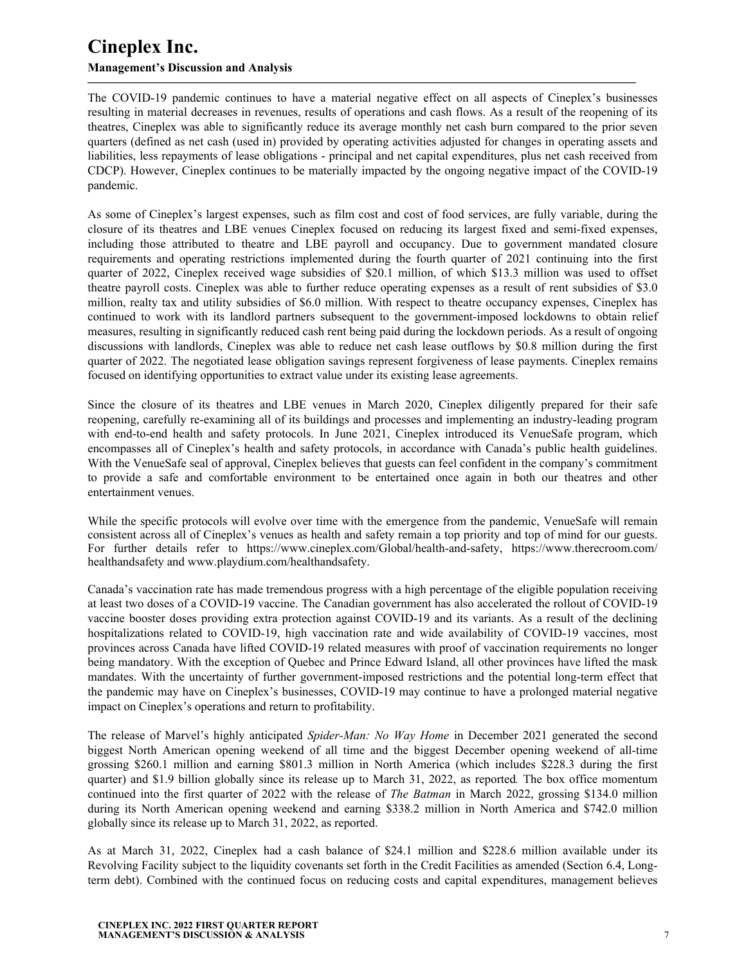### **Management's Discussion and Analysis**

The COVID-19 pandemic continues to have a material negative effect on all aspects of Cineplex's businesses resulting in material decreases in revenues, results of operations and cash flows. As a result of the reopening of its theatres, Cineplex was able to significantly reduce its average monthly net cash burn compared to the prior seven quarters (defined as net cash (used in) provided by operating activities adjusted for changes in operating assets and liabilities, less repayments of lease obligations - principal and net capital expenditures, plus net cash received from CDCP). However, Cineplex continues to be materially impacted by the ongoing negative impact of the COVID-19 pandemic.

**—————————————————————————————————————————————**

As some of Cineplex's largest expenses, such as film cost and cost of food services, are fully variable, during the closure of its theatres and LBE venues Cineplex focused on reducing its largest fixed and semi-fixed expenses, including those attributed to theatre and LBE payroll and occupancy. Due to government mandated closure requirements and operating restrictions implemented during the fourth quarter of 2021 continuing into the first quarter of 2022, Cineplex received wage subsidies of \$20.1 million, of which \$13.3 million was used to offset theatre payroll costs. Cineplex was able to further reduce operating expenses as a result of rent subsidies of \$3.0 million, realty tax and utility subsidies of \$6.0 million. With respect to theatre occupancy expenses, Cineplex has continued to work with its landlord partners subsequent to the government-imposed lockdowns to obtain relief measures, resulting in significantly reduced cash rent being paid during the lockdown periods. As a result of ongoing discussions with landlords, Cineplex was able to reduce net cash lease outflows by \$0.8 million during the first quarter of 2022. The negotiated lease obligation savings represent forgiveness of lease payments. Cineplex remains focused on identifying opportunities to extract value under its existing lease agreements.

Since the closure of its theatres and LBE venues in March 2020, Cineplex diligently prepared for their safe reopening, carefully re-examining all of its buildings and processes and implementing an industry-leading program with end-to-end health and safety protocols. In June 2021, Cineplex introduced its VenueSafe program, which encompasses all of Cineplex's health and safety protocols, in accordance with Canada's public health guidelines. With the VenueSafe seal of approval, Cineplex believes that guests can feel confident in the company's commitment to provide a safe and comfortable environment to be entertained once again in both our theatres and other entertainment venues.

While the specific protocols will evolve over time with the emergence from the pandemic, VenueSafe will remain consistent across all of Cineplex's venues as health and safety remain a top priority and top of mind for our guests. For further details refer to https://www.cineplex.com/Global/health-and-safety, https://www.therecroom.com/ healthandsafety and www.playdium.com/healthandsafety.

Canada's vaccination rate has made tremendous progress with a high percentage of the eligible population receiving at least two doses of a COVID-19 vaccine. The Canadian government has also accelerated the rollout of COVID-19 vaccine booster doses providing extra protection against COVID-19 and its variants. As a result of the declining hospitalizations related to COVID-19, high vaccination rate and wide availability of COVID-19 vaccines, most provinces across Canada have lifted COVID-19 related measures with proof of vaccination requirements no longer being mandatory. With the exception of Quebec and Prince Edward Island, all other provinces have lifted the mask mandates. With the uncertainty of further government-imposed restrictions and the potential long-term effect that the pandemic may have on Cineplex's businesses, COVID-19 may continue to have a prolonged material negative impact on Cineplex's operations and return to profitability.

The release of Marvel's highly anticipated *Spider-Man: No Way Home* in December 2021 generated the second biggest North American opening weekend of all time and the biggest December opening weekend of all-time grossing \$260.1 million and earning \$801.3 million in North America (which includes \$228.3 during the first quarter) and \$1.9 billion globally since its release up to March 31, 2022, as reported*.* The box office momentum continued into the first quarter of 2022 with the release of *The Batman* in March 2022, grossing \$134.0 million during its North American opening weekend and earning \$338.2 million in North America and \$742.0 million globally since its release up to March 31, 2022, as reported.

As at March 31, 2022, Cineplex had a cash balance of \$24.1 million and \$228.6 million available under its Revolving Facility subject to the liquidity covenants set forth in the Credit Facilities as amended (Section 6.4, Longterm debt). Combined with the continued focus on reducing costs and capital expenditures, management believes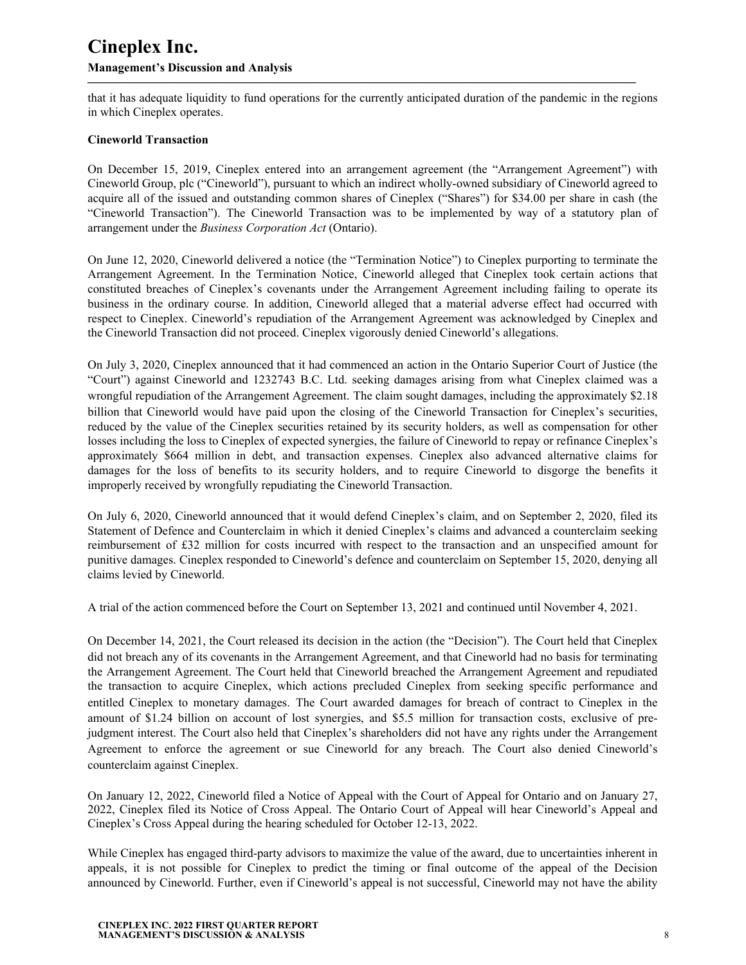### **Management's Discussion and Analysis**

that it has adequate liquidity to fund operations for the currently anticipated duration of the pandemic in the regions in which Cineplex operates.

**—————————————————————————————————————————————**

#### **Cineworld Transaction**

On December 15, 2019, Cineplex entered into an arrangement agreement (the "Arrangement Agreement") with Cineworld Group, plc ("Cineworld"), pursuant to which an indirect wholly-owned subsidiary of Cineworld agreed to acquire all of the issued and outstanding common shares of Cineplex ("Shares") for \$34.00 per share in cash (the "Cineworld Transaction"). The Cineworld Transaction was to be implemented by way of a statutory plan of arrangement under the *Business Corporation Act* (Ontario).

On June 12, 2020, Cineworld delivered a notice (the "Termination Notice") to Cineplex purporting to terminate the Arrangement Agreement. In the Termination Notice, Cineworld alleged that Cineplex took certain actions that constituted breaches of Cineplex's covenants under the Arrangement Agreement including failing to operate its business in the ordinary course. In addition, Cineworld alleged that a material adverse effect had occurred with respect to Cineplex. Cineworld's repudiation of the Arrangement Agreement was acknowledged by Cineplex and the Cineworld Transaction did not proceed. Cineplex vigorously denied Cineworld's allegations.

On July 3, 2020, Cineplex announced that it had commenced an action in the Ontario Superior Court of Justice (the "Court") against Cineworld and 1232743 B.C. Ltd. seeking damages arising from what Cineplex claimed was a wrongful repudiation of the Arrangement Agreement. The claim sought damages, including the approximately \$2.18 billion that Cineworld would have paid upon the closing of the Cineworld Transaction for Cineplex's securities, reduced by the value of the Cineplex securities retained by its security holders, as well as compensation for other losses including the loss to Cineplex of expected synergies, the failure of Cineworld to repay or refinance Cineplex's approximately \$664 million in debt, and transaction expenses. Cineplex also advanced alternative claims for damages for the loss of benefits to its security holders, and to require Cineworld to disgorge the benefits it improperly received by wrongfully repudiating the Cineworld Transaction.

On July 6, 2020, Cineworld announced that it would defend Cineplex's claim, and on September 2, 2020, filed its Statement of Defence and Counterclaim in which it denied Cineplex's claims and advanced a counterclaim seeking reimbursement of £32 million for costs incurred with respect to the transaction and an unspecified amount for punitive damages. Cineplex responded to Cineworld's defence and counterclaim on September 15, 2020, denying all claims levied by Cineworld.

A trial of the action commenced before the Court on September 13, 2021 and continued until November 4, 2021.

On December 14, 2021, the Court released its decision in the action (the "Decision"). The Court held that Cineplex did not breach any of its covenants in the Arrangement Agreement, and that Cineworld had no basis for terminating the Arrangement Agreement. The Court held that Cineworld breached the Arrangement Agreement and repudiated the transaction to acquire Cineplex, which actions precluded Cineplex from seeking specific performance and entitled Cineplex to monetary damages. The Court awarded damages for breach of contract to Cineplex in the amount of \$1.24 billion on account of lost synergies, and \$5.5 million for transaction costs, exclusive of prejudgment interest. The Court also held that Cineplex's shareholders did not have any rights under the Arrangement Agreement to enforce the agreement or sue Cineworld for any breach. The Court also denied Cineworld's counterclaim against Cineplex.

On January 12, 2022, Cineworld filed a Notice of Appeal with the Court of Appeal for Ontario and on January 27, 2022, Cineplex filed its Notice of Cross Appeal. The Ontario Court of Appeal will hear Cineworld's Appeal and Cineplex's Cross Appeal during the hearing scheduled for October 12-13, 2022.

While Cineplex has engaged third-party advisors to maximize the value of the award, due to uncertainties inherent in appeals, it is not possible for Cineplex to predict the timing or final outcome of the appeal of the Decision announced by Cineworld. Further, even if Cineworld's appeal is not successful, Cineworld may not have the ability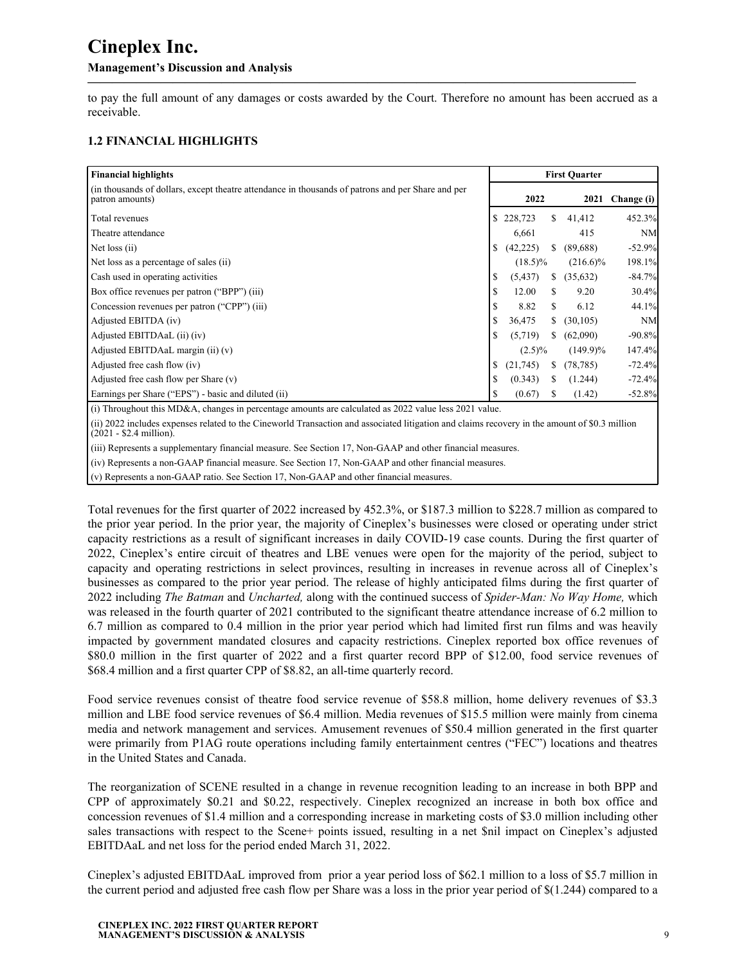to pay the full amount of any damages or costs awarded by the Court. Therefore no amount has been accrued as a receivable.

**—————————————————————————————————————————————**

## **1.2 FINANCIAL HIGHLIGHTS**

| <b>Financial highlights</b>                                                                                          | <b>First Quarter</b> |            |    |             |            |  |  |
|----------------------------------------------------------------------------------------------------------------------|----------------------|------------|----|-------------|------------|--|--|
| (in thousands of dollars, except theatre attendance in thousands of patrons and per Share and per<br>patron amounts) |                      | 2022       |    | 2021        | Change (i) |  |  |
| Total revenues                                                                                                       | S                    | 228,723    | S. | 41,412      | 452.3%     |  |  |
| Theatre attendance                                                                                                   |                      | 6,661      |    | 415         | NM         |  |  |
| Net loss (ii)                                                                                                        |                      | (42, 225)  | S. | (89,688)    | $-52.9%$   |  |  |
| Net loss as a percentage of sales (ii)                                                                               |                      | $(18.5)\%$ |    | $(216.6)\%$ | 198.1%     |  |  |
| Cash used in operating activities                                                                                    |                      | (5, 437)   | S. | (35, 632)   | $-84.7%$   |  |  |
| Box office revenues per patron ("BPP") (iii)                                                                         |                      | 12.00      |    | 9.20        | 30.4%      |  |  |
| Concession revenues per patron ("CPP") (iii)                                                                         |                      | 8.82       |    | 6.12        | 44.1%      |  |  |
| Adjusted EBITDA (iv)                                                                                                 |                      | 36,475     | S. | (30, 105)   | NM         |  |  |
| Adjusted EBITDAaL (ii) (iv)                                                                                          |                      | (5,719)    | S. | (62,090)    | $-90.8%$   |  |  |
| Adjusted EBITDAaL margin (ii) (v)                                                                                    |                      | $(2.5)\%$  |    | $(149.9)\%$ | 147.4%     |  |  |
| Adjusted free cash flow (iv)                                                                                         |                      | (21,745)   | S  | (78, 785)   | $-72.4%$   |  |  |
| Adjusted free cash flow per Share $(v)$                                                                              |                      | (0.343)    | S. | (1.244)     | $-72.4%$   |  |  |
| Earnings per Share ("EPS") - basic and diluted (ii)                                                                  |                      | (0.67)     | S  | (1.42)      | $-52.8%$   |  |  |
| (i) Throughout this MD&A, changes in percentage amounts are calculated as 2022 value less 2021 value                 |                      |            |    |             |            |  |  |

(i) Throughout this MD&A, changes in percentage amounts are calculated as 2022 value less 2021 value.

(ii) 2022 includes expenses related to the Cineworld Transaction and associated litigation and claims recovery in the amount of \$0.3 million  $(2021 - $2.4$  million).

(iii) Represents a supplementary financial measure. See Section 17, Non-GAAP and other financial measures.

(iv) Represents a non-GAAP financial measure. See Section 17, Non-GAAP and other financial measures.

(v) Represents a non-GAAP ratio. See Section 17, Non-GAAP and other financial measures.

Total revenues for the first quarter of 2022 increased by 452.3%, or \$187.3 million to \$228.7 million as compared to the prior year period. In the prior year, the majority of Cineplex's businesses were closed or operating under strict capacity restrictions as a result of significant increases in daily COVID-19 case counts. During the first quarter of 2022, Cineplex's entire circuit of theatres and LBE venues were open for the majority of the period, subject to capacity and operating restrictions in select provinces, resulting in increases in revenue across all of Cineplex's businesses as compared to the prior year period. The release of highly anticipated films during the first quarter of 2022 including *The Batman* and *Uncharted,* along with the continued success of *Spider-Man: No Way Home,* which was released in the fourth quarter of 2021 contributed to the significant theatre attendance increase of 6.2 million to 6.7 million as compared to 0.4 million in the prior year period which had limited first run films and was heavily impacted by government mandated closures and capacity restrictions. Cineplex reported box office revenues of \$80.0 million in the first quarter of 2022 and a first quarter record BPP of \$12.00, food service revenues of \$68.4 million and a first quarter CPP of \$8.82, an all-time quarterly record.

Food service revenues consist of theatre food service revenue of \$58.8 million, home delivery revenues of \$3.3 million and LBE food service revenues of \$6.4 million. Media revenues of \$15.5 million were mainly from cinema media and network management and services. Amusement revenues of \$50.4 million generated in the first quarter were primarily from P1AG route operations including family entertainment centres ("FEC") locations and theatres in the United States and Canada.

The reorganization of SCENE resulted in a change in revenue recognition leading to an increase in both BPP and CPP of approximately \$0.21 and \$0.22, respectively. Cineplex recognized an increase in both box office and concession revenues of \$1.4 million and a corresponding increase in marketing costs of \$3.0 million including other sales transactions with respect to the Scene+ points issued, resulting in a net \$nil impact on Cineplex's adjusted EBITDAaL and net loss for the period ended March 31, 2022.

Cineplex's adjusted EBITDAaL improved from prior a year period loss of \$62.1 million to a loss of \$5.7 million in the current period and adjusted free cash flow per Share was a loss in the prior year period of \$(1.244) compared to a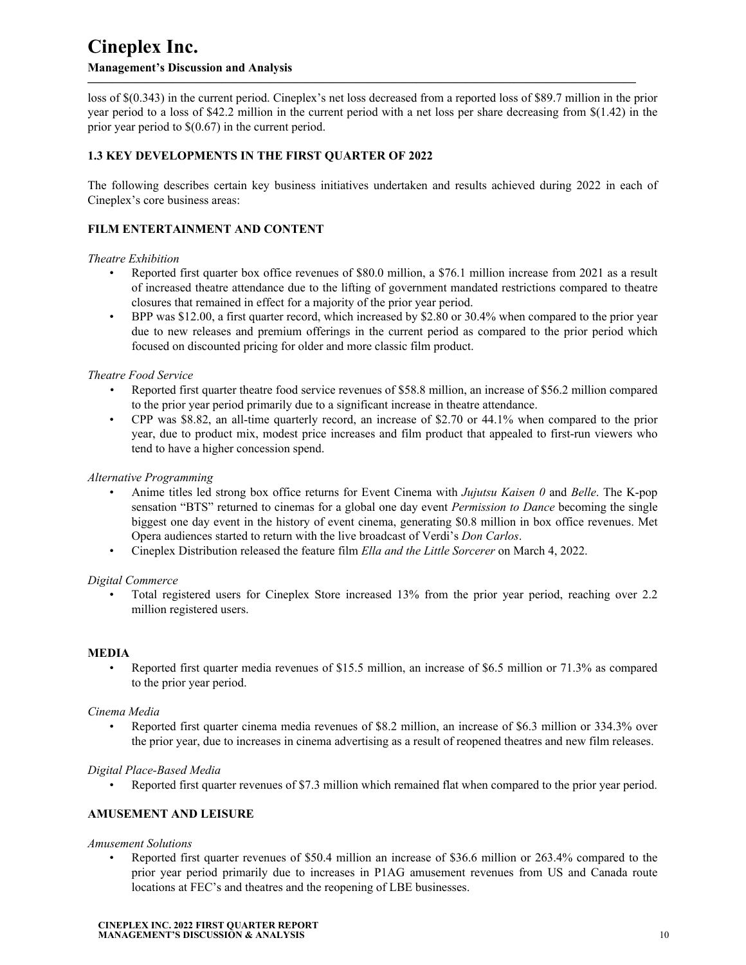loss of \$(0.343) in the current period. Cineplex's net loss decreased from a reported loss of \$89.7 million in the prior year period to a loss of \$42.2 million in the current period with a net loss per share decreasing from  $\S(1.42)$  in the prior year period to \$(0.67) in the current period.

**—————————————————————————————————————————————**

### **1.3 KEY DEVELOPMENTS IN THE FIRST QUARTER OF 2022**

The following describes certain key business initiatives undertaken and results achieved during 2022 in each of Cineplex's core business areas:

### **FILM ENTERTAINMENT AND CONTENT**

#### *Theatre Exhibition*

- Reported first quarter box office revenues of \$80.0 million, a \$76.1 million increase from 2021 as a result of increased theatre attendance due to the lifting of government mandated restrictions compared to theatre closures that remained in effect for a majority of the prior year period.
- BPP was \$12.00, a first quarter record, which increased by \$2.80 or 30.4% when compared to the prior year due to new releases and premium offerings in the current period as compared to the prior period which focused on discounted pricing for older and more classic film product.

#### *Theatre Food Service*

- *•* Reported first quarter theatre food service revenues of \$58.8 million, an increase of \$56.2 million compared to the prior year period primarily due to a significant increase in theatre attendance.
- CPP was \$8.82, an all-time quarterly record, an increase of \$2.70 or 44.1% when compared to the prior year, due to product mix, modest price increases and film product that appealed to first-run viewers who tend to have a higher concession spend.

#### *Alternative Programming*

- Anime titles led strong box office returns for Event Cinema with *Jujutsu Kaisen 0* and *Belle*. The K-pop sensation "BTS" returned to cinemas for a global one day event *Permission to Dance* becoming the single biggest one day event in the history of event cinema, generating \$0.8 million in box office revenues. Met Opera audiences started to return with the live broadcast of Verdi's *Don Carlos*.
- Cineplex Distribution released the feature film *Ella and the Little Sorcerer* on March 4, 2022.

#### *Digital Commerce*

• Total registered users for Cineplex Store increased 13% from the prior year period, reaching over 2.2 million registered users.

#### **MEDIA**

• Reported first quarter media revenues of \$15.5 million, an increase of \$6.5 million or 71.3% as compared to the prior year period.

#### *Cinema Media*

• Reported first quarter cinema media revenues of \$8.2 million, an increase of \$6.3 million or 334.3% over the prior year, due to increases in cinema advertising as a result of reopened theatres and new film releases.

#### *Digital Place-Based Media*

• Reported first quarter revenues of \$7.3 million which remained flat when compared to the prior year period.

#### **AMUSEMENT AND LEISURE**

*Amusement Solutions*

• Reported first quarter revenues of \$50.4 million an increase of \$36.6 million or 263.4% compared to the prior year period primarily due to increases in P1AG amusement revenues from US and Canada route locations at FEC's and theatres and the reopening of LBE businesses.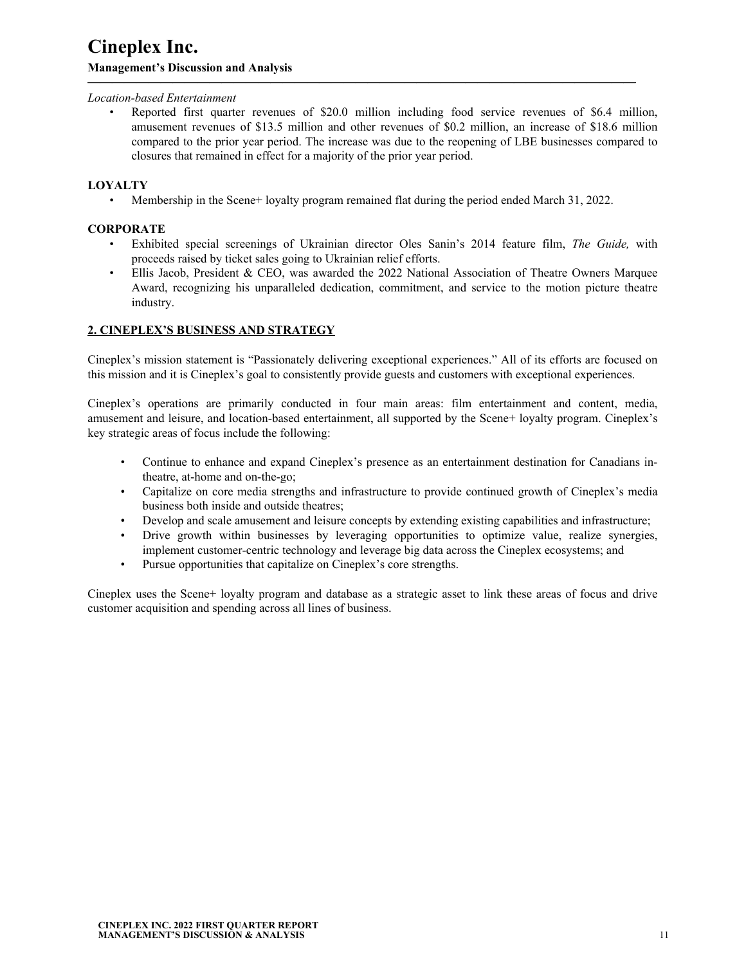#### *Location-based Entertainment*

• Reported first quarter revenues of \$20.0 million including food service revenues of \$6.4 million, amusement revenues of \$13.5 million and other revenues of \$0.2 million, an increase of \$18.6 million compared to the prior year period. The increase was due to the reopening of LBE businesses compared to closures that remained in effect for a majority of the prior year period.

#### **LOYALTY**

• Membership in the Scene+ loyalty program remained flat during the period ended March 31, 2022.

<span id="page-10-0"></span>**—————————————————————————————————————————————**

#### **CORPORATE**

- Exhibited special screenings of Ukrainian director Oles Sanin's 2014 feature film, *The Guide,* with proceeds raised by ticket sales going to Ukrainian relief efforts.
- Ellis Jacob, President & CEO, was awarded the 2022 National Association of Theatre Owners Marquee Award, recognizing his unparalleled dedication, commitment, and service to the motion picture theatre industry.

#### **2. CINEPLEX'S BUSINESS AND STRATEGY**

Cineplex's mission statement is "Passionately delivering exceptional experiences." All of its efforts are focused on this mission and it is Cineplex's goal to consistently provide guests and customers with exceptional experiences.

Cineplex's operations are primarily conducted in four main areas: film entertainment and content, media, amusement and leisure, and location-based entertainment, all supported by the Scene+ loyalty program. Cineplex's key strategic areas of focus include the following:

- Continue to enhance and expand Cineplex's presence as an entertainment destination for Canadians intheatre, at-home and on-the-go;
- Capitalize on core media strengths and infrastructure to provide continued growth of Cineplex's media business both inside and outside theatres;
- Develop and scale amusement and leisure concepts by extending existing capabilities and infrastructure;
- Drive growth within businesses by leveraging opportunities to optimize value, realize synergies, implement customer-centric technology and leverage big data across the Cineplex ecosystems; and
- Pursue opportunities that capitalize on Cineplex's core strengths.

Cineplex uses the Scene+ loyalty program and database as a strategic asset to link these areas of focus and drive customer acquisition and spending across all lines of business.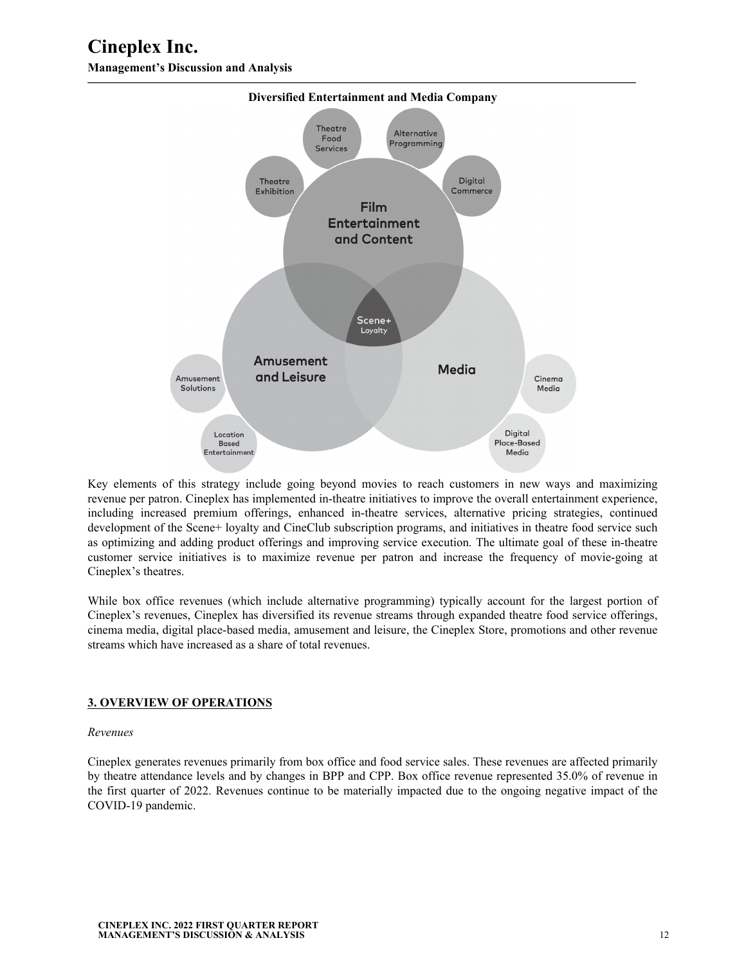<span id="page-11-0"></span>

Key elements of this strategy include going beyond movies to reach customers in new ways and maximizing revenue per patron. Cineplex has implemented in-theatre initiatives to improve the overall entertainment experience, including increased premium offerings, enhanced in-theatre services, alternative pricing strategies, continued development of the Scene+ loyalty and CineClub subscription programs, and initiatives in theatre food service such as optimizing and adding product offerings and improving service execution. The ultimate goal of these in-theatre customer service initiatives is to maximize revenue per patron and increase the frequency of movie-going at Cineplex's theatres.

While box office revenues (which include alternative programming) typically account for the largest portion of Cineplex's revenues, Cineplex has diversified its revenue streams through expanded theatre food service offerings, cinema media, digital place-based media, amusement and leisure, the Cineplex Store, promotions and other revenue streams which have increased as a share of total revenues.

#### **3. OVERVIEW OF OPERATIONS**

#### *Revenues*

Cineplex generates revenues primarily from box office and food service sales. These revenues are affected primarily by theatre attendance levels and by changes in BPP and CPP. Box office revenue represented 35.0% of revenue in the first quarter of 2022. Revenues continue to be materially impacted due to the ongoing negative impact of the COVID-19 pandemic.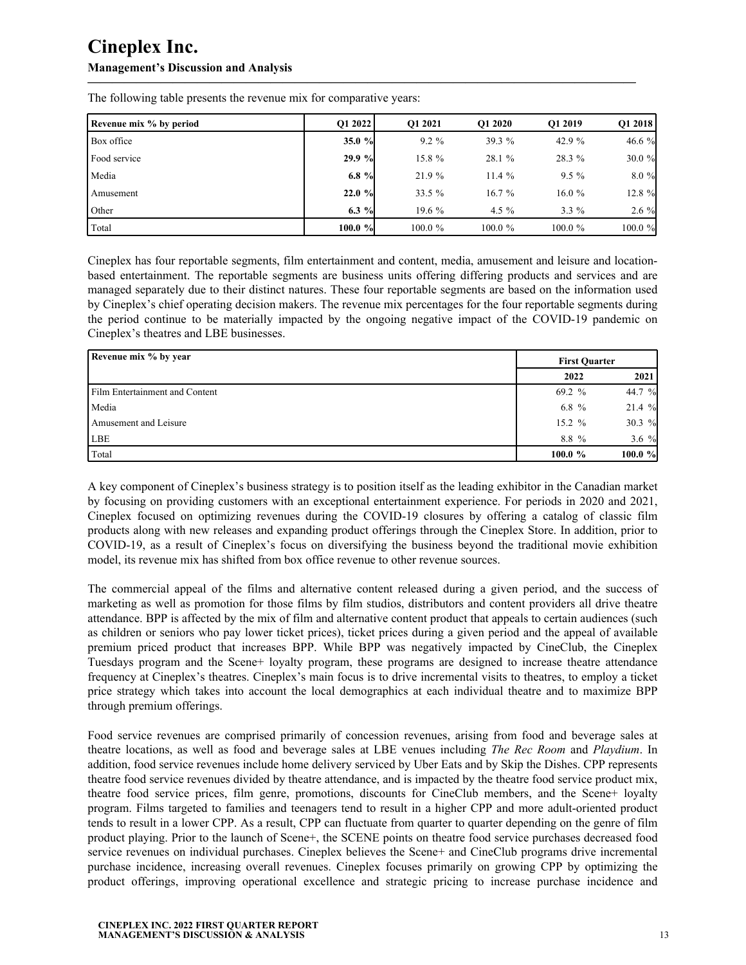| Revenue mix % by period | O1 2022    | O1 2021    | O1 2020    | O1 2019    | O1 2018 |
|-------------------------|------------|------------|------------|------------|---------|
| Box office              | 35.0 $%$   | $9.2\%$    | 39.3 %     | 42.9 %     | 46.6 %  |
| Food service            | $29.9 \%$  | 15.8 %     | 28.1%      | 28.3 %     | 30.0%   |
| Media                   | $6.8 \%$   | 21.9 %     | 11.4%      | $9.5\%$    | 8.0 %   |
| <b>Amusement</b>        | $22.0 \%$  | 33.5 %     | 16.7%      | 16.0%      | 12.8 %  |
| Other                   | $6.3 \%$   | $19.6\%$   | 4.5 $%$    | $3.3\%$    | $2.6\%$ |
| Total                   | $100.0 \%$ | $100.0 \%$ | $100.0 \%$ | $100.0 \%$ | 100.0%  |

**—————————————————————————————————————————————**

The following table presents the revenue mix for comparative years:

Cineplex has four reportable segments, film entertainment and content, media, amusement and leisure and locationbased entertainment. The reportable segments are business units offering differing products and services and are managed separately due to their distinct natures. These four reportable segments are based on the information used by Cineplex's chief operating decision makers. The revenue mix percentages for the four reportable segments during the period continue to be materially impacted by the ongoing negative impact of the COVID-19 pandemic on Cineplex's theatres and LBE businesses.

| Revenue mix % by year          |           | <b>First Ouarter</b> |
|--------------------------------|-----------|----------------------|
|                                | 2022      | 2021                 |
| Film Entertainment and Content | 69.2 %    | 44.7 %               |
| Media                          | 6.8 $%$   | 21.4%                |
| Amusement and Leisure          | $15.2 \%$ | 30.3 $%$             |
| LBE                            | 8.8 %     | 3.6 $%$              |
| Total                          | 100.0%    | $100.0 \%$           |

A key component of Cineplex's business strategy is to position itself as the leading exhibitor in the Canadian market by focusing on providing customers with an exceptional entertainment experience. For periods in 2020 and 2021, Cineplex focused on optimizing revenues during the COVID-19 closures by offering a catalog of classic film products along with new releases and expanding product offerings through the Cineplex Store. In addition, prior to COVID-19, as a result of Cineplex's focus on diversifying the business beyond the traditional movie exhibition model, its revenue mix has shifted from box office revenue to other revenue sources.

The commercial appeal of the films and alternative content released during a given period, and the success of marketing as well as promotion for those films by film studios, distributors and content providers all drive theatre attendance. BPP is affected by the mix of film and alternative content product that appeals to certain audiences (such as children or seniors who pay lower ticket prices), ticket prices during a given period and the appeal of available premium priced product that increases BPP. While BPP was negatively impacted by CineClub, the Cineplex Tuesdays program and the Scene+ loyalty program, these programs are designed to increase theatre attendance frequency at Cineplex's theatres. Cineplex's main focus is to drive incremental visits to theatres, to employ a ticket price strategy which takes into account the local demographics at each individual theatre and to maximize BPP through premium offerings.

Food service revenues are comprised primarily of concession revenues, arising from food and beverage sales at theatre locations, as well as food and beverage sales at LBE venues including *The Rec Room* and *Playdium*. In addition, food service revenues include home delivery serviced by Uber Eats and by Skip the Dishes. CPP represents theatre food service revenues divided by theatre attendance, and is impacted by the theatre food service product mix, theatre food service prices, film genre, promotions, discounts for CineClub members, and the Scene+ loyalty program. Films targeted to families and teenagers tend to result in a higher CPP and more adult-oriented product tends to result in a lower CPP. As a result, CPP can fluctuate from quarter to quarter depending on the genre of film product playing. Prior to the launch of Scene+, the SCENE points on theatre food service purchases decreased food service revenues on individual purchases. Cineplex believes the Scene+ and CineClub programs drive incremental purchase incidence, increasing overall revenues. Cineplex focuses primarily on growing CPP by optimizing the product offerings, improving operational excellence and strategic pricing to increase purchase incidence and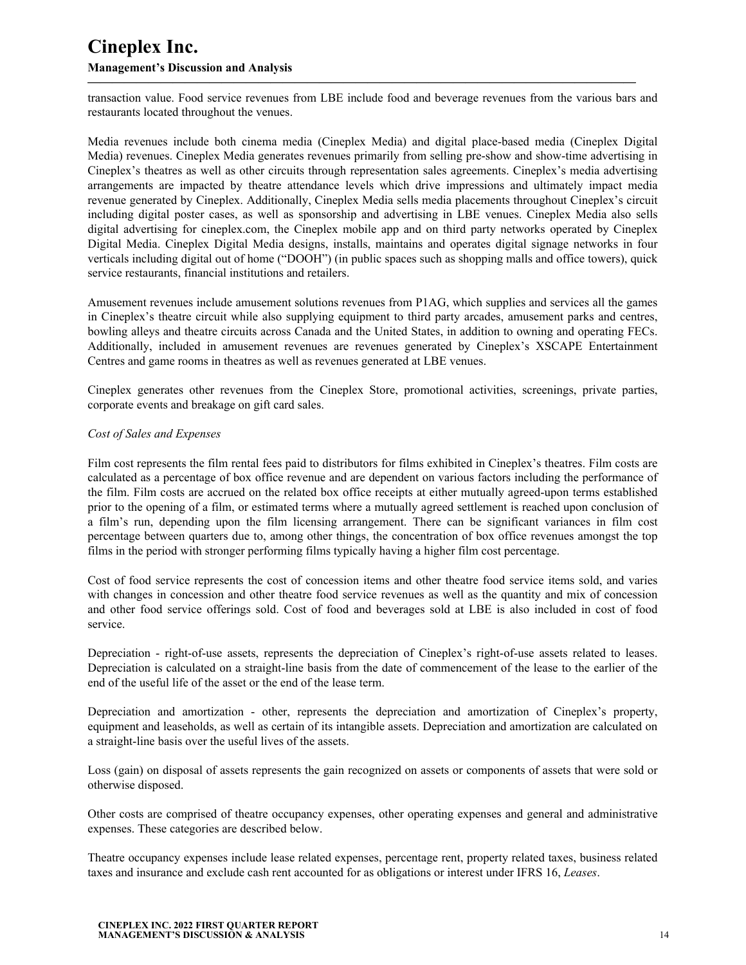#### **Management's Discussion and Analysis**

transaction value. Food service revenues from LBE include food and beverage revenues from the various bars and restaurants located throughout the venues.

**—————————————————————————————————————————————**

Media revenues include both cinema media (Cineplex Media) and digital place-based media (Cineplex Digital Media) revenues. Cineplex Media generates revenues primarily from selling pre-show and show-time advertising in Cineplex's theatres as well as other circuits through representation sales agreements. Cineplex's media advertising arrangements are impacted by theatre attendance levels which drive impressions and ultimately impact media revenue generated by Cineplex. Additionally, Cineplex Media sells media placements throughout Cineplex's circuit including digital poster cases, as well as sponsorship and advertising in LBE venues. Cineplex Media also sells digital advertising for cineplex.com, the Cineplex mobile app and on third party networks operated by Cineplex Digital Media. Cineplex Digital Media designs, installs, maintains and operates digital signage networks in four verticals including digital out of home ("DOOH") (in public spaces such as shopping malls and office towers), quick service restaurants, financial institutions and retailers.

Amusement revenues include amusement solutions revenues from P1AG, which supplies and services all the games in Cineplex's theatre circuit while also supplying equipment to third party arcades, amusement parks and centres, bowling alleys and theatre circuits across Canada and the United States, in addition to owning and operating FECs. Additionally, included in amusement revenues are revenues generated by Cineplex's XSCAPE Entertainment Centres and game rooms in theatres as well as revenues generated at LBE venues.

Cineplex generates other revenues from the Cineplex Store, promotional activities, screenings, private parties, corporate events and breakage on gift card sales.

### *Cost of Sales and Expenses*

Film cost represents the film rental fees paid to distributors for films exhibited in Cineplex's theatres. Film costs are calculated as a percentage of box office revenue and are dependent on various factors including the performance of the film. Film costs are accrued on the related box office receipts at either mutually agreed-upon terms established prior to the opening of a film, or estimated terms where a mutually agreed settlement is reached upon conclusion of a film's run, depending upon the film licensing arrangement. There can be significant variances in film cost percentage between quarters due to, among other things, the concentration of box office revenues amongst the top films in the period with stronger performing films typically having a higher film cost percentage.

Cost of food service represents the cost of concession items and other theatre food service items sold, and varies with changes in concession and other theatre food service revenues as well as the quantity and mix of concession and other food service offerings sold. Cost of food and beverages sold at LBE is also included in cost of food service.

Depreciation - right-of-use assets, represents the depreciation of Cineplex's right-of-use assets related to leases. Depreciation is calculated on a straight-line basis from the date of commencement of the lease to the earlier of the end of the useful life of the asset or the end of the lease term.

Depreciation and amortization - other, represents the depreciation and amortization of Cineplex's property, equipment and leaseholds, as well as certain of its intangible assets. Depreciation and amortization are calculated on a straight-line basis over the useful lives of the assets.

Loss (gain) on disposal of assets represents the gain recognized on assets or components of assets that were sold or otherwise disposed.

Other costs are comprised of theatre occupancy expenses, other operating expenses and general and administrative expenses. These categories are described below.

Theatre occupancy expenses include lease related expenses, percentage rent, property related taxes, business related taxes and insurance and exclude cash rent accounted for as obligations or interest under IFRS 16, *Leases*.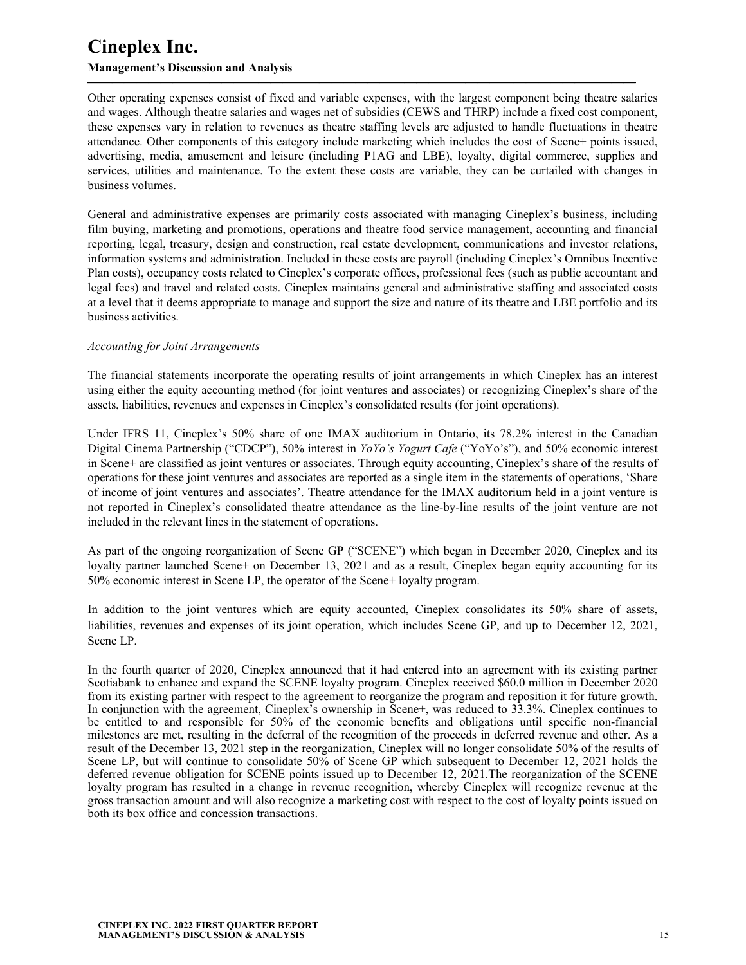## **Management's Discussion and Analysis**

Other operating expenses consist of fixed and variable expenses, with the largest component being theatre salaries and wages. Although theatre salaries and wages net of subsidies (CEWS and THRP) include a fixed cost component, these expenses vary in relation to revenues as theatre staffing levels are adjusted to handle fluctuations in theatre attendance. Other components of this category include marketing which includes the cost of Scene+ points issued, advertising, media, amusement and leisure (including P1AG and LBE), loyalty, digital commerce, supplies and services, utilities and maintenance. To the extent these costs are variable, they can be curtailed with changes in business volumes.

**—————————————————————————————————————————————**

General and administrative expenses are primarily costs associated with managing Cineplex's business, including film buying, marketing and promotions, operations and theatre food service management, accounting and financial reporting, legal, treasury, design and construction, real estate development, communications and investor relations, information systems and administration. Included in these costs are payroll (including Cineplex's Omnibus Incentive Plan costs), occupancy costs related to Cineplex's corporate offices, professional fees (such as public accountant and legal fees) and travel and related costs. Cineplex maintains general and administrative staffing and associated costs at a level that it deems appropriate to manage and support the size and nature of its theatre and LBE portfolio and its business activities.

#### *Accounting for Joint Arrangements*

The financial statements incorporate the operating results of joint arrangements in which Cineplex has an interest using either the equity accounting method (for joint ventures and associates) or recognizing Cineplex's share of the assets, liabilities, revenues and expenses in Cineplex's consolidated results (for joint operations).

Under IFRS 11, Cineplex's 50% share of one IMAX auditorium in Ontario, its 78.2% interest in the Canadian Digital Cinema Partnership ("CDCP"), 50% interest in *YoYo's Yogurt Cafe* ("YoYo's"), and 50% economic interest in Scene+ are classified as joint ventures or associates. Through equity accounting, Cineplex's share of the results of operations for these joint ventures and associates are reported as a single item in the statements of operations, 'Share of income of joint ventures and associates'. Theatre attendance for the IMAX auditorium held in a joint venture is not reported in Cineplex's consolidated theatre attendance as the line-by-line results of the joint venture are not included in the relevant lines in the statement of operations.

As part of the ongoing reorganization of Scene GP ("SCENE") which began in December 2020, Cineplex and its loyalty partner launched Scene+ on December 13, 2021 and as a result, Cineplex began equity accounting for its 50% economic interest in Scene LP, the operator of the Scene+ loyalty program.

In addition to the joint ventures which are equity accounted, Cineplex consolidates its 50% share of assets, liabilities, revenues and expenses of its joint operation, which includes Scene GP, and up to December 12, 2021, Scene LP.

In the fourth quarter of 2020, Cineplex announced that it had entered into an agreement with its existing partner Scotiabank to enhance and expand the SCENE loyalty program. Cineplex received \$60.0 million in December 2020 from its existing partner with respect to the agreement to reorganize the program and reposition it for future growth. In conjunction with the agreement, Cineplex's ownership in Scene+, was reduced to 33.3%. Cineplex continues to be entitled to and responsible for 50% of the economic benefits and obligations until specific non-financial milestones are met, resulting in the deferral of the recognition of the proceeds in deferred revenue and other. As a result of the December 13, 2021 step in the reorganization, Cineplex will no longer consolidate 50% of the results of Scene LP, but will continue to consolidate 50% of Scene GP which subsequent to December 12, 2021 holds the deferred revenue obligation for SCENE points issued up to December 12, 2021.The reorganization of the SCENE loyalty program has resulted in a change in revenue recognition, whereby Cineplex will recognize revenue at the gross transaction amount and will also recognize a marketing cost with respect to the cost of loyalty points issued on both its box office and concession transactions.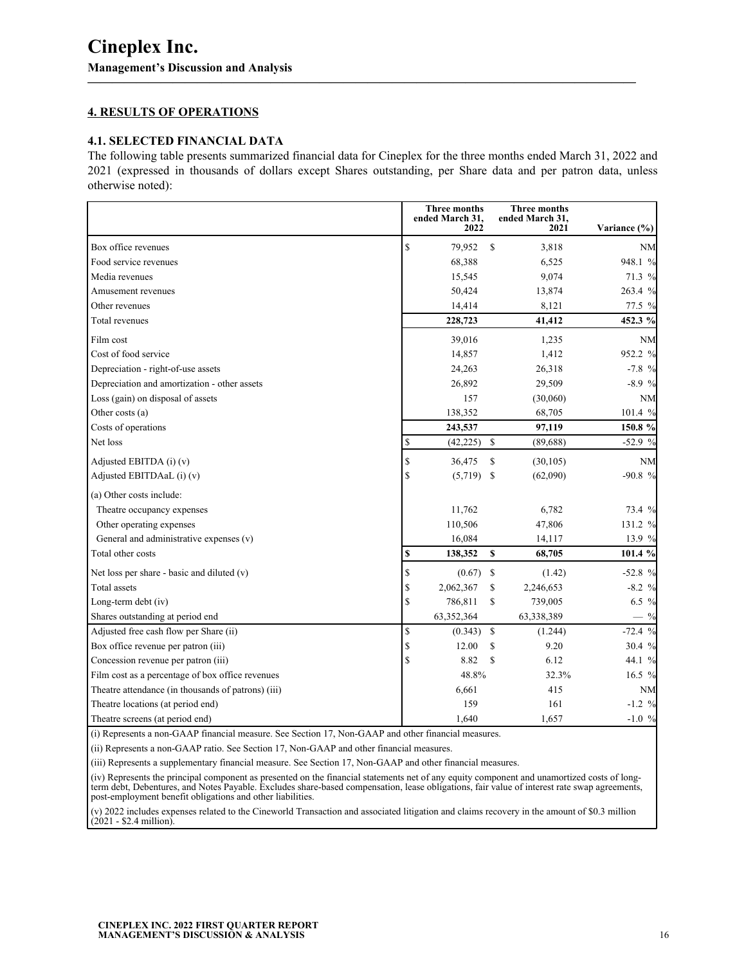### **4. RESULTS OF OPERATIONS**

#### **4.1. SELECTED FINANCIAL DATA**

The following table presents summarized financial data for Cineplex for the three months ended March 31, 2022 and 2021 (expressed in thousands of dollars except Shares outstanding, per Share data and per patron data, unless otherwise noted):

<span id="page-15-0"></span>**—————————————————————————————————————————————**

|                                                    | <b>Three months</b><br>ended March 31,<br>2022 |               | <b>Three months</b><br>ended March 31,<br>2021 | Variance (%) |
|----------------------------------------------------|------------------------------------------------|---------------|------------------------------------------------|--------------|
| Box office revenues                                | \$<br>79,952                                   | \$            | 3,818                                          | NM           |
| Food service revenues                              | 68,388                                         |               | 6,525                                          | 948.1 %      |
| Media revenues                                     | 15,545                                         |               | 9,074                                          | 71.3 %       |
| Amusement revenues                                 | 50,424                                         |               | 13,874                                         | 263.4 %      |
| Other revenues                                     | 14,414                                         |               | 8,121                                          | 77.5 %       |
| Total revenues                                     | 228,723                                        |               | 41,412                                         | 452.3 %      |
| Film cost                                          | 39,016                                         |               | 1,235                                          | <b>NM</b>    |
| Cost of food service                               | 14,857                                         |               | 1,412                                          | 952.2 %      |
| Depreciation - right-of-use assets                 | 24,263                                         |               | 26,318                                         | $-7.8%$      |
| Depreciation and amortization - other assets       | 26,892                                         |               | 29,509                                         | $-8.9%$      |
| Loss (gain) on disposal of assets                  | 157                                            |               | (30,060)                                       | <b>NM</b>    |
| Other costs (a)                                    | 138,352                                        |               | 68,705                                         | 101.4 %      |
| Costs of operations                                | 243,537                                        |               | 97,119                                         | 150.8 %      |
| Net loss                                           | \$<br>(42, 225)                                | S.            | (89,688)                                       | $-52.9%$     |
| Adjusted EBITDA (i) (v)                            | \$<br>36,475                                   | \$            | (30, 105)                                      | NM           |
| Adjusted EBITDAaL (i) (v)                          | \$<br>(5,719)                                  | -S            | (62,090)                                       | $-90.8%$     |
| (a) Other costs include:                           |                                                |               |                                                |              |
| Theatre occupancy expenses                         | 11,762                                         |               | 6,782                                          | 73.4 %       |
| Other operating expenses                           | 110,506                                        |               | 47,806                                         | 131.2 %      |
| General and administrative expenses (v)            | 16,084                                         |               | 14,117                                         | 13.9 %       |
| Total other costs                                  | \$<br>138,352                                  | \$            | 68,705                                         | 101.4 %      |
| Net loss per share - basic and diluted $(v)$       | \$<br>(0.67)                                   | $\mathbb{S}$  | (1.42)                                         | $-52.8%$     |
| Total assets                                       | \$<br>2,062,367                                | \$            | 2,246,653                                      | $-8.2%$      |
| Long-term debt (iv)                                | \$<br>786,811                                  | \$            | 739,005                                        | 6.5 %        |
| Shares outstanding at period end                   | 63,352,364                                     |               | 63,338,389                                     | $-$ %        |
| Adjusted free cash flow per Share (ii)             | \$<br>(0.343)                                  | <sup>\$</sup> | (1.244)                                        | $-72.4%$     |
| Box office revenue per patron (iii)                | \$<br>12.00                                    | \$            | 9.20                                           | 30.4 %       |
| Concession revenue per patron (iii)                | \$<br>8.82                                     | \$            | 6.12                                           | 44.1 %       |
| Film cost as a percentage of box office revenues   | 48.8%                                          |               | 32.3%                                          | 16.5 %       |
| Theatre attendance (in thousands of patrons) (iii) | 6,661                                          |               | 415                                            | <b>NM</b>    |
| Theatre locations (at period end)                  | 159                                            |               | 161                                            | $-1.2 \%$    |
| Theatre screens (at period end)                    | 1,640                                          |               | 1,657                                          | $-1.0%$      |

(i) Represents a non-GAAP financial measure. See Section 17, Non-GAAP and other financial measures.

(ii) Represents a non-GAAP ratio. See Section 17, Non-GAAP and other financial measures.

(iii) Represents a supplementary financial measure. See Section 17, Non-GAAP and other financial measures.

(iv) Represents the principal component as presented on the financial statements net of any equity component and unamortized costs of longterm debt, Debentures, and Notes Payable. Excludes share-based compensation, lease obligations, fair value of interest rate swap agreements, post-employment benefit obligations and other liabilities.

(v) 2022 includes expenses related to the Cineworld Transaction and associated litigation and claims recovery in the amount of \$0.3 million (2021 - \$2.4 million).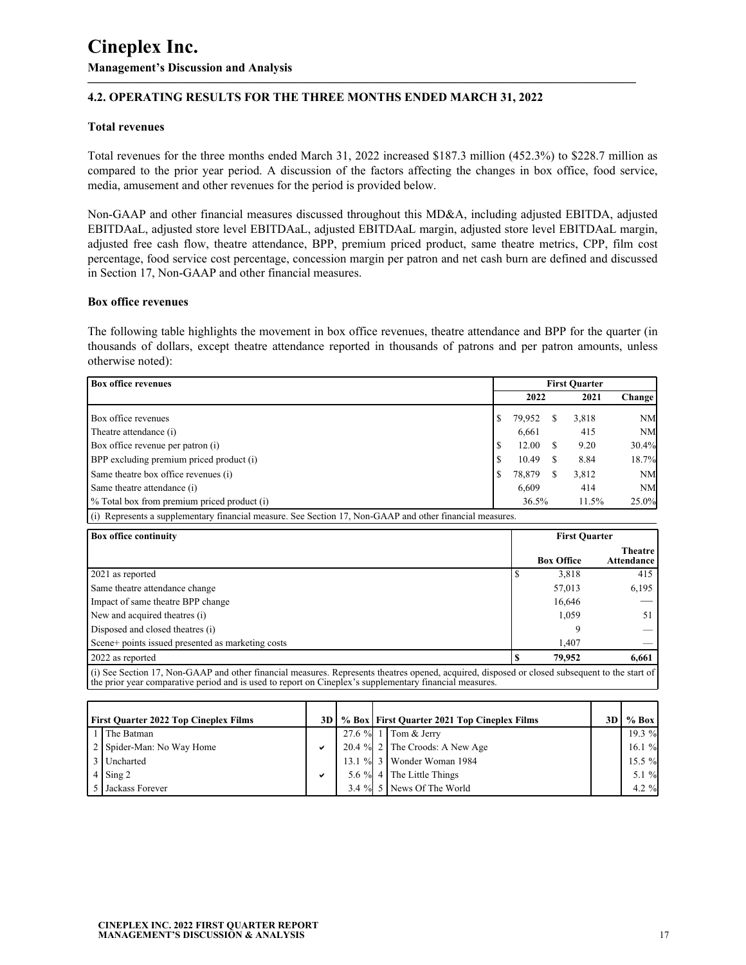## **4.2. OPERATING RESULTS FOR THE THREE MONTHS ENDED MARCH 31, 2022**

#### **Total revenues**

Total revenues for the three months ended March 31, 2022 increased \$187.3 million (452.3%) to \$228.7 million as compared to the prior year period. A discussion of the factors affecting the changes in box office, food service, media, amusement and other revenues for the period is provided below.

**—————————————————————————————————————————————**

Non-GAAP and other financial measures discussed throughout this MD&A, including adjusted EBITDA, adjusted EBITDAaL, adjusted store level EBITDAaL, adjusted EBITDAaL margin, adjusted store level EBITDAaL margin, adjusted free cash flow, theatre attendance, BPP, premium priced product, same theatre metrics, CPP, film cost percentage, food service cost percentage, concession margin per patron and net cash burn are defined and discussed in Section 17, Non-GAAP and other financial measures.

#### **Box office revenues**

The following table highlights the movement in box office revenues, theatre attendance and BPP for the quarter (in thousands of dollars, except theatre attendance reported in thousands of patrons and per patron amounts, unless otherwise noted):

| <b>Box office revenues</b>                  |  |        | <b>First Ouarter</b> |       |               |  |
|---------------------------------------------|--|--------|----------------------|-------|---------------|--|
|                                             |  | 2022   |                      | 2021  | <b>Change</b> |  |
| Box office revenues                         |  | 79,952 |                      | 3,818 | <b>NM</b>     |  |
| Theatre attendance (i)                      |  | 6,661  |                      | 415   | <b>NM</b>     |  |
| Box office revenue per patron (i)           |  | 12.00  |                      | 9.20  | 30.4%         |  |
| BPP excluding premium priced product (i)    |  | 10.49  |                      | 8.84  | 18.7%         |  |
| Same theatre box office revenues (i)        |  | 78,879 |                      | 3,812 | <b>NM</b>     |  |
| Same theatre attendance (i)                 |  | 6.609  |                      | 414   | <b>NM</b>     |  |
| % Total box from premium priced product (i) |  | 36.5%  |                      | 11.5% | 25.0%         |  |

(i) Represents a supplementary financial measure. See Section 17, Non-GAAP and other financial measures.

| <b>Box office continuity</b>                                                                                                                          | <b>First Quarter</b> |                   |                              |  |  |
|-------------------------------------------------------------------------------------------------------------------------------------------------------|----------------------|-------------------|------------------------------|--|--|
|                                                                                                                                                       |                      | <b>Box Office</b> | <b>Theatre</b><br>Attendance |  |  |
| 2021 as reported                                                                                                                                      |                      | 3,818             | 415                          |  |  |
| Same theatre attendance change                                                                                                                        |                      | 57,013            | 6,195                        |  |  |
| Impact of same theatre BPP change                                                                                                                     |                      | 16,646            |                              |  |  |
| New and acquired theatres (i)                                                                                                                         |                      | 1,059             | 51                           |  |  |
| Disposed and closed theatres (i)                                                                                                                      |                      |                   |                              |  |  |
| Scene+ points issued presented as marketing costs                                                                                                     |                      | 1.407             |                              |  |  |
| 2022 as reported                                                                                                                                      |                      | 79,952            | 6,661                        |  |  |
| $\int$ (i) See Section 17, Non-GAAP and other financial measures. Represents theatres opened, acquired, disposed or closed subsequent to the start of |                      |                   |                              |  |  |

(i) See Section 17, Non-GAAP and other financial measures. Represents theatres opened, acquired, disposed or closed subsequent to the start of the prior year comparative period and is used to report on Cineplex's supplementary financial measures.

| <b>First Quarter 2022 Top Cineplex Films</b> | 3D. |  | % Box   First Quarter 2021 Top Cineplex Films | 3D | $%$ Box   |
|----------------------------------------------|-----|--|-----------------------------------------------|----|-----------|
| 1 The Batman                                 |     |  | 27.6 % 1   Tom & Jerry                        |    | $19.3 \%$ |
| 2   Spider-Man: No Way Home                  | ✔   |  | 20.4 % $2 \mid$ The Croods: A New Age         |    | 16.1%     |
| 3 Uncharted                                  |     |  | 13.1 % 3   Wonder Woman 1984                  |    | $15.5 \%$ |
| $4 \sin 2$                                   | ✔   |  | 5.6 $\%$ 4 The Little Things                  |    | $5.1 \%$  |
| 5   Jackass Forever                          |     |  | 3.4 $\%$ 5 News Of The World                  |    | $4.2 \%$  |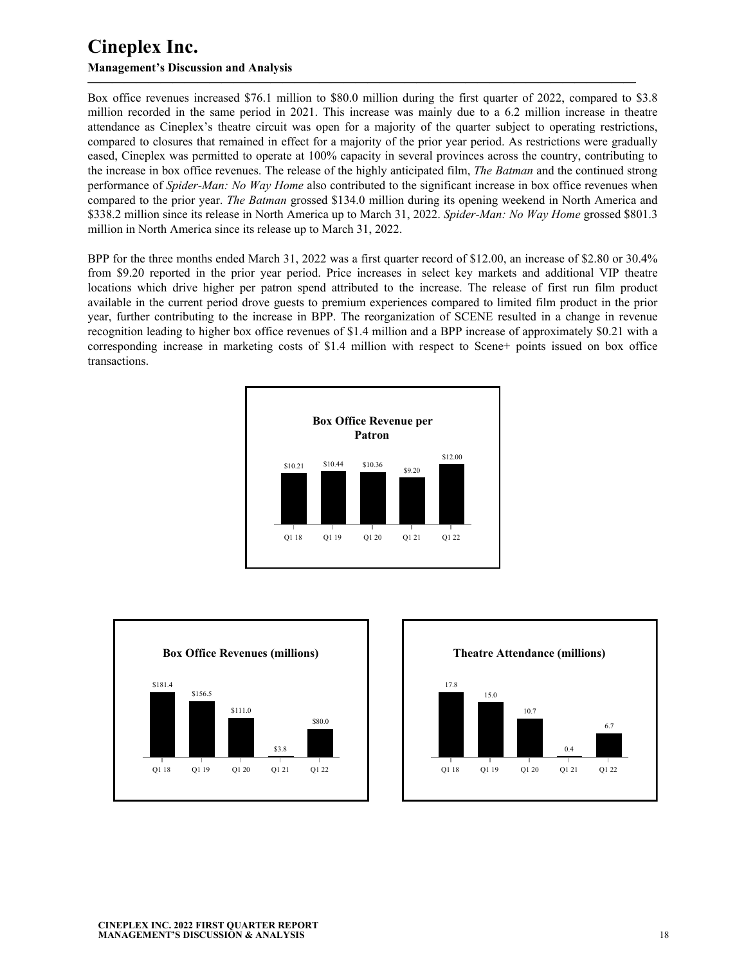### **Management's Discussion and Analysis**

Box office revenues increased \$76.1 million to \$80.0 million during the first quarter of 2022, compared to \$3.8 million recorded in the same period in 2021. This increase was mainly due to a 6.2 million increase in theatre attendance as Cineplex's theatre circuit was open for a majority of the quarter subject to operating restrictions, compared to closures that remained in effect for a majority of the prior year period. As restrictions were gradually eased, Cineplex was permitted to operate at 100% capacity in several provinces across the country, contributing to the increase in box office revenues. The release of the highly anticipated film, *The Batman* and the continued strong performance of *Spider-Man: No Way Home* also contributed to the significant increase in box office revenues when compared to the prior year. *The Batman* grossed \$134.0 million during its opening weekend in North America and \$338.2 million since its release in North America up to March 31, 2022. *Spider-Man: No Way Home* grossed \$801.3 million in North America since its release up to March 31, 2022.

**—————————————————————————————————————————————**

BPP for the three months ended March 31, 2022 was a first quarter record of \$12.00, an increase of \$2.80 or 30.4% from \$9.20 reported in the prior year period. Price increases in select key markets and additional VIP theatre locations which drive higher per patron spend attributed to the increase. The release of first run film product available in the current period drove guests to premium experiences compared to limited film product in the prior year, further contributing to the increase in BPP. The reorganization of SCENE resulted in a change in revenue recognition leading to higher box office revenues of \$1.4 million and a BPP increase of approximately \$0.21 with a corresponding increase in marketing costs of \$1.4 million with respect to Scene+ points issued on box office transactions.





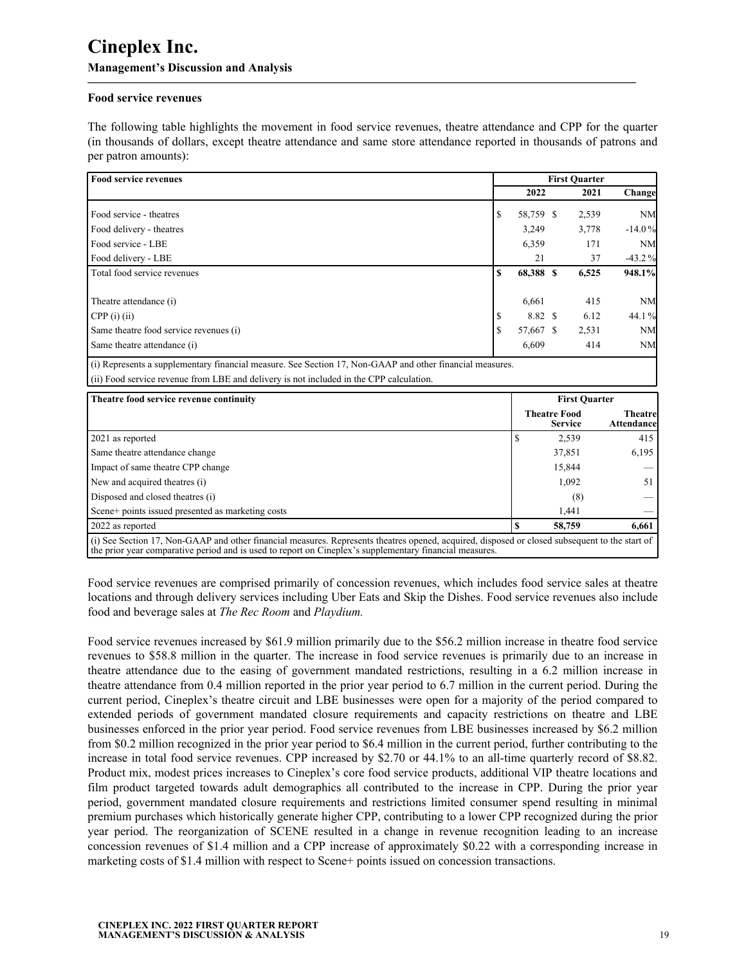#### **Food service revenues**

The following table highlights the movement in food service revenues, theatre attendance and CPP for the quarter (in thousands of dollars, except theatre attendance and same store attendance reported in thousands of patrons and per patron amounts):

**—————————————————————————————————————————————**

| <b>Food service revenues</b>           |    |           | <b>First Ouarter</b> |           |
|----------------------------------------|----|-----------|----------------------|-----------|
|                                        |    | 2022      | 2021                 | Change    |
| Food service - theatres                | \$ | 58,759 \$ | 2,539                | <b>NM</b> |
| Food delivery - theatres               |    | 3,249     | 3,778                | $-14.0%$  |
| Food service - LBE                     |    | 6,359     | 171                  | <b>NM</b> |
| Food delivery - LBE                    |    | 21        | 37                   | $-43.2%$  |
| Total food service revenues            | S  | 68,388 \$ | 6,525                | 948.1%    |
| Theatre attendance (i)                 |    | 6,661     | 415                  | <b>NM</b> |
| $CPP(i)$ (ii)                          |    | 8.82 \$   | 6.12                 | 44.1%     |
| Same theatre food service revenues (i) | S  | 57,667 \$ | 2,531                | <b>NM</b> |
| Same theatre attendance (i)            |    | 6,609     | 414                  | <b>NM</b> |

(ii) Food service revenue from LBE and delivery is not included in the CPP calculation.

| Theatre food service revenue continuity                                                                                                                                                                                                                   |  | <b>First Quarter</b>                  |                               |
|-----------------------------------------------------------------------------------------------------------------------------------------------------------------------------------------------------------------------------------------------------------|--|---------------------------------------|-------------------------------|
|                                                                                                                                                                                                                                                           |  | <b>Theatre Food</b><br><b>Service</b> | <b>Theatrel</b><br>Attendance |
| 2021 as reported                                                                                                                                                                                                                                          |  | 2,539                                 | 415                           |
| Same theatre attendance change                                                                                                                                                                                                                            |  | 37,851                                | 6,195                         |
| Impact of same theatre CPP change                                                                                                                                                                                                                         |  | 15,844                                |                               |
| New and acquired theatres (i)                                                                                                                                                                                                                             |  | 1,092                                 | 51                            |
| Disposed and closed theatres (i)                                                                                                                                                                                                                          |  | (8)                                   |                               |
| Scene+ points issued presented as marketing costs                                                                                                                                                                                                         |  | 1,441                                 |                               |
| 2022 as reported                                                                                                                                                                                                                                          |  | 58,759                                | 6,661                         |
| (i) See Section 17, Non-GAAP and other financial measures. Represents theatres opened, acquired, disposed or closed subsequent to the start of<br>the prior year comparative period and is used to report on Cineplex's supplementary financial measures. |  |                                       |                               |

Food service revenues are comprised primarily of concession revenues, which includes food service sales at theatre locations and through delivery services including Uber Eats and Skip the Dishes. Food service revenues also include food and beverage sales at *The Rec Room* and *Playdium.*

Food service revenues increased by \$61.9 million primarily due to the \$56.2 million increase in theatre food service revenues to \$58.8 million in the quarter. The increase in food service revenues is primarily due to an increase in theatre attendance due to the easing of government mandated restrictions, resulting in a 6.2 million increase in theatre attendance from 0.4 million reported in the prior year period to 6.7 million in the current period. During the current period, Cineplex's theatre circuit and LBE businesses were open for a majority of the period compared to extended periods of government mandated closure requirements and capacity restrictions on theatre and LBE businesses enforced in the prior year period. Food service revenues from LBE businesses increased by \$6.2 million from \$0.2 million recognized in the prior year period to \$6.4 million in the current period, further contributing to the increase in total food service revenues. CPP increased by \$2.70 or 44.1% to an all-time quarterly record of \$8.82. Product mix, modest prices increases to Cineplex's core food service products, additional VIP theatre locations and film product targeted towards adult demographics all contributed to the increase in CPP. During the prior year period, government mandated closure requirements and restrictions limited consumer spend resulting in minimal premium purchases which historically generate higher CPP, contributing to a lower CPP recognized during the prior year period. The reorganization of SCENE resulted in a change in revenue recognition leading to an increase concession revenues of \$1.4 million and a CPP increase of approximately \$0.22 with a corresponding increase in marketing costs of \$1.4 million with respect to Scene+ points issued on concession transactions.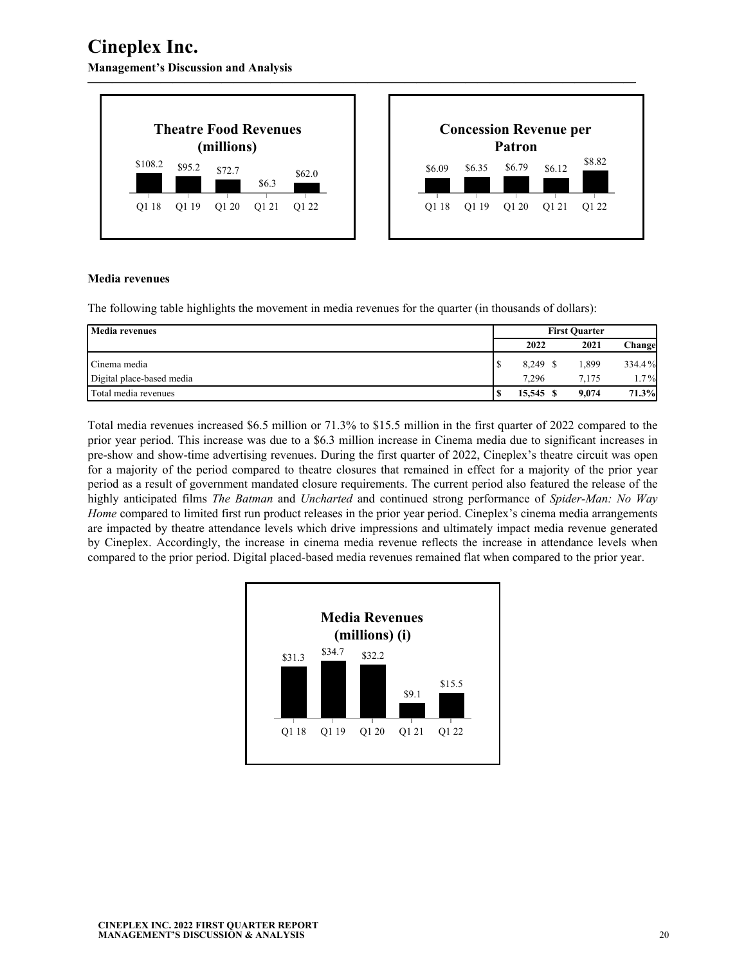**Management's Discussion and Analysis**



#### **Media revenues**

The following table highlights the movement in media revenues for the quarter (in thousands of dollars):

| Media revenues            | <b>First Ouarter</b> |        |  |       |         |  |
|---------------------------|----------------------|--------|--|-------|---------|--|
|                           |                      | 2022   |  | 2021  | Changel |  |
| Cinema media              |                      | 8,249  |  | .399  | 334.4%  |  |
| Digital place-based media |                      | 7.296  |  | 7.175 | $1.7\%$ |  |
| Total media revenues      |                      | 15.545 |  | 9.074 | 71.3%   |  |

Total media revenues increased \$6.5 million or 71.3% to \$15.5 million in the first quarter of 2022 compared to the prior year period. This increase was due to a \$6.3 million increase in Cinema media due to significant increases in pre-show and show-time advertising revenues. During the first quarter of 2022, Cineplex's theatre circuit was open for a majority of the period compared to theatre closures that remained in effect for a majority of the prior year period as a result of government mandated closure requirements. The current period also featured the release of the highly anticipated films *The Batman* and *Uncharted* and continued strong performance of *Spider-Man: No Way Home* compared to limited first run product releases in the prior year period. Cineplex's cinema media arrangements are impacted by theatre attendance levels which drive impressions and ultimately impact media revenue generated by Cineplex. Accordingly, the increase in cinema media revenue reflects the increase in attendance levels when compared to the prior period. Digital placed-based media revenues remained flat when compared to the prior year.

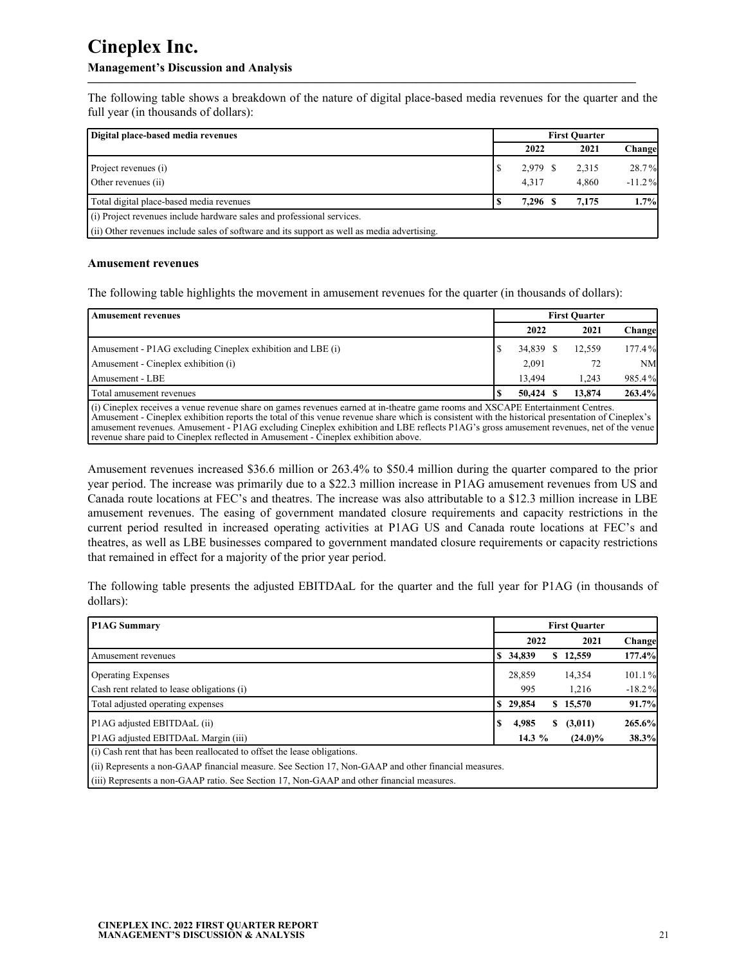## **Management's Discussion and Analysis**

The following table shows a breakdown of the nature of digital place-based media revenues for the quarter and the full year (in thousands of dollars):

**—————————————————————————————————————————————**

| Digital place-based media revenues                                                          | <b>First Ouarter</b> |          |  |       |          |
|---------------------------------------------------------------------------------------------|----------------------|----------|--|-------|----------|
|                                                                                             |                      | 2022     |  | 2021  | Change   |
| Project revenues (i)                                                                        |                      | 2,979 \$ |  | 2,315 | 28.7%    |
| Other revenues (ii)                                                                         |                      | 4,317    |  | 4,860 | $-11.2%$ |
| Total digital place-based media revenues                                                    |                      | 7,296 \$ |  | 7.175 | 1.7%     |
| (i) Project revenues include hardware sales and professional services.                      |                      |          |  |       |          |
| (ii) Other revenues include sales of software and its support as well as media advertising. |                      |          |  |       |          |

#### **Amusement revenues**

The following table highlights the movement in amusement revenues for the quarter (in thousands of dollars):

revenue share paid to Cineplex reflected in Amusement - Cineplex exhibition above.

| <b>Amusement revenues</b>                                                                                                                                                                                                                                                                                                                                                                                                    | <b>First Ouarter</b> |           |     |        |           |  |  |  |  |
|------------------------------------------------------------------------------------------------------------------------------------------------------------------------------------------------------------------------------------------------------------------------------------------------------------------------------------------------------------------------------------------------------------------------------|----------------------|-----------|-----|--------|-----------|--|--|--|--|
|                                                                                                                                                                                                                                                                                                                                                                                                                              |                      | 2022      |     | 2021   | Change    |  |  |  |  |
| Amusement - P1AG excluding Cineplex exhibition and LBE (i)                                                                                                                                                                                                                                                                                                                                                                   |                      | 34,839 \$ |     | 12,559 | 177.4%    |  |  |  |  |
| Amusement - Cineplex exhibition (i)                                                                                                                                                                                                                                                                                                                                                                                          |                      | 2,091     |     | 72     | <b>NM</b> |  |  |  |  |
| Amusement - LBE                                                                                                                                                                                                                                                                                                                                                                                                              |                      | 13.494    |     | 1.243  | 985.4%    |  |  |  |  |
| Total amusement revenues                                                                                                                                                                                                                                                                                                                                                                                                     |                      | 50.424    | - 8 | 13,874 | 263.4%    |  |  |  |  |
| (i) Cineplex receives a venue revenue share on games revenues earned at in-theatre game rooms and XSCAPE Entertainment Centres.<br>Amusement - Cineplex exhibition reports the total of this venue revenue share which is consistent with the historical presentation of Cineplex's<br>amusement revenues. Amusement - P1AG excluding Cineplex exhibition and LBE reflects P1AG's gross amusement revenues, net of the venue |                      |           |     |        |           |  |  |  |  |

Amusement revenues increased \$36.6 million or 263.4% to \$50.4 million during the quarter compared to the prior year period. The increase was primarily due to a \$22.3 million increase in P1AG amusement revenues from US and Canada route locations at FEC's and theatres. The increase was also attributable to a \$12.3 million increase in LBE amusement revenues. The easing of government mandated closure requirements and capacity restrictions in the current period resulted in increased operating activities at P1AG US and Canada route locations at FEC's and theatres, as well as LBE businesses compared to government mandated closure requirements or capacity restrictions that remained in effect for a majority of the prior year period.

The following table presents the adjusted EBITDAaL for the quarter and the full year for P1AG (in thousands of dollars):

| <b>P1AG Summary</b>                                                                                  |     | <b>First Ouarter</b> |          |              |          |  |
|------------------------------------------------------------------------------------------------------|-----|----------------------|----------|--------------|----------|--|
|                                                                                                      |     |                      | 2022     | 2021         | Change   |  |
| Amusement revenues                                                                                   |     | \$34,839             |          | \$12,559     | 177.4%   |  |
| <b>Operating Expenses</b>                                                                            |     | 28,859               |          | 14,354       | 101.1%   |  |
| Cash rent related to lease obligations (i)                                                           |     | 995                  |          | 1,216        | $-18.2%$ |  |
| Total adjusted operating expenses                                                                    |     | \$29,854             |          | \$15,570     | 91.7%    |  |
| P1AG adjusted EBITDAaL (ii)                                                                          | \$. | 4,985                |          | (3,011)<br>S | 265.6%   |  |
| P1AG adjusted EBITDAaL Margin (iii)                                                                  |     |                      | 14.3 $%$ | $(24.0)\%$   | 38.3%    |  |
| (i) Cash rent that has been reallocated to offset the lease obligations.                             |     |                      |          |              |          |  |
| (ii) Represents a non-GAAP financial measure. See Section 17, Non-GAAP and other financial measures. |     |                      |          |              |          |  |
| (iii) Represents a non-GAAP ratio. See Section 17, Non-GAAP and other financial measures.            |     |                      |          |              |          |  |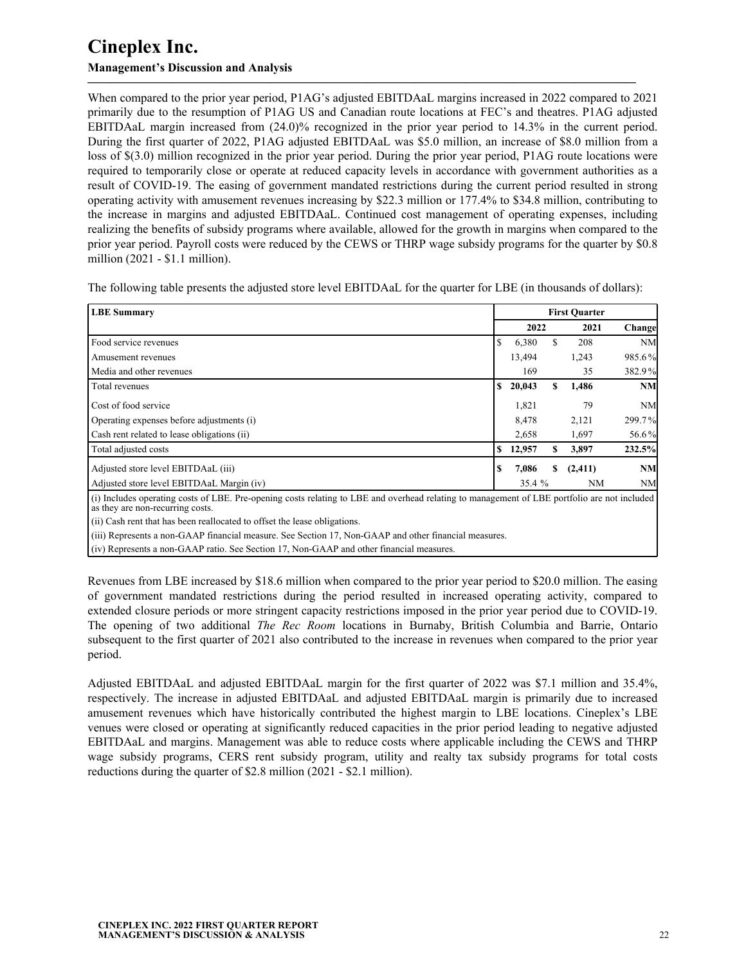## **Management's Discussion and Analysis**

When compared to the prior year period, P1AG's adjusted EBITDAaL margins increased in 2022 compared to 2021 primarily due to the resumption of P1AG US and Canadian route locations at FEC's and theatres. P1AG adjusted EBITDAaL margin increased from (24.0)% recognized in the prior year period to 14.3% in the current period. During the first quarter of 2022, P1AG adjusted EBITDAaL was \$5.0 million, an increase of \$8.0 million from a loss of \$(3.0) million recognized in the prior year period. During the prior year period, P1AG route locations were required to temporarily close or operate at reduced capacity levels in accordance with government authorities as a result of COVID-19. The easing of government mandated restrictions during the current period resulted in strong operating activity with amusement revenues increasing by \$22.3 million or 177.4% to \$34.8 million, contributing to the increase in margins and adjusted EBITDAaL. Continued cost management of operating expenses, including realizing the benefits of subsidy programs where available, allowed for the growth in margins when compared to the prior year period. Payroll costs were reduced by the CEWS or THRP wage subsidy programs for the quarter by \$0.8 million (2021 - \$1.1 million).

**—————————————————————————————————————————————**

The following table presents the adjusted store level EBITDAaL for the quarter for LBE (in thousands of dollars):

| <b>LBE</b> Summary                                                                                                                                                               | <b>First Quarter</b> |        |    |           |           |
|----------------------------------------------------------------------------------------------------------------------------------------------------------------------------------|----------------------|--------|----|-----------|-----------|
|                                                                                                                                                                                  |                      | 2022   |    | 2021      | Change    |
| Food service revenues                                                                                                                                                            | -S                   | 6,380  |    | 208       | <b>NM</b> |
| Amusement revenues                                                                                                                                                               |                      | 13,494 |    | 1,243     | 985.6%    |
| Media and other revenues                                                                                                                                                         |                      | 169    |    | 35        | 382.9%    |
| Total revenues                                                                                                                                                                   | S                    | 20,043 | \$ | 1,486     | <b>NM</b> |
| Cost of food service                                                                                                                                                             |                      | 1,821  |    | 79        | <b>NM</b> |
| Operating expenses before adjustments (i)                                                                                                                                        |                      | 8,478  |    | 2,121     | 299.7%    |
| Cash rent related to lease obligations (ii)                                                                                                                                      |                      | 2,658  |    | 1,697     | 56.6%     |
| Total adjusted costs                                                                                                                                                             | S                    | 12,957 | \$ | 3,897     | 232.5%    |
| Adjusted store level EBITDAaL (iii)                                                                                                                                              | .S                   | 7,086  | S  | (2, 411)  | <b>NM</b> |
| Adjusted store level EBITDAaL Margin (iv)                                                                                                                                        |                      | 35.4 % |    | <b>NM</b> | <b>NM</b> |
| (i) Includes operating costs of LBE. Pre-opening costs relating to LBE and overhead relating to management of LBE portfolio are not included<br>as they are non-recurring costs. |                      |        |    |           |           |

(ii) Cash rent that has been reallocated to offset the lease obligations.

(iii) Represents a non-GAAP financial measure. See Section 17, Non-GAAP and other financial measures.

(iv) Represents a non-GAAP ratio. See Section 17, Non-GAAP and other financial measures.

Revenues from LBE increased by \$18.6 million when compared to the prior year period to \$20.0 million. The easing of government mandated restrictions during the period resulted in increased operating activity, compared to extended closure periods or more stringent capacity restrictions imposed in the prior year period due to COVID-19. The opening of two additional *The Rec Room* locations in Burnaby, British Columbia and Barrie, Ontario subsequent to the first quarter of 2021 also contributed to the increase in revenues when compared to the prior year period.

Adjusted EBITDAaL and adjusted EBITDAaL margin for the first quarter of 2022 was \$7.1 million and 35.4%, respectively. The increase in adjusted EBITDAaL and adjusted EBITDAaL margin is primarily due to increased amusement revenues which have historically contributed the highest margin to LBE locations. Cineplex's LBE venues were closed or operating at significantly reduced capacities in the prior period leading to negative adjusted EBITDAaL and margins. Management was able to reduce costs where applicable including the CEWS and THRP wage subsidy programs, CERS rent subsidy program, utility and realty tax subsidy programs for total costs reductions during the quarter of \$2.8 million (2021 - \$2.1 million).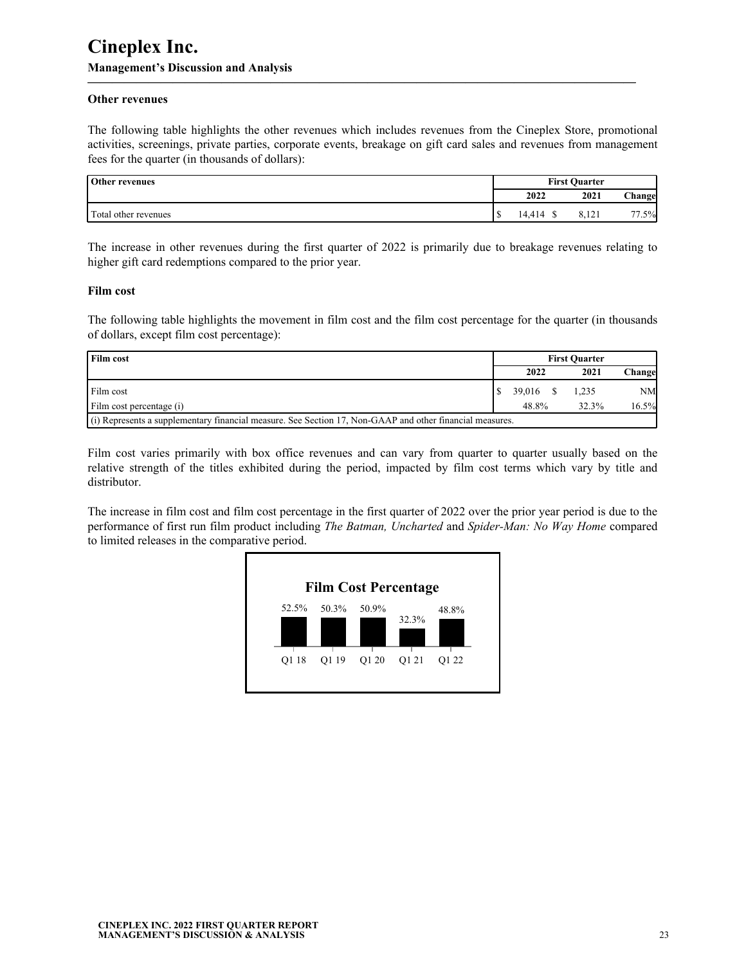#### **Other revenues**

The following table highlights the other revenues which includes revenues from the Cineplex Store, promotional activities, screenings, private parties, corporate events, breakage on gift card sales and revenues from management fees for the quarter (in thousands of dollars):

**—————————————————————————————————————————————**

| <b>Other revenues</b> | <b>First Ouarter</b> |        |               |               |  |
|-----------------------|----------------------|--------|---------------|---------------|--|
|                       |                      | 2022   | 2021          | Change        |  |
| Total other revenues  |                      | 14,414 | ו רי<br>0,121 | $1.5\%$<br>77 |  |

The increase in other revenues during the first quarter of 2022 is primarily due to breakage revenues relating to higher gift card redemptions compared to the prior year.

#### **Film cost**

The following table highlights the movement in film cost and the film cost percentage for the quarter (in thousands of dollars, except film cost percentage):

| l Film cost                                                                                              | <b>First Ouarter</b> |           |       |         |  |  |  |
|----------------------------------------------------------------------------------------------------------|----------------------|-----------|-------|---------|--|--|--|
|                                                                                                          |                      | 2022      | 2021  | Changel |  |  |  |
| Film cost                                                                                                |                      | 39.016 \$ | 1.235 | NM      |  |  |  |
| Film cost percentage (i)                                                                                 |                      | 48.8%     | 32.3% | 16.5%   |  |  |  |
| (i) Represents a supplementary financial measure. See Section 17, Non-GAAP and other financial measures. |                      |           |       |         |  |  |  |

Film cost varies primarily with box office revenues and can vary from quarter to quarter usually based on the relative strength of the titles exhibited during the period, impacted by film cost terms which vary by title and distributor.

The increase in film cost and film cost percentage in the first quarter of 2022 over the prior year period is due to the performance of first run film product including *The Batman, Uncharted* and *Spider-Man: No Way Home* compared to limited releases in the comparative period.

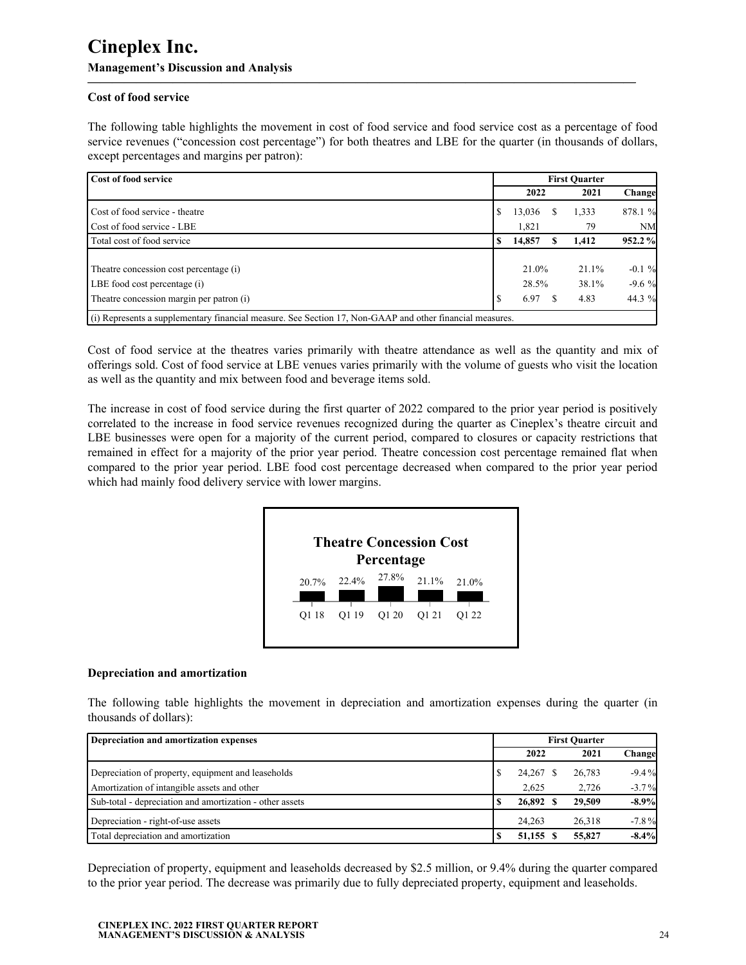### **Cost of food service**

The following table highlights the movement in cost of food service and food service cost as a percentage of food service revenues ("concession cost percentage") for both theatres and LBE for the quarter (in thousands of dollars, except percentages and margins per patron):

**—————————————————————————————————————————————**

| <b>Cost of food service</b>                                                                              | <b>First Ouarter</b> |        |  |       |           |
|----------------------------------------------------------------------------------------------------------|----------------------|--------|--|-------|-----------|
|                                                                                                          |                      | 2022   |  | 2021  | Change    |
| Cost of food service - theatre                                                                           |                      | 13,036 |  | 1,333 | 878.1 %   |
| Cost of food service - LBE                                                                               |                      | 1,821  |  | 79    | <b>NM</b> |
| Total cost of food service                                                                               |                      | 14,857 |  | 1.412 | 952.2 %   |
|                                                                                                          |                      |        |  |       |           |
| Theatre concession cost percentage (i)                                                                   |                      | 21.0%  |  | 21.1% | $-0.1 \%$ |
| LBE food cost percentage (i)                                                                             |                      | 28.5%  |  | 38.1% | $-9.6%$   |
| Theatre concession margin per patron (i)                                                                 |                      | 6.97   |  | 4.83  | 44.3 %    |
| (i) Represents a supplementary financial measure. See Section 17, Non-GAAP and other financial measures. |                      |        |  |       |           |

Cost of food service at the theatres varies primarily with theatre attendance as well as the quantity and mix of offerings sold. Cost of food service at LBE venues varies primarily with the volume of guests who visit the location as well as the quantity and mix between food and beverage items sold.

The increase in cost of food service during the first quarter of 2022 compared to the prior year period is positively correlated to the increase in food service revenues recognized during the quarter as Cineplex's theatre circuit and LBE businesses were open for a majority of the current period, compared to closures or capacity restrictions that remained in effect for a majority of the prior year period. Theatre concession cost percentage remained flat when compared to the prior year period. LBE food cost percentage decreased when compared to the prior year period which had mainly food delivery service with lower margins.



#### **Depreciation and amortization**

The following table highlights the movement in depreciation and amortization expenses during the quarter (in thousands of dollars):

| Depreciation and amortization expenses                   | <b>First Ouarter</b> |           |  |        |          |  |
|----------------------------------------------------------|----------------------|-----------|--|--------|----------|--|
|                                                          |                      | 2022      |  | 2021   | Changel  |  |
| Depreciation of property, equipment and leaseholds       |                      | 24,267 \$ |  | 26,783 | $-9.4\%$ |  |
| Amortization of intangible assets and other              |                      | 2.625     |  | 2.726  | $-3.7\%$ |  |
| Sub-total - depreciation and amortization - other assets |                      | 26,892 \$ |  | 29,509 | $-8.9\%$ |  |
| Depreciation - right-of-use assets                       |                      | 24.263    |  | 26.318 | $-7.8\%$ |  |
| Total depreciation and amortization                      |                      | 51.155 \$ |  | 55,827 | $-8.4\%$ |  |

Depreciation of property, equipment and leaseholds decreased by \$2.5 million, or 9.4% during the quarter compared to the prior year period. The decrease was primarily due to fully depreciated property, equipment and leaseholds.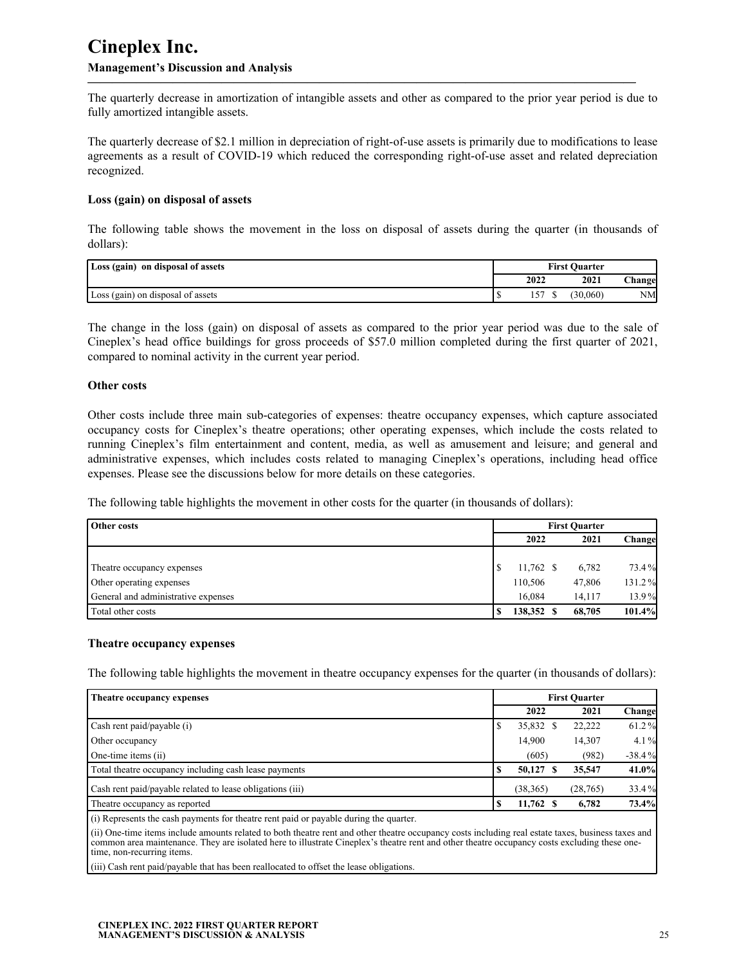The quarterly decrease in amortization of intangible assets and other as compared to the prior year period is due to fully amortized intangible assets.

**—————————————————————————————————————————————**

The quarterly decrease of \$2.1 million in depreciation of right-of-use assets is primarily due to modifications to lease agreements as a result of COVID-19 which reduced the corresponding right-of-use asset and related depreciation recognized.

#### **Loss (gain) on disposal of assets**

The following table shows the movement in the loss on disposal of assets during the quarter (in thousands of dollars):

| Loss (gain) on disposal of assets | <b>First Quarter</b> |      |          |               |  |
|-----------------------------------|----------------------|------|----------|---------------|--|
|                                   |                      | 2022 | 2021     | <b>Change</b> |  |
| Loss (gain) on disposal of assets |                      | "∼   | (30.060) | NM            |  |

The change in the loss (gain) on disposal of assets as compared to the prior year period was due to the sale of Cineplex's head office buildings for gross proceeds of \$57.0 million completed during the first quarter of 2021, compared to nominal activity in the current year period.

#### **Other costs**

Other costs include three main sub-categories of expenses: theatre occupancy expenses, which capture associated occupancy costs for Cineplex's theatre operations; other operating expenses, which include the costs related to running Cineplex's film entertainment and content, media, as well as amusement and leisure; and general and administrative expenses, which includes costs related to managing Cineplex's operations, including head office expenses. Please see the discussions below for more details on these categories.

The following table highlights the movement in other costs for the quarter (in thousands of dollars):

| Other costs                         | <b>First Ouarter</b> |             |  |        |         |  |
|-------------------------------------|----------------------|-------------|--|--------|---------|--|
|                                     |                      | 2022        |  | 2021   | Changel |  |
|                                     |                      |             |  |        |         |  |
| Theatre occupancy expenses          |                      | $11,762$ \$ |  | 6,782  | 73.4%   |  |
| Other operating expenses            |                      | 110.506     |  | 47,806 | 131.2%  |  |
| General and administrative expenses |                      | 16.084      |  | 14.117 | 13.9%   |  |
| Total other costs                   |                      | 138.352     |  | 68,705 | 101.4%  |  |

#### **Theatre occupancy expenses**

The following table highlights the movement in theatre occupancy expenses for the quarter (in thousands of dollars):

| Theatre occupancy expenses                                | <b>First Ouarter</b> |           |           |          |
|-----------------------------------------------------------|----------------------|-----------|-----------|----------|
|                                                           |                      | 2022      | 2021      | Change   |
| Cash rent paid/payable (i)                                |                      | 35,832    | 22,222    | 61.2%    |
| Other occupancy                                           |                      | 14,900    | 14,307    | 4.1%     |
| One-time items (ii)                                       |                      | (605)     | (982)     | $-38.4%$ |
| Total theatre occupancy including cash lease payments     |                      | 50,127    | 35,547    | 41.0%    |
| Cash rent paid/payable related to lease obligations (iii) |                      | (38, 365) | (28, 765) | 33.4%    |
| Theatre occupancy as reported                             |                      | 11,762 \$ | 6.782     | 73.4%    |

(i) Represents the cash payments for theatre rent paid or payable during the quarter.

(ii) One-time items include amounts related to both theatre rent and other theatre occupancy costs including real estate taxes, business taxes and common area maintenance. They are isolated here to illustrate Cineplex's theatre rent and other theatre occupancy costs excluding these onetime, non-recurring items.

(iii) Cash rent paid/payable that has been reallocated to offset the lease obligations.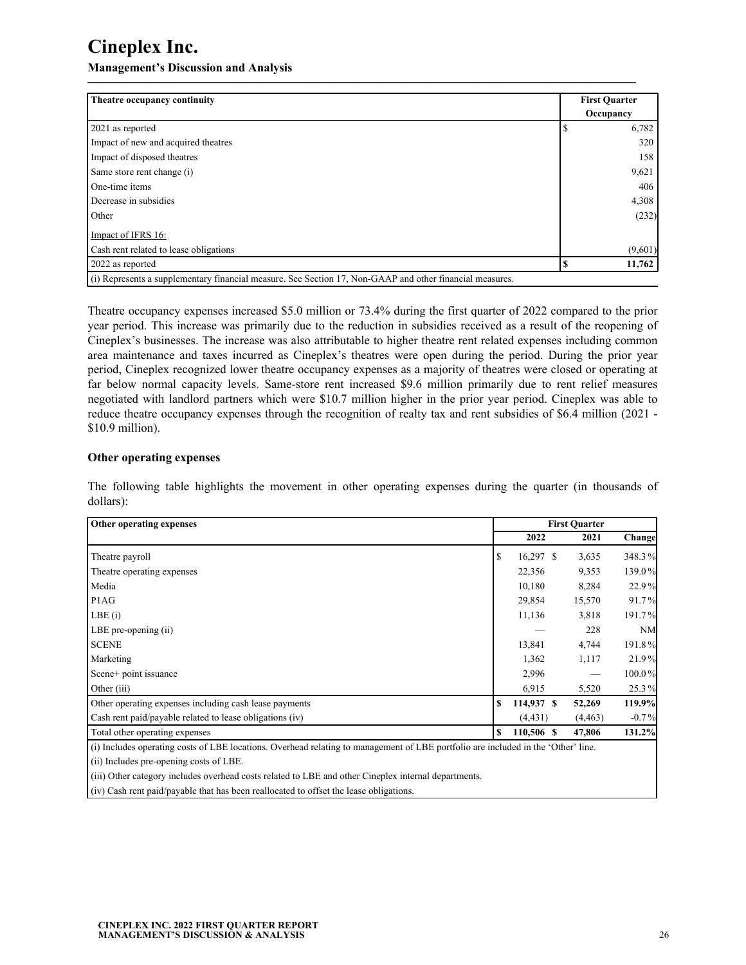**Management's Discussion and Analysis**

| Theatre occupancy continuity           |   | <b>First Quarter</b> |
|----------------------------------------|---|----------------------|
|                                        |   | Occupancy            |
| 2021 as reported                       |   | 6,782                |
| Impact of new and acquired theatres    |   | 320                  |
| Impact of disposed theatres            |   | 158                  |
| Same store rent change (i)             |   | 9,621                |
| One-time items                         |   | 406                  |
| Decrease in subsidies                  |   | 4,308                |
| Other                                  |   | (232)                |
| Impact of IFRS 16:                     |   |                      |
| Cash rent related to lease obligations |   | (9,601)              |
| 2022 as reported                       | Φ | 11,762               |

Theatre occupancy expenses increased \$5.0 million or 73.4% during the first quarter of 2022 compared to the prior year period. This increase was primarily due to the reduction in subsidies received as a result of the reopening of Cineplex's businesses. The increase was also attributable to higher theatre rent related expenses including common area maintenance and taxes incurred as Cineplex's theatres were open during the period. During the prior year period, Cineplex recognized lower theatre occupancy expenses as a majority of theatres were closed or operating at far below normal capacity levels. Same-store rent increased \$9.6 million primarily due to rent relief measures negotiated with landlord partners which were \$10.7 million higher in the prior year period. Cineplex was able to reduce theatre occupancy expenses through the recognition of realty tax and rent subsidies of \$6.4 million (2021 - \$10.9 million).

#### **Other operating expenses**

The following table highlights the movement in other operating expenses during the quarter (in thousands of dollars):

| Other operating expenses                                                                                                          | <b>First Quarter</b> |          |           |  |
|-----------------------------------------------------------------------------------------------------------------------------------|----------------------|----------|-----------|--|
|                                                                                                                                   | 2022                 | 2021     | Change    |  |
| Theatre payroll                                                                                                                   | \$<br>$16,297$ \$    | 3,635    | 348.3%    |  |
| Theatre operating expenses                                                                                                        | 22,356               | 9,353    | 139.0%    |  |
| Media                                                                                                                             | 10,180               | 8,284    | 22.9%     |  |
| P <sub>1</sub> AG                                                                                                                 | 29,854               | 15,570   | 91.7%     |  |
| LBE(i)                                                                                                                            | 11,136               | 3,818    | 191.7%    |  |
| LBE pre-opening (ii)                                                                                                              |                      | 228      | <b>NM</b> |  |
| <b>SCENE</b>                                                                                                                      | 13,841               | 4,744    | 191.8%    |  |
| Marketing                                                                                                                         | 1,362                | 1,117    | 21.9%     |  |
| Scene+ point issuance                                                                                                             | 2,996                |          | 100.0%    |  |
| Other (iii)                                                                                                                       | 6,915                | 5,520    | 25.3%     |  |
| Other operating expenses including cash lease payments                                                                            | \$<br>114,937 \$     | 52,269   | 119.9%    |  |
| Cash rent paid/payable related to lease obligations (iv)                                                                          | (4, 431)             | (4, 463) | $-0.7\%$  |  |
| Total other operating expenses                                                                                                    | \$<br>110,506 \$     | 47,806   | 131.2%    |  |
| (i) Includes operating costs of LBE locations. Overhead relating to management of LBE portfolio are included in the 'Other' line. |                      |          |           |  |

(ii) Includes pre-opening costs of LBE.

(iii) Other category includes overhead costs related to LBE and other Cineplex internal departments.

(iv) Cash rent paid/payable that has been reallocated to offset the lease obligations.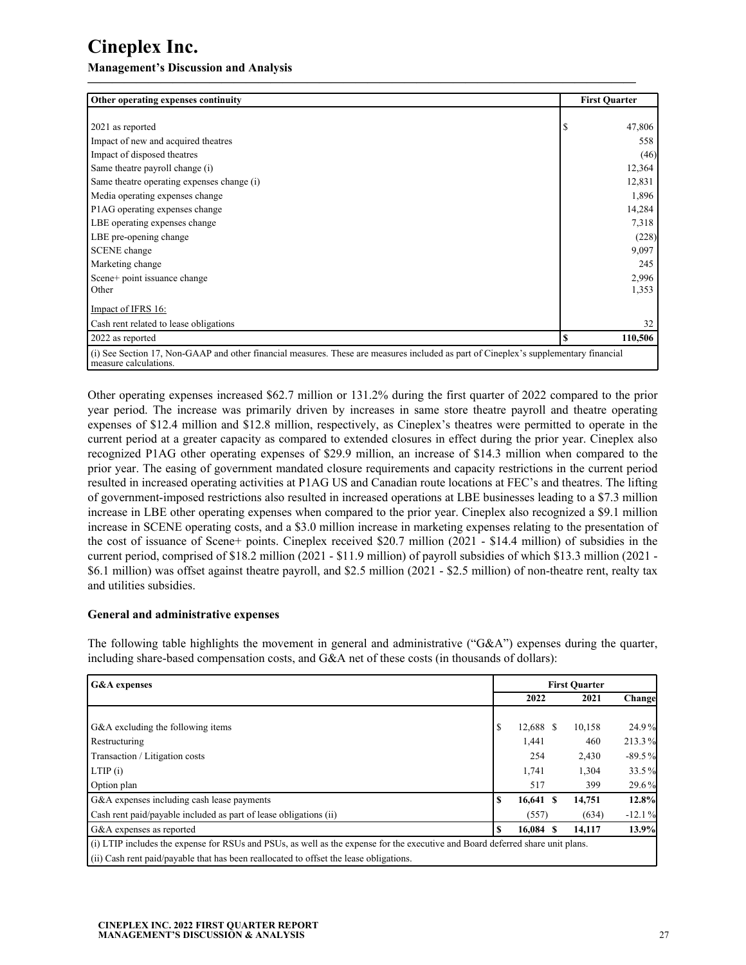**Management's Discussion and Analysis**

| Other operating expenses continuity                                                                                                                           | <b>First Quarter</b> |         |  |
|---------------------------------------------------------------------------------------------------------------------------------------------------------------|----------------------|---------|--|
|                                                                                                                                                               |                      |         |  |
| 2021 as reported                                                                                                                                              | S.                   | 47,806  |  |
| Impact of new and acquired theatres                                                                                                                           |                      | 558     |  |
| Impact of disposed theatres                                                                                                                                   |                      | (46)    |  |
| Same theatre payroll change (i)                                                                                                                               |                      | 12,364  |  |
| Same theatre operating expenses change (i)                                                                                                                    |                      | 12,831  |  |
| Media operating expenses change                                                                                                                               |                      | 1,896   |  |
| P1AG operating expenses change                                                                                                                                |                      | 14,284  |  |
| LBE operating expenses change                                                                                                                                 |                      | 7,318   |  |
| LBE pre-opening change                                                                                                                                        |                      | (228)   |  |
| <b>SCENE</b> change                                                                                                                                           |                      | 9,097   |  |
| Marketing change                                                                                                                                              |                      | 245     |  |
| Scene+ point issuance change                                                                                                                                  |                      | 2,996   |  |
| Other                                                                                                                                                         |                      | 1,353   |  |
| Impact of IFRS 16:                                                                                                                                            |                      |         |  |
| Cash rent related to lease obligations                                                                                                                        |                      | 32      |  |
| 2022 as reported                                                                                                                                              | S                    | 110,506 |  |
| (i) See Section 17, Non-GAAP and other financial measures. These are measures included as part of Cineplex's supplementary financial<br>measure calculations. |                      |         |  |

Other operating expenses increased \$62.7 million or 131.2% during the first quarter of 2022 compared to the prior year period. The increase was primarily driven by increases in same store theatre payroll and theatre operating expenses of \$12.4 million and \$12.8 million, respectively, as Cineplex's theatres were permitted to operate in the current period at a greater capacity as compared to extended closures in effect during the prior year. Cineplex also recognized P1AG other operating expenses of \$29.9 million, an increase of \$14.3 million when compared to the prior year. The easing of government mandated closure requirements and capacity restrictions in the current period resulted in increased operating activities at P1AG US and Canadian route locations at FEC's and theatres. The lifting of government-imposed restrictions also resulted in increased operations at LBE businesses leading to a \$7.3 million increase in LBE other operating expenses when compared to the prior year. Cineplex also recognized a \$9.1 million increase in SCENE operating costs, and a \$3.0 million increase in marketing expenses relating to the presentation of the cost of issuance of Scene+ points. Cineplex received \$20.7 million (2021 - \$14.4 million) of subsidies in the current period, comprised of \$18.2 million (2021 - \$11.9 million) of payroll subsidies of which \$13.3 million (2021 - \$6.1 million) was offset against theatre payroll, and \$2.5 million (2021 - \$2.5 million) of non-theatre rent, realty tax and utilities subsidies.

#### **General and administrative expenses**

The following table highlights the movement in general and administrative ("G&A") expenses during the quarter, including share-based compensation costs, and G&A net of these costs (in thousands of dollars):

| <b>G&amp;A</b> expenses                                                                                                        |    | <b>First Quarter</b> |  |        |          |
|--------------------------------------------------------------------------------------------------------------------------------|----|----------------------|--|--------|----------|
|                                                                                                                                |    | 2022                 |  | 2021   | Change   |
|                                                                                                                                |    |                      |  |        |          |
| G&A excluding the following items                                                                                              | S  | 12,688 \$            |  | 10,158 | 24.9%    |
| Restructuring                                                                                                                  |    | 1,441                |  | 460    | 213.3%   |
| Transaction / Litigation costs                                                                                                 |    | 254                  |  | 2,430  | $-89.5%$ |
| LTIP(i)                                                                                                                        |    | 1,741                |  | 1,304  | 33.5%    |
| Option plan                                                                                                                    |    | 517                  |  | 399    | 29.6%    |
| G&A expenses including cash lease payments                                                                                     | \$ | 16,641 \$            |  | 14,751 | 12.8%    |
| Cash rent paid/payable included as part of lease obligations (ii)                                                              |    | (557)                |  | (634)  | $-12.1%$ |
| G&A expenses as reported                                                                                                       | \$ | 16.084 \$            |  | 14,117 | 13.9%    |
| (i) LTIP includes the expense for RSUs and PSUs, as well as the expense for the executive and Board deferred share unit plans. |    |                      |  |        |          |
| (ii) Cash rent paid/payable that has been reallocated to offset the lease obligations.                                         |    |                      |  |        |          |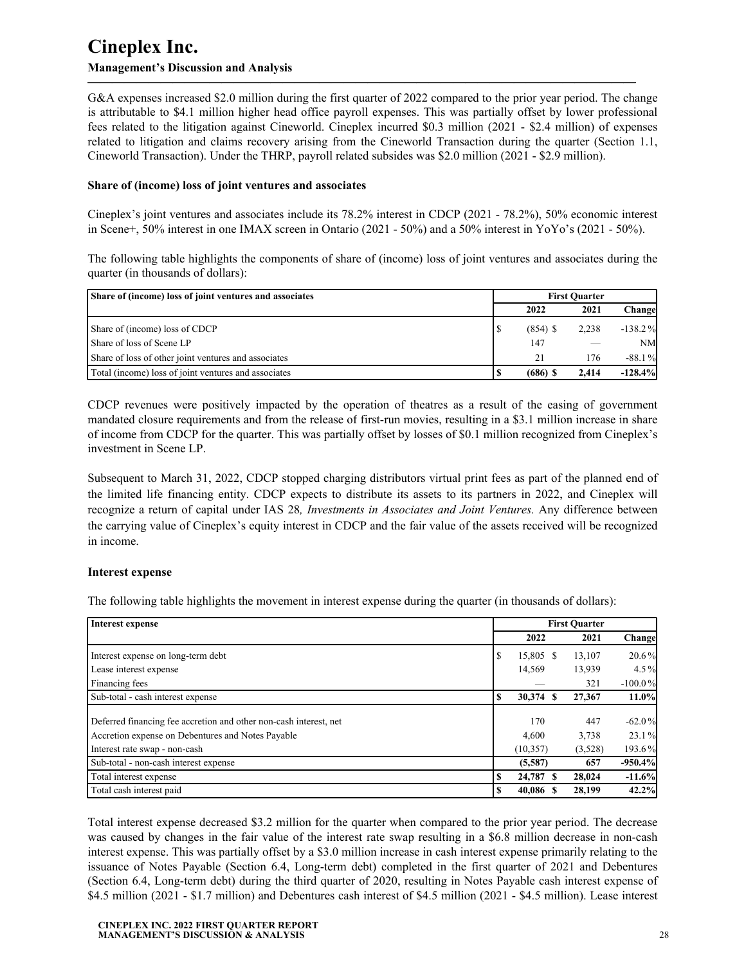G&A expenses increased \$2.0 million during the first quarter of 2022 compared to the prior year period. The change is attributable to \$4.1 million higher head office payroll expenses. This was partially offset by lower professional fees related to the litigation against Cineworld. Cineplex incurred \$0.3 million (2021 - \$2.4 million) of expenses related to litigation and claims recovery arising from the Cineworld Transaction during the quarter (Section 1.1, Cineworld Transaction). Under the THRP, payroll related subsides was \$2.0 million (2021 - \$2.9 million).

**—————————————————————————————————————————————**

#### **Share of (income) loss of joint ventures and associates**

Cineplex's joint ventures and associates include its 78.2% interest in CDCP (2021 - 78.2%), 50% economic interest in Scene+, 50% interest in one IMAX screen in Ontario (2021 - 50%) and a 50% interest in YoYo's (2021 - 50%).

The following table highlights the components of share of (income) loss of joint ventures and associates during the quarter (in thousands of dollars):

| Share of (income) loss of joint ventures and associates | <b>First Ouarter</b> |            |       |            |
|---------------------------------------------------------|----------------------|------------|-------|------------|
|                                                         |                      | 2022       | 2021  | Changel    |
| Share of (income) loss of CDCP                          |                      | $(854)$ \$ | 2.238 | $-138.2\%$ |
| Share of loss of Scene LP                               |                      | 147        |       | <b>NM</b>  |
| Share of loss of other joint ventures and associates    |                      |            | 176   | $-88.1%$   |
| Total (income) loss of joint ventures and associates    |                      | $(686)$ \$ | 2.414 | $-128.4%$  |

CDCP revenues were positively impacted by the operation of theatres as a result of the easing of government mandated closure requirements and from the release of first-run movies, resulting in a \$3.1 million increase in share of income from CDCP for the quarter. This was partially offset by losses of \$0.1 million recognized from Cineplex's investment in Scene LP.

Subsequent to March 31, 2022, CDCP stopped charging distributors virtual print fees as part of the planned end of the limited life financing entity. CDCP expects to distribute its assets to its partners in 2022, and Cineplex will recognize a return of capital under IAS 28*, Investments in Associates and Joint Ventures.* Any difference between the carrying value of Cineplex's equity interest in CDCP and the fair value of the assets received will be recognized in income.

#### **Interest expense**

The following table highlights the movement in interest expense during the quarter (in thousands of dollars):

| <b>Interest expense</b>                                           |    |           |    | <b>First Quarter</b> |           |  |
|-------------------------------------------------------------------|----|-----------|----|----------------------|-----------|--|
|                                                                   |    | 2022      |    | 2021                 | Changel   |  |
| Interest expense on long-term debt                                | \$ | 15,805 \$ |    | 13,107               | $20.6\%$  |  |
| Lease interest expense                                            |    | 14,569    |    | 13,939               | $4.5\%$   |  |
| Financing fees                                                    |    |           |    | 321                  | $-100.0%$ |  |
| Sub-total - cash interest expense                                 | S  | 30,374    | -S | 27,367               | $11.0\%$  |  |
| Deferred financing fee accretion and other non-cash interest, net |    | 170       |    | 447                  | $-62.0%$  |  |
| Accretion expense on Debentures and Notes Payable                 |    | 4,600     |    | 3,738                | 23.1%     |  |
| Interest rate swap - non-cash                                     |    | (10, 357) |    | (3,528)              | 193.6%    |  |
| Sub-total - non-cash interest expense                             |    | (5,587)   |    | 657                  | $-950.4%$ |  |
| Total interest expense                                            | \$ | 24,787 \$ |    | 28,024               | $-11.6%$  |  |
| Total cash interest paid                                          | S  | 40.086    |    | 28,199               | 42.2%     |  |

Total interest expense decreased \$3.2 million for the quarter when compared to the prior year period. The decrease was caused by changes in the fair value of the interest rate swap resulting in a \$6.8 million decrease in non-cash interest expense. This was partially offset by a \$3.0 million increase in cash interest expense primarily relating to the issuance of Notes Payable (Section 6.4, Long-term debt) completed in the first quarter of 2021 and Debentures (Section 6.4, Long-term debt) during the third quarter of 2020, resulting in Notes Payable cash interest expense of \$4.5 million (2021 - \$1.7 million) and Debentures cash interest of \$4.5 million (2021 - \$4.5 million). Lease interest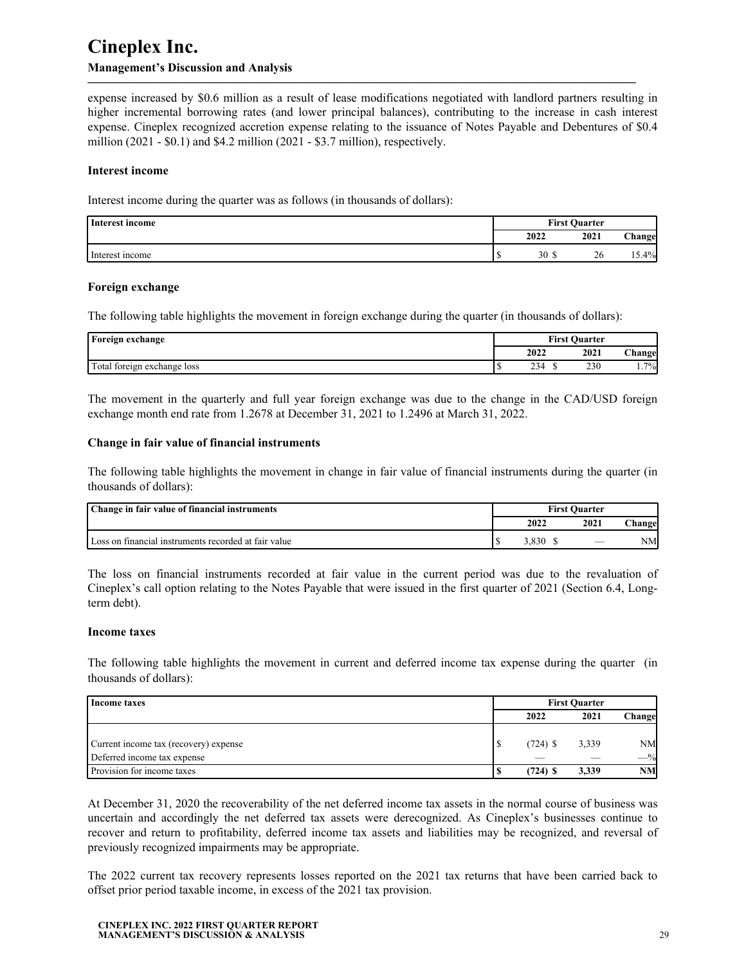expense increased by \$0.6 million as a result of lease modifications negotiated with landlord partners resulting in higher incremental borrowing rates (and lower principal balances), contributing to the increase in cash interest expense. Cineplex recognized accretion expense relating to the issuance of Notes Payable and Debentures of \$0.4 million (2021 - \$0.1) and \$4.2 million (2021 - \$3.7 million), respectively.

**—————————————————————————————————————————————**

#### **Interest income**

Interest income during the quarter was as follows (in thousands of dollars):

| Interest income | <b>First Quarter</b> |      |          |  |
|-----------------|----------------------|------|----------|--|
|                 | 2022                 | 2021 | Change   |  |
| Interest income | 30                   | 26   | $.5.4\%$ |  |

#### **Foreign exchange**

The following table highlights the movement in foreign exchange during the quarter (in thousands of dollars):

| Foreign exchange            |      | <b>First Quarter</b> |                 |
|-----------------------------|------|----------------------|-----------------|
|                             | 2022 | 2021                 | <b>hangel</b> : |
| Total foreign exchange loss | 234  | 230                  | 7%              |

The movement in the quarterly and full year foreign exchange was due to the change in the CAD/USD foreign exchange month end rate from 1.2678 at December 31, 2021 to 1.2496 at March 31, 2022.

#### **Change in fair value of financial instruments**

The following table highlights the movement in change in fair value of financial instruments during the quarter (in thousands of dollars):

| Change in fair value of financial instruments        | <b>First Ouarter</b> |      |        |  |
|------------------------------------------------------|----------------------|------|--------|--|
|                                                      | 2022                 | 2021 | hangel |  |
| Loss on financial instruments recorded at fair value | 3.830                |      | NΜ     |  |

The loss on financial instruments recorded at fair value in the current period was due to the revaluation of Cineplex's call option relating to the Notes Payable that were issued in the first quarter of 2021 (Section 6.4, Longterm debt).

#### **Income taxes**

The following table highlights the movement in current and deferred income tax expense during the quarter (in thousands of dollars):

| Income taxes                          | <b>First Ouarter</b> |            |       |           |
|---------------------------------------|----------------------|------------|-------|-----------|
|                                       |                      | 2022       | 2021  | Changel   |
|                                       |                      |            |       |           |
| Current income tax (recovery) expense |                      | $(724)$ \$ | 3,339 | <b>NM</b> |
| Deferred income tax expense           |                      |            |       | $-$ %     |
| Provision for income taxes            |                      | $(724)$ \$ | 3.339 | <b>NM</b> |

At December 31, 2020 the recoverability of the net deferred income tax assets in the normal course of business was uncertain and accordingly the net deferred tax assets were derecognized. As Cineplex's businesses continue to recover and return to profitability, deferred income tax assets and liabilities may be recognized, and reversal of previously recognized impairments may be appropriate.

The 2022 current tax recovery represents losses reported on the 2021 tax returns that have been carried back to offset prior period taxable income, in excess of the 2021 tax provision.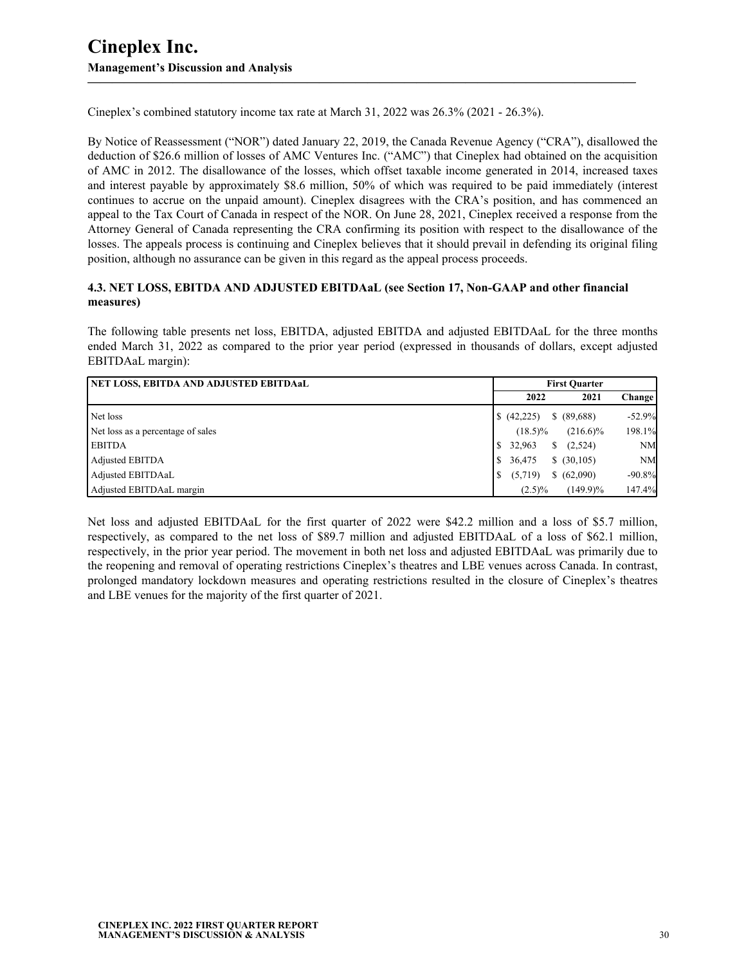Cineplex's combined statutory income tax rate at March 31, 2022 was 26.3% (2021 - 26.3%).

By Notice of Reassessment ("NOR") dated January 22, 2019, the Canada Revenue Agency ("CRA"), disallowed the deduction of \$26.6 million of losses of AMC Ventures Inc. ("AMC") that Cineplex had obtained on the acquisition of AMC in 2012. The disallowance of the losses, which offset taxable income generated in 2014, increased taxes and interest payable by approximately \$8.6 million, 50% of which was required to be paid immediately (interest continues to accrue on the unpaid amount). Cineplex disagrees with the CRA's position, and has commenced an appeal to the Tax Court of Canada in respect of the NOR. On June 28, 2021, Cineplex received a response from the Attorney General of Canada representing the CRA confirming its position with respect to the disallowance of the losses. The appeals process is continuing and Cineplex believes that it should prevail in defending its original filing position, although no assurance can be given in this regard as the appeal process proceeds.

**—————————————————————————————————————————————**

#### **4.3. NET LOSS, EBITDA AND ADJUSTED EBITDAaL (see Section 17, Non-GAAP and other financial measures)**

The following table presents net loss, EBITDA, adjusted EBITDA and adjusted EBITDAaL for the three months ended March 31, 2022 as compared to the prior year period (expressed in thousands of dollars, except adjusted EBITDAaL margin):

| <b>  NET LOSS, EBITDA AND ADJUSTED EBITDAaL</b> | <b>First Ouarter</b>  |               |           |
|-------------------------------------------------|-----------------------|---------------|-----------|
|                                                 | 2022                  | 2021          | Change    |
| Net loss                                        | $\frac{1}{2}(42,225)$ | \$ (89,688)   | $-52.9%$  |
| Net loss as a percentage of sales               | $(18.5)\%$            | $(216.6)\%$   | 198.1%    |
| <b>EBITDA</b>                                   | 32,963                | (2,524)<br>S. | <b>NM</b> |
| Adjusted EBITDA                                 | 36,475                | \$ (30,105)   | <b>NM</b> |
| Adjusted EBITDAaL                               | (5,719)               | (62,090)      | $-90.8%$  |
| Adjusted EBITDAaL margin                        | $(2.5)\%$             | $(149.9)\%$   | 147.4%    |

Net loss and adjusted EBITDAaL for the first quarter of 2022 were \$42.2 million and a loss of \$5.7 million, respectively, as compared to the net loss of \$89.7 million and adjusted EBITDAaL of a loss of \$62.1 million, respectively, in the prior year period. The movement in both net loss and adjusted EBITDAaL was primarily due to the reopening and removal of operating restrictions Cineplex's theatres and LBE venues across Canada. In contrast, prolonged mandatory lockdown measures and operating restrictions resulted in the closure of Cineplex's theatres and LBE venues for the majority of the first quarter of 2021.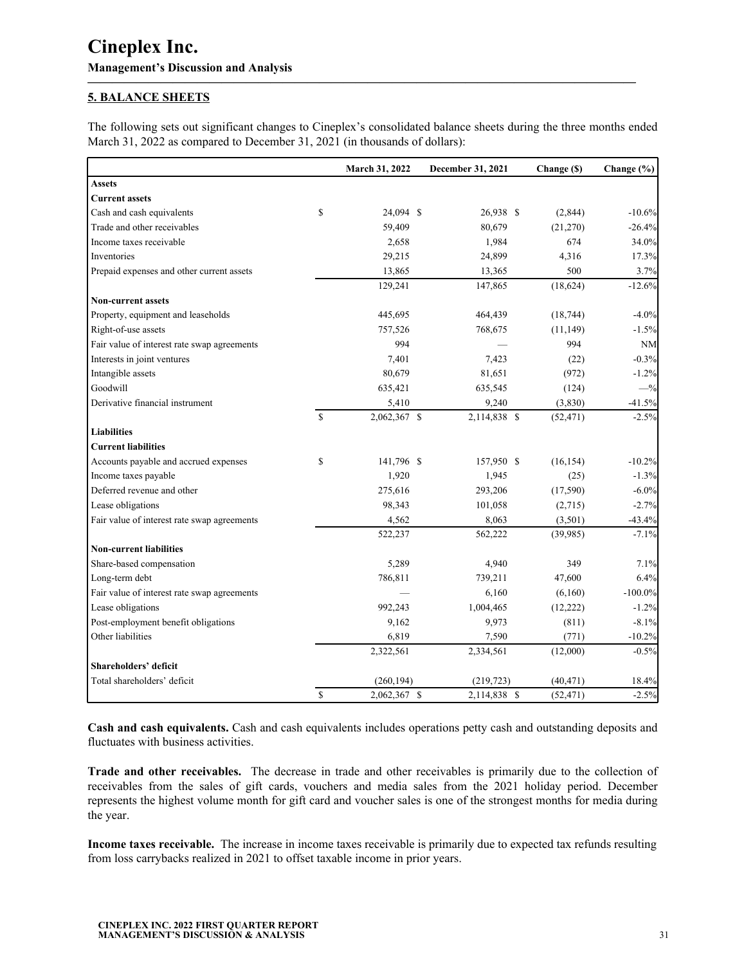## **5. BALANCE SHEETS**

The following sets out significant changes to Cineplex's consolidated balance sheets during the three months ended March 31, 2022 as compared to December 31, 2021 (in thousands of dollars):

<span id="page-30-0"></span>**—————————————————————————————————————————————**

|                                             |               | March 31, 2022 | December 31, 2021 | Change (\$) | Change (%) |
|---------------------------------------------|---------------|----------------|-------------------|-------------|------------|
| <b>Assets</b>                               |               |                |                   |             |            |
| <b>Current assets</b>                       |               |                |                   |             |            |
| Cash and cash equivalents                   | \$            | 24,094 \$      | 26,938 \$         | (2,844)     | $-10.6%$   |
| Trade and other receivables                 |               | 59,409         | 80,679            | (21,270)    | $-26.4%$   |
| Income taxes receivable                     |               | 2,658          | 1,984             | 674         | 34.0%      |
| Inventories                                 |               | 29,215         | 24,899            | 4,316       | 17.3%      |
| Prepaid expenses and other current assets   |               | 13,865         | 13,365            | 500         | 3.7%       |
|                                             |               | 129,241        | 147,865           | (18, 624)   | $-12.6%$   |
| <b>Non-current assets</b>                   |               |                |                   |             |            |
| Property, equipment and leaseholds          |               | 445,695        | 464,439           | (18, 744)   | $-4.0%$    |
| Right-of-use assets                         |               | 757,526        | 768,675           | (11, 149)   | $-1.5%$    |
| Fair value of interest rate swap agreements |               | 994            |                   | 994         | <b>NM</b>  |
| Interests in joint ventures                 |               | 7,401          | 7,423             | (22)        | $-0.3%$    |
| Intangible assets                           |               | 80,679         | 81,651            | (972)       | $-1.2%$    |
| Goodwill                                    |               | 635,421        | 635,545           | (124)       | $-$ %      |
| Derivative financial instrument             |               | 5,410          | 9,240             | (3, 830)    | $-41.5%$   |
|                                             | <sup>\$</sup> | 2,062,367 \$   | 2,114,838 \$      | (52, 471)   | $-2.5%$    |
| <b>Liabilities</b>                          |               |                |                   |             |            |
| <b>Current liabilities</b>                  |               |                |                   |             |            |
| Accounts payable and accrued expenses       | \$            | 141,796 \$     | 157,950 \$        | (16, 154)   | $-10.2%$   |
| Income taxes payable                        |               | 1,920          | 1,945             | (25)        | $-1.3%$    |
| Deferred revenue and other                  |               | 275,616        | 293,206           | (17,590)    | $-6.0\%$   |
| Lease obligations                           |               | 98,343         | 101,058           | (2,715)     | $-2.7%$    |
| Fair value of interest rate swap agreements |               | 4,562          | 8,063             | (3,501)     | $-43.4%$   |
|                                             |               | 522,237        | 562,222           | (39,985)    | $-7.1%$    |
| <b>Non-current liabilities</b>              |               |                |                   |             |            |
| Share-based compensation                    |               | 5,289          | 4,940             | 349         | 7.1%       |
| Long-term debt                              |               | 786,811        | 739,211           | 47,600      | 6.4%       |
| Fair value of interest rate swap agreements |               |                | 6,160             | (6,160)     | $-100.0\%$ |
| Lease obligations                           |               | 992,243        | 1,004,465         | (12, 222)   | $-1.2%$    |
| Post-employment benefit obligations         |               | 9,162          | 9,973             | (811)       | $-8.1%$    |
| Other liabilities                           |               | 6,819          | 7,590             | (771)       | $-10.2%$   |
|                                             |               | 2,322,561      | 2,334,561         | (12,000)    | $-0.5%$    |
| Shareholders' deficit                       |               |                |                   |             |            |
| Total shareholders' deficit                 |               | (260, 194)     | (219, 723)        | (40, 471)   | 18.4%      |
|                                             | $\mathbb{S}$  | 2,062,367 \$   | 2,114,838 \$      | (52, 471)   | $-2.5%$    |

**Cash and cash equivalents.** Cash and cash equivalents includes operations petty cash and outstanding deposits and fluctuates with business activities.

**Trade and other receivables.** The decrease in trade and other receivables is primarily due to the collection of receivables from the sales of gift cards, vouchers and media sales from the 2021 holiday period. December represents the highest volume month for gift card and voucher sales is one of the strongest months for media during the year.

**Income taxes receivable.** The increase in income taxes receivable is primarily due to expected tax refunds resulting from loss carrybacks realized in 2021 to offset taxable income in prior years.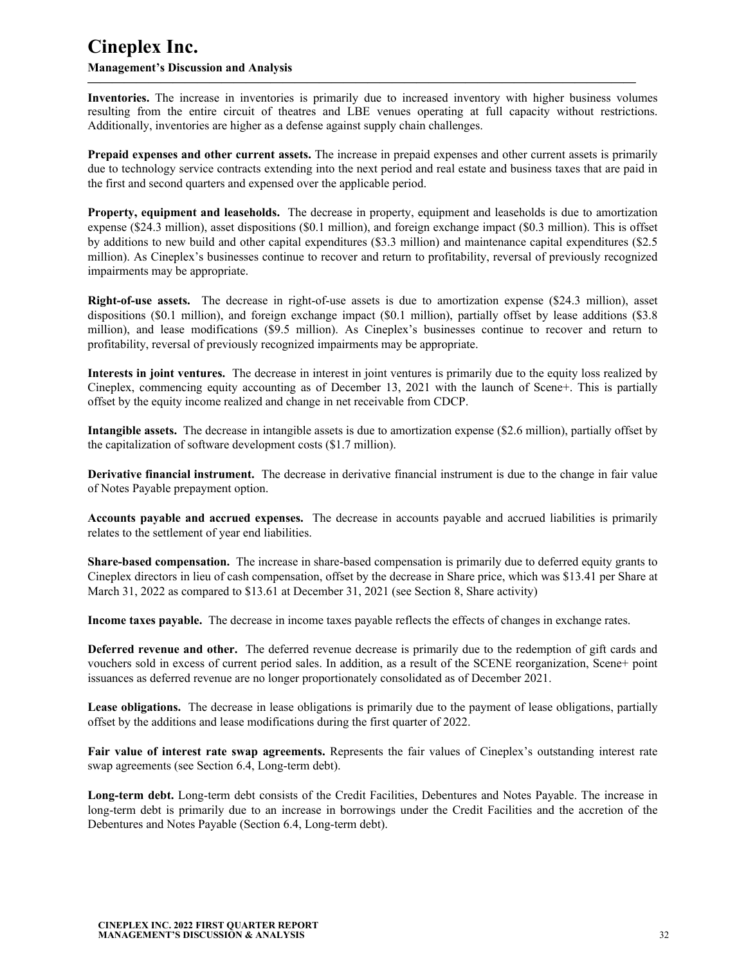#### **Management's Discussion and Analysis**

**Inventories.** The increase in inventories is primarily due to increased inventory with higher business volumes resulting from the entire circuit of theatres and LBE venues operating at full capacity without restrictions. Additionally, inventories are higher as a defense against supply chain challenges.

**—————————————————————————————————————————————**

**Prepaid expenses and other current assets.** The increase in prepaid expenses and other current assets is primarily due to technology service contracts extending into the next period and real estate and business taxes that are paid in the first and second quarters and expensed over the applicable period.

**Property, equipment and leaseholds.** The decrease in property, equipment and leaseholds is due to amortization expense (\$24.3 million), asset dispositions (\$0.1 million), and foreign exchange impact (\$0.3 million). This is offset by additions to new build and other capital expenditures (\$3.3 million) and maintenance capital expenditures (\$2.5 million). As Cineplex's businesses continue to recover and return to profitability, reversal of previously recognized impairments may be appropriate.

**Right-of-use assets.** The decrease in right-of-use assets is due to amortization expense (\$24.3 million), asset dispositions (\$0.1 million), and foreign exchange impact (\$0.1 million), partially offset by lease additions (\$3.8 million), and lease modifications (\$9.5 million). As Cineplex's businesses continue to recover and return to profitability, reversal of previously recognized impairments may be appropriate.

**Interests in joint ventures.** The decrease in interest in joint ventures is primarily due to the equity loss realized by Cineplex, commencing equity accounting as of December 13, 2021 with the launch of Scene+. This is partially offset by the equity income realized and change in net receivable from CDCP.

**Intangible assets.** The decrease in intangible assets is due to amortization expense (\$2.6 million), partially offset by the capitalization of software development costs (\$1.7 million).

**Derivative financial instrument.** The decrease in derivative financial instrument is due to the change in fair value of Notes Payable prepayment option.

**Accounts payable and accrued expenses.** The decrease in accounts payable and accrued liabilities is primarily relates to the settlement of year end liabilities.

**Share-based compensation.** The increase in share-based compensation is primarily due to deferred equity grants to Cineplex directors in lieu of cash compensation, offset by the decrease in Share price, which was \$13.41 per Share at March 31, 2022 as compared to \$13.61 at December 31, 2021 (see Section 8, Share activity)

**Income taxes payable.** The decrease in income taxes payable reflects the effects of changes in exchange rates.

**Deferred revenue and other.** The deferred revenue decrease is primarily due to the redemption of gift cards and vouchers sold in excess of current period sales. In addition, as a result of the SCENE reorganization, Scene+ point issuances as deferred revenue are no longer proportionately consolidated as of December 2021.

**Lease obligations.** The decrease in lease obligations is primarily due to the payment of lease obligations, partially offset by the additions and lease modifications during the first quarter of 2022.

**Fair value of interest rate swap agreements.** Represents the fair values of Cineplex's outstanding interest rate swap agreements (see Section 6.4, Long-term debt).

**Long-term debt.** Long-term debt consists of the Credit Facilities, Debentures and Notes Payable. The increase in long-term debt is primarily due to an increase in borrowings under the Credit Facilities and the accretion of the Debentures and Notes Payable (Section 6.4, Long-term debt).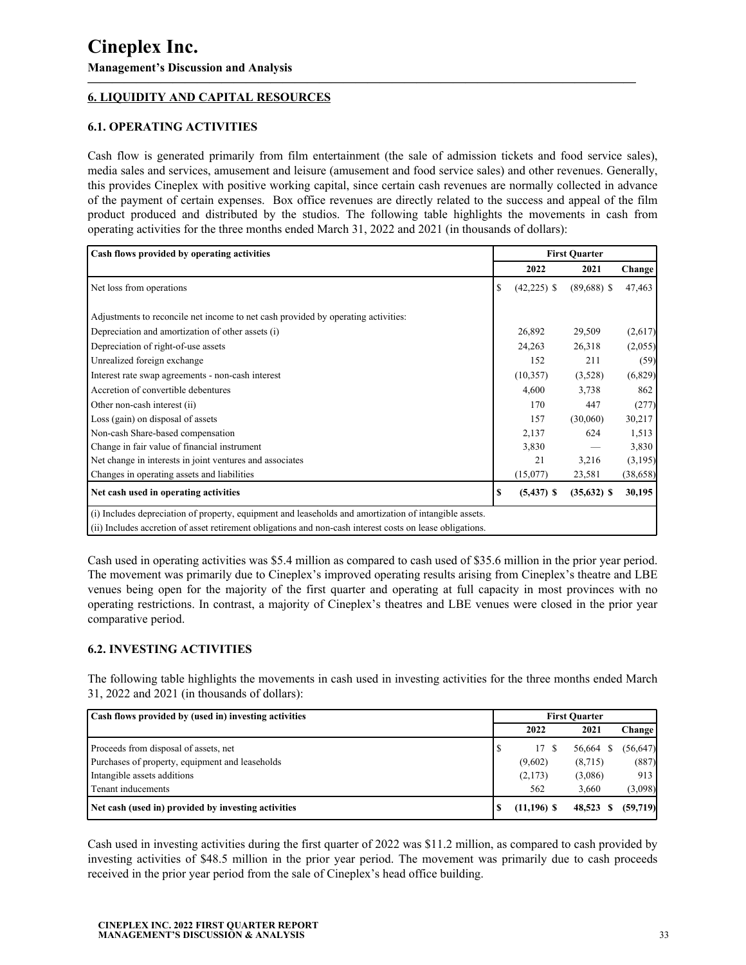## **6. LIQUIDITY AND CAPITAL RESOURCES**

### **6.1. OPERATING ACTIVITIES**

Cash flow is generated primarily from film entertainment (the sale of admission tickets and food service sales), media sales and services, amusement and leisure (amusement and food service sales) and other revenues. Generally, this provides Cineplex with positive working capital, since certain cash revenues are normally collected in advance of the payment of certain expenses. Box office revenues are directly related to the success and appeal of the film product produced and distributed by the studios. The following table highlights the movements in cash from operating activities for the three months ended March 31, 2022 and 2021 (in thousands of dollars):

<span id="page-32-0"></span>**—————————————————————————————————————————————**

| Cash flows provided by operating activities                                                               | <b>First Quarter</b> |               |               |           |
|-----------------------------------------------------------------------------------------------------------|----------------------|---------------|---------------|-----------|
|                                                                                                           |                      | 2022          | 2021          | Change    |
| Net loss from operations                                                                                  | S                    | $(42,225)$ \$ | $(89,688)$ \$ | 47,463    |
| Adjustments to reconcile net income to net cash provided by operating activities:                         |                      |               |               |           |
| Depreciation and amortization of other assets (i)                                                         |                      | 26,892        | 29,509        | (2,617)   |
| Depreciation of right-of-use assets                                                                       |                      | 24,263        | 26,318        | (2,055)   |
| Unrealized foreign exchange                                                                               |                      | 152           | 211           | (59)      |
| Interest rate swap agreements - non-cash interest                                                         |                      | (10, 357)     | (3,528)       | (6,829)   |
| Accretion of convertible debentures                                                                       |                      | 4,600         | 3,738         | 862       |
| Other non-cash interest (ii)                                                                              |                      | 170           | 447           | (277)     |
| Loss (gain) on disposal of assets                                                                         |                      | 157           | (30,060)      | 30,217    |
| Non-cash Share-based compensation                                                                         |                      | 2,137         | 624           | 1,513     |
| Change in fair value of financial instrument                                                              |                      | 3,830         |               | 3,830     |
| Net change in interests in joint ventures and associates                                                  |                      | 21            | 3,216         | (3,195)   |
| Changes in operating assets and liabilities                                                               |                      | (15,077)      | 23,581        | (38, 658) |
| Net cash used in operating activities                                                                     | S                    | $(5,437)$ \$  | $(35,632)$ \$ | 30,195    |
| (i) Includes depreciation of property, equipment and leaseholds and amortization of intangible assets.    |                      |               |               |           |
| (ii) Includes accretion of asset retirement obligations and non-cash interest costs on lease obligations. |                      |               |               |           |

Cash used in operating activities was \$5.4 million as compared to cash used of \$35.6 million in the prior year period. The movement was primarily due to Cineplex's improved operating results arising from Cineplex's theatre and LBE venues being open for the majority of the first quarter and operating at full capacity in most provinces with no operating restrictions. In contrast, a majority of Cineplex's theatres and LBE venues were closed in the prior year comparative period.

### **6.2. INVESTING ACTIVITIES**

The following table highlights the movements in cash used in investing activities for the three months ended March 31, 2022 and 2021 (in thousands of dollars):

| Cash flows provided by (used in) investing activities | <b>First Quarter</b> |               |         |           |
|-------------------------------------------------------|----------------------|---------------|---------|-----------|
|                                                       |                      | 2022          | 2021    | Change    |
| Proceeds from disposal of assets, net                 |                      | 17 S          | 56,664  | (56, 647) |
| Purchases of property, equipment and leaseholds       |                      | (9,602)       | (8,715) | (887)     |
| Intangible assets additions                           |                      | (2,173)       | (3,086) | 913       |
| Tenant inducements                                    |                      | 562           | 3.660   | (3,098)   |
| Net cash (used in) provided by investing activities   |                      | $(11,196)$ \$ | 48,523  | (59,719)  |

Cash used in investing activities during the first quarter of 2022 was \$11.2 million, as compared to cash provided by investing activities of \$48.5 million in the prior year period. The movement was primarily due to cash proceeds received in the prior year period from the sale of Cineplex's head office building.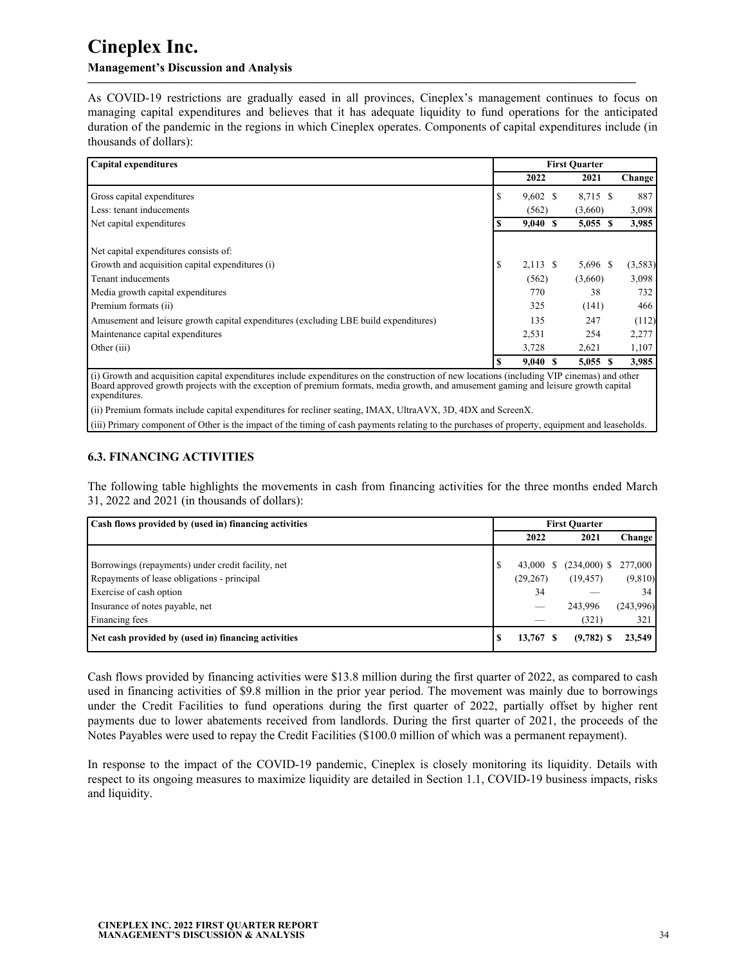## **Management's Discussion and Analysis**

As COVID-19 restrictions are gradually eased in all provinces, Cineplex's management continues to focus on managing capital expenditures and believes that it has adequate liquidity to fund operations for the anticipated duration of the pandemic in the regions in which Cineplex operates. Components of capital expenditures include (in thousands of dollars):

**—————————————————————————————————————————————**

| <b>Capital expenditures</b>                                                          | <b>First Quarter</b> |            |            |         |
|--------------------------------------------------------------------------------------|----------------------|------------|------------|---------|
|                                                                                      |                      | 2022       | 2021       | Change  |
| Gross capital expenditures                                                           |                      | $9,602$ \$ | 8,715 \$   | 887     |
| Less: tenant inducements                                                             |                      | (562)      | (3,660)    | 3,098   |
| Net capital expenditures                                                             | \$                   | 9,040S     | $5,055$ \$ | 3,985   |
| Net capital expenditures consists of:                                                |                      |            |            |         |
| Growth and acquisition capital expenditures (i)                                      | S                    | $2,113$ \$ | 5,696 \$   | (3,583) |
| Tenant inducements                                                                   |                      | (562)      | (3,660)    | 3,098   |
| Media growth capital expenditures                                                    |                      | 770        | 38         | 732     |
| Premium formats (ii)                                                                 |                      | 325        | (141)      | 466     |
| Amusement and leisure growth capital expenditures (excluding LBE build expenditures) |                      | 135        | 247        | (112)   |
| Maintenance capital expenditures                                                     |                      | 2,531      | 254        | 2,277   |
| Other (iii)                                                                          |                      | 3,728      | 2,621      | 1,107   |
|                                                                                      |                      | 9,040      | $5,055$ \$ | 3,985   |

(i) Growth and acquisition capital expenditures include expenditures on the construction of new locations (including VIP cinemas) and other Board approved growth projects with the exception of premium formats, media growth, and amusement gaming and leisure growth capital expenditures.

(ii) Premium formats include capital expenditures for recliner seating, IMAX, UltraAVX, 3D, 4DX and ScreenX.

(iii) Primary component of Other is the impact of the timing of cash payments relating to the purchases of property, equipment and leaseholds.

## **6.3. FINANCING ACTIVITIES**

The following table highlights the movements in cash from financing activities for the three months ended March 31, 2022 and 2021 (in thousands of dollars):

| Cash flows provided by (used in) financing activities | <b>First Ouarter</b> |             |                |                 |
|-------------------------------------------------------|----------------------|-------------|----------------|-----------------|
|                                                       |                      | 2022        | 2021           | Change          |
|                                                       |                      |             |                |                 |
| Borrowings (repayments) under credit facility, net    |                      | 43,000<br>S | $(234,000)$ \$ | 277,000         |
| Repayments of lease obligations - principal           |                      | (29, 267)   | (19, 457)      | (9,810)         |
| Exercise of cash option                               |                      | 34          |                | 34 <sub>1</sub> |
| Insurance of notes payable, net                       |                      | --          | 243.996        | (243,996)       |
| Financing fees                                        |                      |             | (321)          | 321             |
| Net cash provided by (used in) financing activities   | N.                   | 13,767      | $(9,782)$ \$   | 23,549          |

Cash flows provided by financing activities were \$13.8 million during the first quarter of 2022, as compared to cash used in financing activities of \$9.8 million in the prior year period. The movement was mainly due to borrowings under the Credit Facilities to fund operations during the first quarter of 2022, partially offset by higher rent payments due to lower abatements received from landlords. During the first quarter of 2021, the proceeds of the Notes Payables were used to repay the Credit Facilities (\$100.0 million of which was a permanent repayment).

In response to the impact of the COVID-19 pandemic, Cineplex is closely monitoring its liquidity. Details with respect to its ongoing measures to maximize liquidity are detailed in Section 1.1, COVID-19 business impacts, risks and liquidity.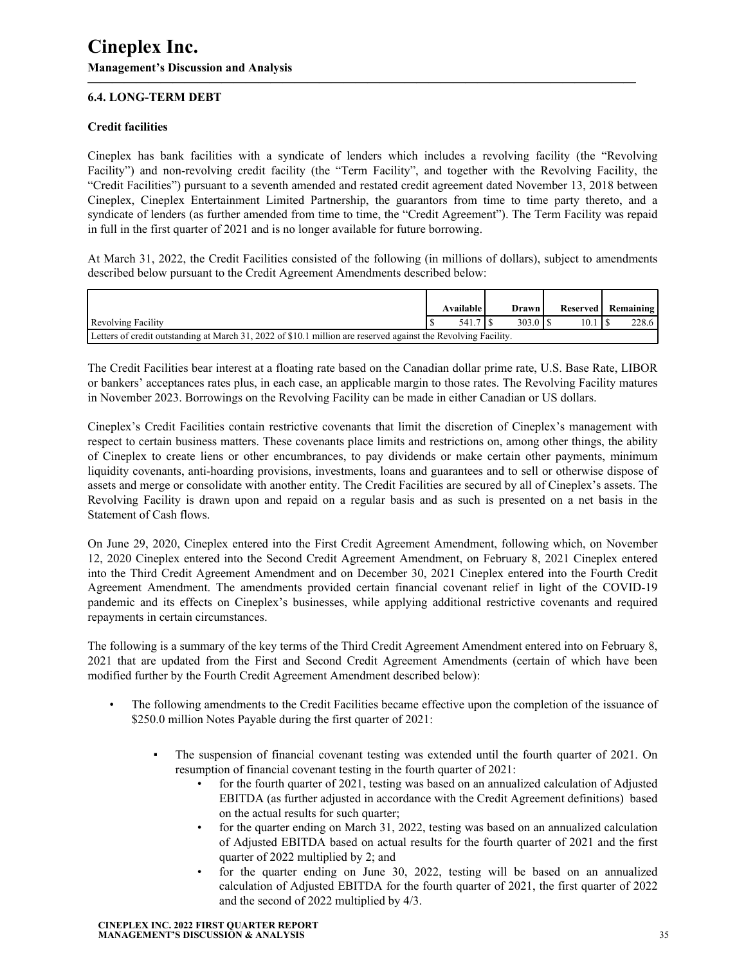## **6.4. LONG-TERM DEBT**

### **Credit facilities**

Cineplex has bank facilities with a syndicate of lenders which includes a revolving facility (the "Revolving Facility") and non-revolving credit facility (the "Term Facility", and together with the Revolving Facility, the "Credit Facilities") pursuant to a seventh amended and restated credit agreement dated November 13, 2018 between Cineplex, Cineplex Entertainment Limited Partnership, the guarantors from time to time party thereto, and a syndicate of lenders (as further amended from time to time, the "Credit Agreement"). The Term Facility was repaid in full in the first quarter of 2021 and is no longer available for future borrowing.

**—————————————————————————————————————————————**

At March 31, 2022, the Credit Facilities consisted of the following (in millions of dollars), subject to amendments described below pursuant to the Credit Agreement Amendments described below:

|                                                                                                                |  | Available l |  | <b>Drawn</b> |  | Reserved   Remaining |       |  |
|----------------------------------------------------------------------------------------------------------------|--|-------------|--|--------------|--|----------------------|-------|--|
| Revolving Facility                                                                                             |  | 541.7       |  | 303.01       |  |                      | 228.6 |  |
| Letters of credit outstanding at March 31, 2022 of \$10.1 million are reserved against the Revolving Facility. |  |             |  |              |  |                      |       |  |

The Credit Facilities bear interest at a floating rate based on the Canadian dollar prime rate, U.S. Base Rate, LIBOR or bankers' acceptances rates plus, in each case, an applicable margin to those rates. The Revolving Facility matures in November 2023. Borrowings on the Revolving Facility can be made in either Canadian or US dollars.

Cineplex's Credit Facilities contain restrictive covenants that limit the discretion of Cineplex's management with respect to certain business matters. These covenants place limits and restrictions on, among other things, the ability of Cineplex to create liens or other encumbrances, to pay dividends or make certain other payments, minimum liquidity covenants, anti-hoarding provisions, investments, loans and guarantees and to sell or otherwise dispose of assets and merge or consolidate with another entity. The Credit Facilities are secured by all of Cineplex's assets. The Revolving Facility is drawn upon and repaid on a regular basis and as such is presented on a net basis in the Statement of Cash flows.

On June 29, 2020, Cineplex entered into the First Credit Agreement Amendment, following which, on November 12, 2020 Cineplex entered into the Second Credit Agreement Amendment, on February 8, 2021 Cineplex entered into the Third Credit Agreement Amendment and on December 30, 2021 Cineplex entered into the Fourth Credit Agreement Amendment. The amendments provided certain financial covenant relief in light of the COVID-19 pandemic and its effects on Cineplex's businesses, while applying additional restrictive covenants and required repayments in certain circumstances.

The following is a summary of the key terms of the Third Credit Agreement Amendment entered into on February 8, 2021 that are updated from the First and Second Credit Agreement Amendments (certain of which have been modified further by the Fourth Credit Agreement Amendment described below):

- The following amendments to the Credit Facilities became effective upon the completion of the issuance of \$250.0 million Notes Payable during the first quarter of 2021:
	- The suspension of financial covenant testing was extended until the fourth quarter of 2021. On resumption of financial covenant testing in the fourth quarter of 2021:
		- for the fourth quarter of 2021, testing was based on an annualized calculation of Adjusted EBITDA (as further adjusted in accordance with the Credit Agreement definitions) based on the actual results for such quarter;
		- for the quarter ending on March 31, 2022, testing was based on an annualized calculation of Adjusted EBITDA based on actual results for the fourth quarter of 2021 and the first quarter of 2022 multiplied by 2; and
		- for the quarter ending on June 30, 2022, testing will be based on an annualized calculation of Adjusted EBITDA for the fourth quarter of 2021, the first quarter of 2022 and the second of 2022 multiplied by 4/3.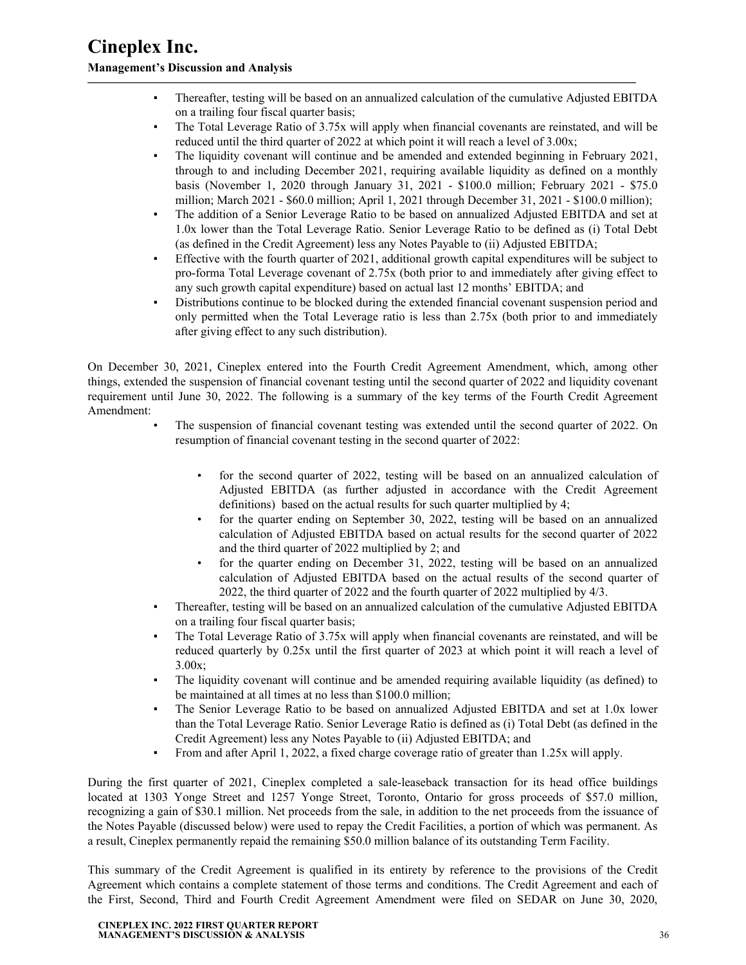▪ Thereafter, testing will be based on an annualized calculation of the cumulative Adjusted EBITDA on a trailing four fiscal quarter basis;

**—————————————————————————————————————————————**

- The Total Leverage Ratio of 3.75x will apply when financial covenants are reinstated, and will be reduced until the third quarter of 2022 at which point it will reach a level of 3.00x;
- The liquidity covenant will continue and be amended and extended beginning in February 2021, through to and including December 2021, requiring available liquidity as defined on a monthly basis (November 1, 2020 through January 31, 2021 - \$100.0 million; February 2021 - \$75.0 million; March 2021 - \$60.0 million; April 1, 2021 through December 31, 2021 - \$100.0 million);
- The addition of a Senior Leverage Ratio to be based on annualized Adjusted EBITDA and set at 1.0x lower than the Total Leverage Ratio. Senior Leverage Ratio to be defined as (i) Total Debt (as defined in the Credit Agreement) less any Notes Payable to (ii) Adjusted EBITDA;
- Effective with the fourth quarter of 2021, additional growth capital expenditures will be subject to pro-forma Total Leverage covenant of 2.75x (both prior to and immediately after giving effect to any such growth capital expenditure) based on actual last 12 months' EBITDA; and
- Distributions continue to be blocked during the extended financial covenant suspension period and only permitted when the Total Leverage ratio is less than 2.75x (both prior to and immediately after giving effect to any such distribution).

On December 30, 2021, Cineplex entered into the Fourth Credit Agreement Amendment, which, among other things, extended the suspension of financial covenant testing until the second quarter of 2022 and liquidity covenant requirement until June 30, 2022. The following is a summary of the key terms of the Fourth Credit Agreement Amendment:

- The suspension of financial covenant testing was extended until the second quarter of 2022. On resumption of financial covenant testing in the second quarter of 2022:
	- for the second quarter of 2022, testing will be based on an annualized calculation of Adjusted EBITDA (as further adjusted in accordance with the Credit Agreement definitions) based on the actual results for such quarter multiplied by 4;
	- for the quarter ending on September 30, 2022, testing will be based on an annualized calculation of Adjusted EBITDA based on actual results for the second quarter of 2022 and the third quarter of 2022 multiplied by 2; and
	- for the quarter ending on December 31, 2022, testing will be based on an annualized calculation of Adjusted EBITDA based on the actual results of the second quarter of 2022, the third quarter of 2022 and the fourth quarter of 2022 multiplied by 4/3.
- Thereafter, testing will be based on an annualized calculation of the cumulative Adjusted EBITDA on a trailing four fiscal quarter basis;
- The Total Leverage Ratio of 3.75x will apply when financial covenants are reinstated, and will be reduced quarterly by 0.25x until the first quarter of 2023 at which point it will reach a level of  $3.00x$ ;
- The liquidity covenant will continue and be amended requiring available liquidity (as defined) to be maintained at all times at no less than \$100.0 million;
- The Senior Leverage Ratio to be based on annualized Adjusted EBITDA and set at 1.0x lower than the Total Leverage Ratio. Senior Leverage Ratio is defined as (i) Total Debt (as defined in the Credit Agreement) less any Notes Payable to (ii) Adjusted EBITDA; and
- From and after April 1, 2022, a fixed charge coverage ratio of greater than 1.25x will apply.

During the first quarter of 2021, Cineplex completed a sale-leaseback transaction for its head office buildings located at 1303 Yonge Street and 1257 Yonge Street, Toronto, Ontario for gross proceeds of \$57.0 million, recognizing a gain of \$30.1 million. Net proceeds from the sale, in addition to the net proceeds from the issuance of the Notes Payable (discussed below) were used to repay the Credit Facilities, a portion of which was permanent. As a result, Cineplex permanently repaid the remaining \$50.0 million balance of its outstanding Term Facility.

This summary of the Credit Agreement is qualified in its entirety by reference to the provisions of the Credit Agreement which contains a complete statement of those terms and conditions. The Credit Agreement and each of the First, Second, Third and Fourth Credit Agreement Amendment were filed on SEDAR on June 30, 2020,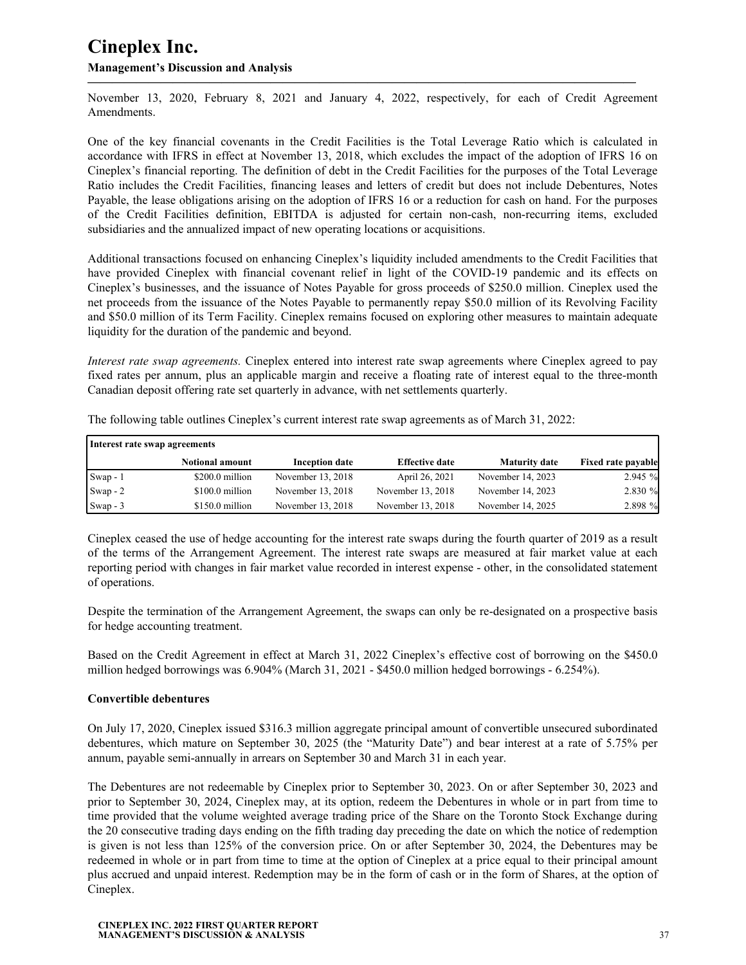November 13, 2020, February 8, 2021 and January 4, 2022, respectively, for each of Credit Agreement Amendments. **—————————————————————————————————————————————**

One of the key financial covenants in the Credit Facilities is the Total Leverage Ratio which is calculated in accordance with IFRS in effect at November 13, 2018, which excludes the impact of the adoption of IFRS 16 on Cineplex's financial reporting. The definition of debt in the Credit Facilities for the purposes of the Total Leverage Ratio includes the Credit Facilities, financing leases and letters of credit but does not include Debentures, Notes Payable, the lease obligations arising on the adoption of IFRS 16 or a reduction for cash on hand. For the purposes of the Credit Facilities definition, EBITDA is adjusted for certain non-cash, non-recurring items, excluded subsidiaries and the annualized impact of new operating locations or acquisitions.

Additional transactions focused on enhancing Cineplex's liquidity included amendments to the Credit Facilities that have provided Cineplex with financial covenant relief in light of the COVID-19 pandemic and its effects on Cineplex's businesses, and the issuance of Notes Payable for gross proceeds of \$250.0 million. Cineplex used the net proceeds from the issuance of the Notes Payable to permanently repay \$50.0 million of its Revolving Facility and \$50.0 million of its Term Facility. Cineplex remains focused on exploring other measures to maintain adequate liquidity for the duration of the pandemic and beyond.

*Interest rate swap agreements.* Cineplex entered into interest rate swap agreements where Cineplex agreed to pay fixed rates per annum, plus an applicable margin and receive a floating rate of interest equal to the three-month Canadian deposit offering rate set quarterly in advance, with net settlements quarterly.

| Interest rate swap agreements |                        |                       |                       |                      |                           |
|-------------------------------|------------------------|-----------------------|-----------------------|----------------------|---------------------------|
|                               | <b>Notional amount</b> | <b>Inception date</b> | <b>Effective date</b> | <b>Maturity date</b> | <b>Fixed rate payable</b> |
| Swap - 1                      | $$200.0$ million       | November 13, 2018     | April 26, 2021        | November 14, 2023    | 2.945 %                   |
| $\sqrt{\text{Swap}-2}$        | $$100.0$ million       | November 13, 2018     | November 13, 2018     | November 14, 2023    | 2.830 %                   |
| $\text{Swap} - 3$             | \$150.0 million        | November 13, 2018     | November 13, 2018     | November 14, 2025    | 2.898 %                   |

The following table outlines Cineplex's current interest rate swap agreements as of March 31, 2022:

Cineplex ceased the use of hedge accounting for the interest rate swaps during the fourth quarter of 2019 as a result of the terms of the Arrangement Agreement. The interest rate swaps are measured at fair market value at each reporting period with changes in fair market value recorded in interest expense - other, in the consolidated statement of operations.

Despite the termination of the Arrangement Agreement, the swaps can only be re-designated on a prospective basis for hedge accounting treatment.

Based on the Credit Agreement in effect at March 31, 2022 Cineplex's effective cost of borrowing on the \$450.0 million hedged borrowings was 6.904% (March 31, 2021 - \$450.0 million hedged borrowings - 6.254%).

#### **Convertible debentures**

On July 17, 2020, Cineplex issued \$316.3 million aggregate principal amount of convertible unsecured subordinated debentures, which mature on September 30, 2025 (the "Maturity Date") and bear interest at a rate of 5.75% per annum, payable semi-annually in arrears on September 30 and March 31 in each year.

The Debentures are not redeemable by Cineplex prior to September 30, 2023. On or after September 30, 2023 and prior to September 30, 2024, Cineplex may, at its option, redeem the Debentures in whole or in part from time to time provided that the volume weighted average trading price of the Share on the Toronto Stock Exchange during the 20 consecutive trading days ending on the fifth trading day preceding the date on which the notice of redemption is given is not less than 125% of the conversion price. On or after September 30, 2024, the Debentures may be redeemed in whole or in part from time to time at the option of Cineplex at a price equal to their principal amount plus accrued and unpaid interest. Redemption may be in the form of cash or in the form of Shares, at the option of Cineplex.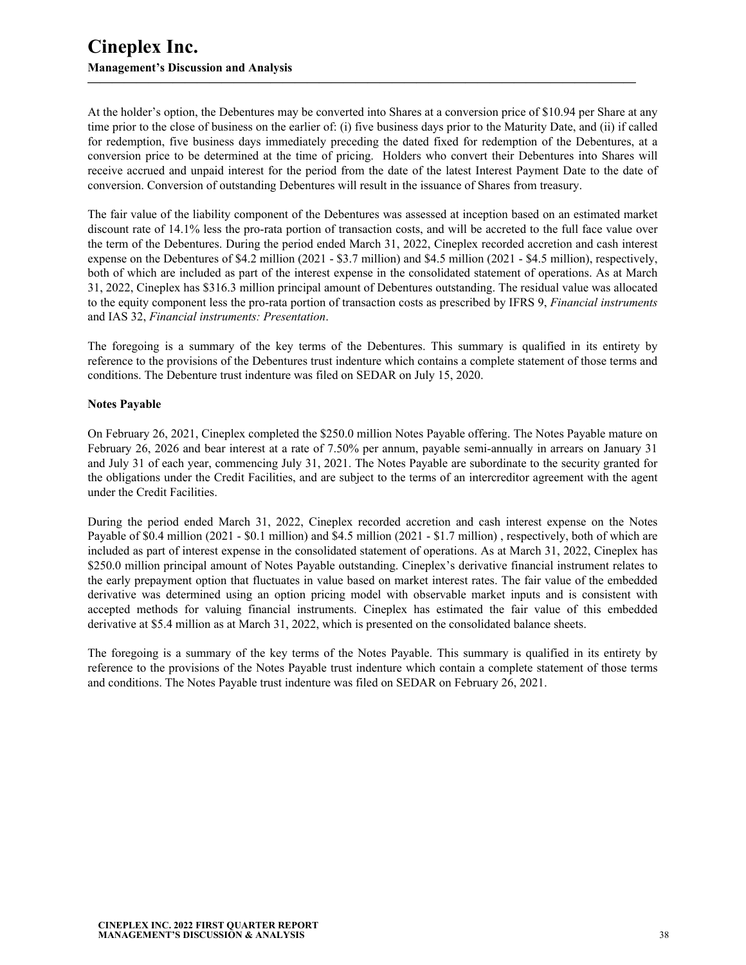At the holder's option, the Debentures may be converted into Shares at a conversion price of \$10.94 per Share at any time prior to the close of business on the earlier of: (i) five business days prior to the Maturity Date, and (ii) if called for redemption, five business days immediately preceding the dated fixed for redemption of the Debentures, at a conversion price to be determined at the time of pricing. Holders who convert their Debentures into Shares will receive accrued and unpaid interest for the period from the date of the latest Interest Payment Date to the date of conversion. Conversion of outstanding Debentures will result in the issuance of Shares from treasury.

**—————————————————————————————————————————————**

The fair value of the liability component of the Debentures was assessed at inception based on an estimated market discount rate of 14.1% less the pro-rata portion of transaction costs, and will be accreted to the full face value over the term of the Debentures. During the period ended March 31, 2022, Cineplex recorded accretion and cash interest expense on the Debentures of \$4.2 million (2021 - \$3.7 million) and \$4.5 million (2021 - \$4.5 million), respectively, both of which are included as part of the interest expense in the consolidated statement of operations. As at March 31, 2022, Cineplex has \$316.3 million principal amount of Debentures outstanding. The residual value was allocated to the equity component less the pro-rata portion of transaction costs as prescribed by IFRS 9, *Financial instruments*  and IAS 32, *Financial instruments: Presentation*.

The foregoing is a summary of the key terms of the Debentures. This summary is qualified in its entirety by reference to the provisions of the Debentures trust indenture which contains a complete statement of those terms and conditions. The Debenture trust indenture was filed on SEDAR on July 15, 2020.

### **Notes Payable**

On February 26, 2021, Cineplex completed the \$250.0 million Notes Payable offering. The Notes Payable mature on February 26, 2026 and bear interest at a rate of 7.50% per annum, payable semi-annually in arrears on January 31 and July 31 of each year, commencing July 31, 2021. The Notes Payable are subordinate to the security granted for the obligations under the Credit Facilities, and are subject to the terms of an intercreditor agreement with the agent under the Credit Facilities.

During the period ended March 31, 2022, Cineplex recorded accretion and cash interest expense on the Notes Payable of \$0.4 million (2021 - \$0.1 million) and \$4.5 million (2021 - \$1.7 million) , respectively, both of which are included as part of interest expense in the consolidated statement of operations. As at March 31, 2022, Cineplex has \$250.0 million principal amount of Notes Payable outstanding. Cineplex's derivative financial instrument relates to the early prepayment option that fluctuates in value based on market interest rates. The fair value of the embedded derivative was determined using an option pricing model with observable market inputs and is consistent with accepted methods for valuing financial instruments. Cineplex has estimated the fair value of this embedded derivative at \$5.4 million as at March 31, 2022, which is presented on the consolidated balance sheets.

The foregoing is a summary of the key terms of the Notes Payable. This summary is qualified in its entirety by reference to the provisions of the Notes Payable trust indenture which contain a complete statement of those terms and conditions. The Notes Payable trust indenture was filed on SEDAR on February 26, 2021.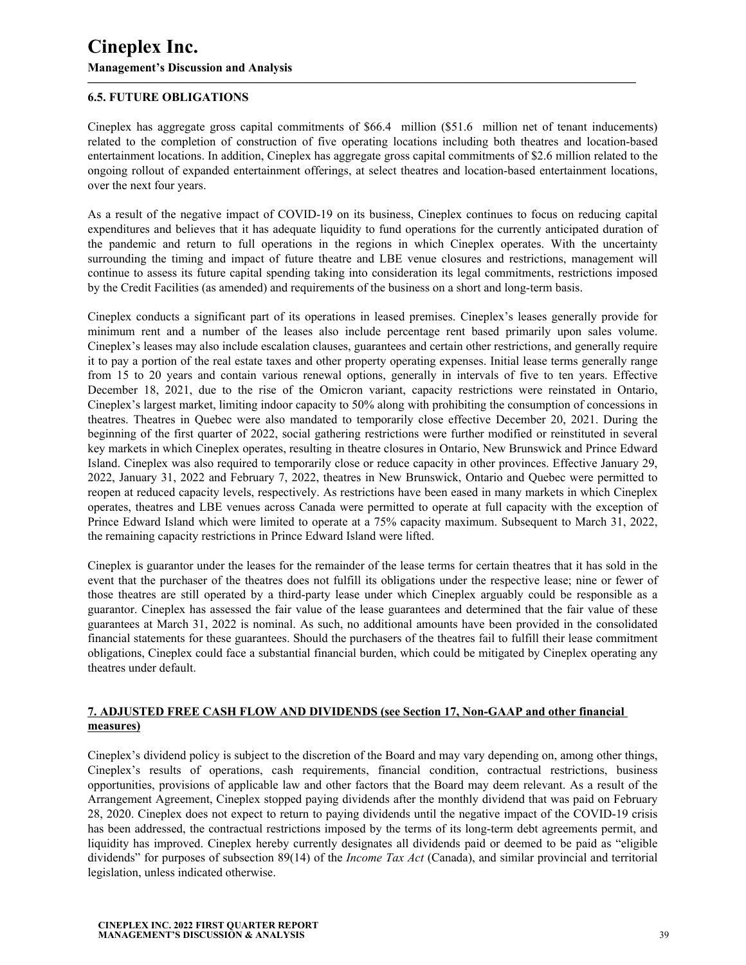## **6.5. FUTURE OBLIGATIONS**

Cineplex has aggregate gross capital commitments of \$66.4 million (\$51.6 million net of tenant inducements) related to the completion of construction of five operating locations including both theatres and location-based entertainment locations. In addition, Cineplex has aggregate gross capital commitments of \$2.6 million related to the ongoing rollout of expanded entertainment offerings, at select theatres and location-based entertainment locations, over the next four years.

<span id="page-38-0"></span>**—————————————————————————————————————————————**

As a result of the negative impact of COVID-19 on its business, Cineplex continues to focus on reducing capital expenditures and believes that it has adequate liquidity to fund operations for the currently anticipated duration of the pandemic and return to full operations in the regions in which Cineplex operates. With the uncertainty surrounding the timing and impact of future theatre and LBE venue closures and restrictions, management will continue to assess its future capital spending taking into consideration its legal commitments, restrictions imposed by the Credit Facilities (as amended) and requirements of the business on a short and long-term basis.

Cineplex conducts a significant part of its operations in leased premises. Cineplex's leases generally provide for minimum rent and a number of the leases also include percentage rent based primarily upon sales volume. Cineplex's leases may also include escalation clauses, guarantees and certain other restrictions, and generally require it to pay a portion of the real estate taxes and other property operating expenses. Initial lease terms generally range from 15 to 20 years and contain various renewal options, generally in intervals of five to ten years. Effective December 18, 2021, due to the rise of the Omicron variant, capacity restrictions were reinstated in Ontario, Cineplex's largest market, limiting indoor capacity to 50% along with prohibiting the consumption of concessions in theatres. Theatres in Quebec were also mandated to temporarily close effective December 20, 2021. During the beginning of the first quarter of 2022, social gathering restrictions were further modified or reinstituted in several key markets in which Cineplex operates, resulting in theatre closures in Ontario, New Brunswick and Prince Edward Island. Cineplex was also required to temporarily close or reduce capacity in other provinces. Effective January 29, 2022, January 31, 2022 and February 7, 2022, theatres in New Brunswick, Ontario and Quebec were permitted to reopen at reduced capacity levels, respectively. As restrictions have been eased in many markets in which Cineplex operates, theatres and LBE venues across Canada were permitted to operate at full capacity with the exception of Prince Edward Island which were limited to operate at a 75% capacity maximum. Subsequent to March 31, 2022, the remaining capacity restrictions in Prince Edward Island were lifted.

Cineplex is guarantor under the leases for the remainder of the lease terms for certain theatres that it has sold in the event that the purchaser of the theatres does not fulfill its obligations under the respective lease; nine or fewer of those theatres are still operated by a third-party lease under which Cineplex arguably could be responsible as a guarantor. Cineplex has assessed the fair value of the lease guarantees and determined that the fair value of these guarantees at March 31, 2022 is nominal. As such, no additional amounts have been provided in the consolidated financial statements for these guarantees. Should the purchasers of the theatres fail to fulfill their lease commitment obligations, Cineplex could face a substantial financial burden, which could be mitigated by Cineplex operating any theatres under default.

### **7. ADJUSTED FREE CASH FLOW AND DIVIDENDS (see Section 17, Non-GAAP and other financial measures)**

Cineplex's dividend policy is subject to the discretion of the Board and may vary depending on, among other things, Cineplex's results of operations, cash requirements, financial condition, contractual restrictions, business opportunities, provisions of applicable law and other factors that the Board may deem relevant. As a result of the Arrangement Agreement, Cineplex stopped paying dividends after the monthly dividend that was paid on February 28, 2020. Cineplex does not expect to return to paying dividends until the negative impact of the COVID-19 crisis has been addressed, the contractual restrictions imposed by the terms of its long-term debt agreements permit, and liquidity has improved. Cineplex hereby currently designates all dividends paid or deemed to be paid as "eligible dividends" for purposes of subsection 89(14) of the *Income Tax Act* (Canada), and similar provincial and territorial legislation, unless indicated otherwise.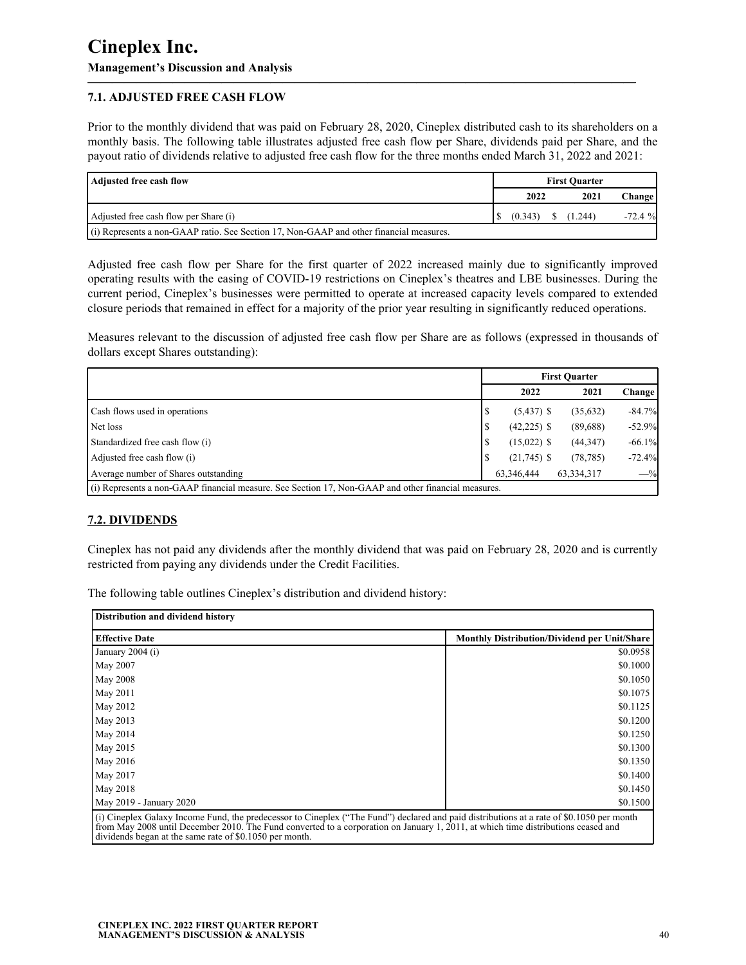## **7.1. ADJUSTED FREE CASH FLOW**

Prior to the monthly dividend that was paid on February 28, 2020, Cineplex distributed cash to its shareholders on a monthly basis. The following table illustrates adjusted free cash flow per Share, dividends paid per Share, and the payout ratio of dividends relative to adjusted free cash flow for the three months ended March 31, 2022 and 2021:

**—————————————————————————————————————————————**

| Adjusted free cash flow                                                                   | <b>First Quarter</b> |         |  |           |          |
|-------------------------------------------------------------------------------------------|----------------------|---------|--|-----------|----------|
|                                                                                           |                      | 2022    |  | 2021      | Change   |
| Adjusted free cash flow per Share (i)                                                     |                      | (0.343) |  | \$(1.244) | $-72.4%$ |
| $(i)$ Represents a non-GAAP ratio. See Section 17, Non-GAAP and other financial measures. |                      |         |  |           |          |

Adjusted free cash flow per Share for the first quarter of 2022 increased mainly due to significantly improved operating results with the easing of COVID-19 restrictions on Cineplex's theatres and LBE businesses. During the current period, Cineplex's businesses were permitted to operate at increased capacity levels compared to extended closure periods that remained in effect for a majority of the prior year resulting in significantly reduced operations.

Measures relevant to the discussion of adjusted free cash flow per Share are as follows (expressed in thousands of dollars except Shares outstanding):

|                                                                                                     | <b>First Ouarter</b> |               |            |          |  |  |
|-----------------------------------------------------------------------------------------------------|----------------------|---------------|------------|----------|--|--|
|                                                                                                     |                      | 2022          | 2021       | Change   |  |  |
| <b>Cash flows used in operations</b>                                                                | S                    | $(5,437)$ \$  | (35,632)   | $-84.7%$ |  |  |
| Net loss                                                                                            | \$                   | $(42,225)$ \$ | (89,688)   | $-52.9%$ |  |  |
| Standardized free cash flow (i)                                                                     | S                    | $(15,022)$ \$ | (44, 347)  | $-66.1%$ |  |  |
| Adjusted free cash flow (i)                                                                         | S                    | $(21,745)$ \$ | (78, 785)  | $-72.4%$ |  |  |
| Average number of Shares outstanding                                                                |                      | 63.346.444    | 63,334,317 | $-$ %    |  |  |
| (i) Represents a non-GAAP financial measure. See Section 17, Non-GAAP and other financial measures. |                      |               |            |          |  |  |

### **7.2. DIVIDENDS**

Cineplex has not paid any dividends after the monthly dividend that was paid on February 28, 2020 and is currently restricted from paying any dividends under the Credit Facilities.

The following table outlines Cineplex's distribution and dividend history:

| <b>Monthly Distribution/Dividend per Unit/Share</b>                                                                                       |
|-------------------------------------------------------------------------------------------------------------------------------------------|
| \$0.0958                                                                                                                                  |
| \$0.1000                                                                                                                                  |
| \$0.1050                                                                                                                                  |
| \$0.1075                                                                                                                                  |
| \$0.1125                                                                                                                                  |
| \$0.1200                                                                                                                                  |
| \$0.1250                                                                                                                                  |
| \$0.1300                                                                                                                                  |
| \$0.1350                                                                                                                                  |
| \$0.1400                                                                                                                                  |
| \$0.1450                                                                                                                                  |
| \$0.1500                                                                                                                                  |
| (i) Cincular Golery Income Eund, the prodecessor to Cincular ("The Eund") declared and need distributions at a rate of \$0,1050 per month |

(i) Cineplex Galaxy Income Fund, the predecessor to Cineplex ("The Fund") declared and paid distributions at a rate of \$0.1050 per month from May 2008 until December 2010. The Fund converted to a corporation on January 1, 2011, at which time distributions ceased and dividends began at the same rate of \$0.1050 per month.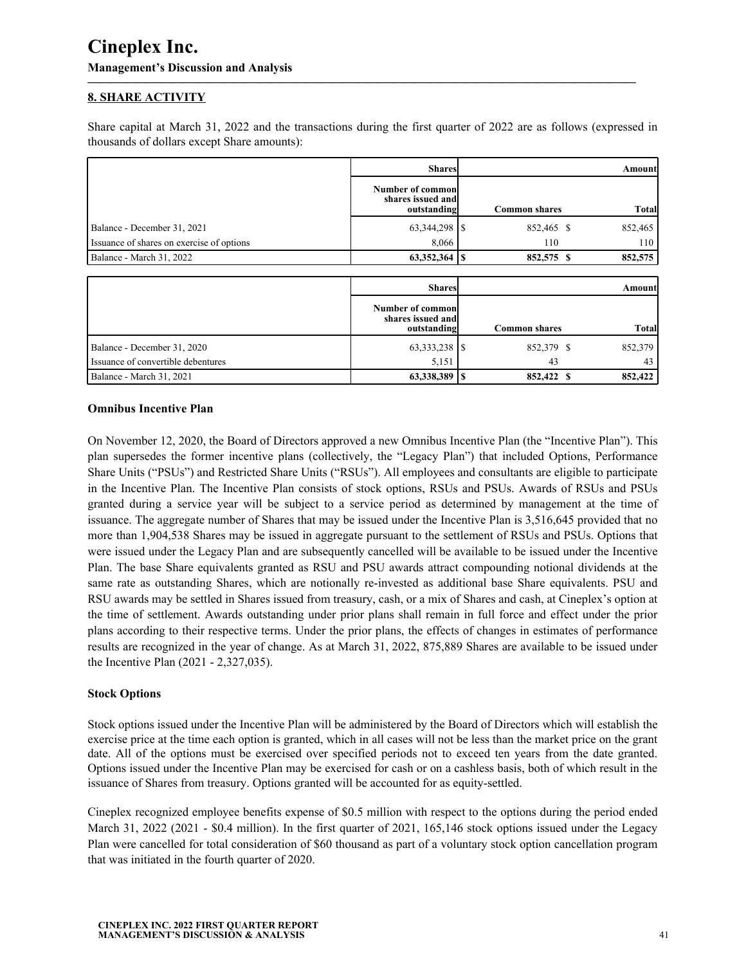## **8. SHARE ACTIVITY**

Share capital at March 31, 2022 and the transactions during the first quarter of 2022 are as follows (expressed in thousands of dollars except Share amounts):

<span id="page-40-0"></span>**—————————————————————————————————————————————**

|                                           | <b>Shares</b>                                         |                      | Amount       |
|-------------------------------------------|-------------------------------------------------------|----------------------|--------------|
|                                           | Number of commonl<br>shares issued and<br>outstanding | <b>Common shares</b> | <b>Total</b> |
| Balance - December 31, 2021               |                                                       | 852,465 \$           | 852,465      |
| Issuance of shares on exercise of options | 8,066                                                 | 110                  | 110          |
| Balance - March 31, 2022                  | $63,352,364$ S                                        | 852,575 \$           | 852,575      |
|                                           |                                                       |                      |              |
|                                           | <b>Shares</b>                                         |                      | Amount       |
|                                           | Number of common<br>shares issued and<br>outstanding  | <b>Common shares</b> | <b>Total</b> |
| Balance - December 31, 2020               |                                                       | 852,379 \$           | 852,379      |
| Issuance of convertible debentures        | 5,151                                                 | 43                   | 43           |
| Balance - March 31, 2021                  | $63,338,389$ S                                        | 852,422 \$           | 852,422      |

#### **Omnibus Incentive Plan**

On November 12, 2020, the Board of Directors approved a new Omnibus Incentive Plan (the "Incentive Plan"). This plan supersedes the former incentive plans (collectively, the "Legacy Plan") that included Options, Performance Share Units ("PSUs") and Restricted Share Units ("RSUs"). All employees and consultants are eligible to participate in the Incentive Plan. The Incentive Plan consists of stock options, RSUs and PSUs. Awards of RSUs and PSUs granted during a service year will be subject to a service period as determined by management at the time of issuance. The aggregate number of Shares that may be issued under the Incentive Plan is 3,516,645 provided that no more than 1,904,538 Shares may be issued in aggregate pursuant to the settlement of RSUs and PSUs. Options that were issued under the Legacy Plan and are subsequently cancelled will be available to be issued under the Incentive Plan. The base Share equivalents granted as RSU and PSU awards attract compounding notional dividends at the same rate as outstanding Shares, which are notionally re-invested as additional base Share equivalents. PSU and RSU awards may be settled in Shares issued from treasury, cash, or a mix of Shares and cash, at Cineplex's option at the time of settlement. Awards outstanding under prior plans shall remain in full force and effect under the prior plans according to their respective terms. Under the prior plans, the effects of changes in estimates of performance results are recognized in the year of change. As at March 31, 2022, 875,889 Shares are available to be issued under the Incentive Plan (2021 - 2,327,035).

#### **Stock Options**

Stock options issued under the Incentive Plan will be administered by the Board of Directors which will establish the exercise price at the time each option is granted, which in all cases will not be less than the market price on the grant date. All of the options must be exercised over specified periods not to exceed ten years from the date granted. Options issued under the Incentive Plan may be exercised for cash or on a cashless basis, both of which result in the issuance of Shares from treasury. Options granted will be accounted for as equity-settled.

Cineplex recognized employee benefits expense of \$0.5 million with respect to the options during the period ended March 31, 2022 (2021 - \$0.4 million). In the first quarter of 2021, 165,146 stock options issued under the Legacy Plan were cancelled for total consideration of \$60 thousand as part of a voluntary stock option cancellation program that was initiated in the fourth quarter of 2020.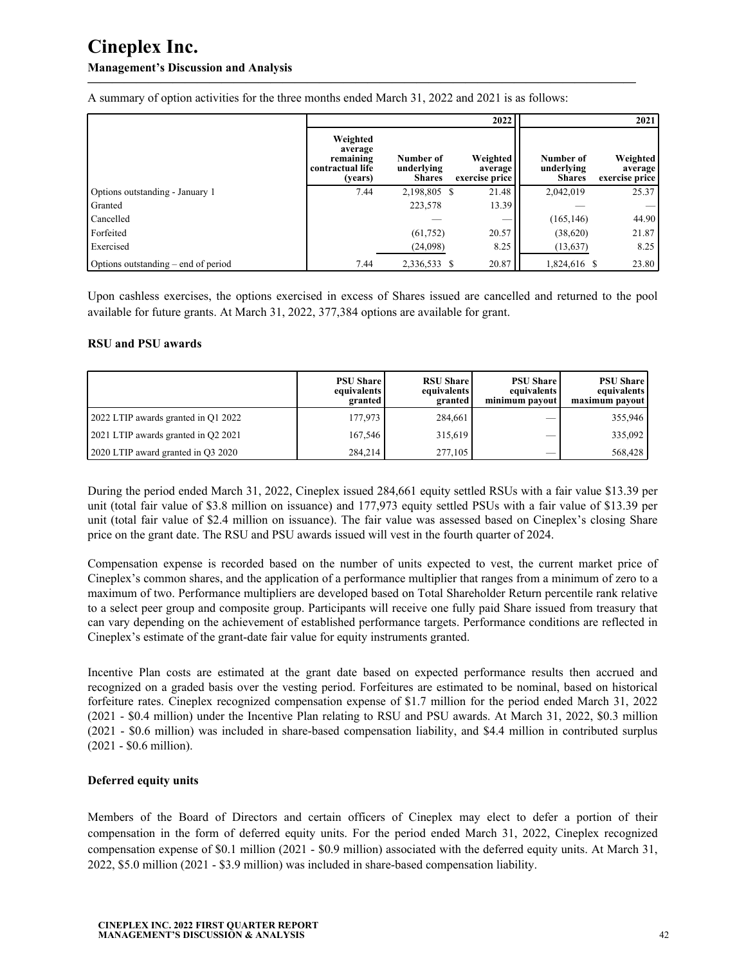## **Management's Discussion and Analysis**

|                                     |                                                                 |                                          | 2022                                  |                                          | 2021                                  |
|-------------------------------------|-----------------------------------------------------------------|------------------------------------------|---------------------------------------|------------------------------------------|---------------------------------------|
|                                     | Weighted<br>average<br>remaining<br>contractual life<br>(years) | Number of<br>underlying<br><b>Shares</b> | Weighted<br>average<br>exercise price | Number of<br>underlying<br><b>Shares</b> | Weighted<br>average<br>exercise price |
| Options outstanding - January 1     | 7.44                                                            | 2,198,805 \$                             | 21.48                                 | 2,042,019                                | 25.37                                 |
| Granted                             |                                                                 | 223,578                                  | 13.39                                 |                                          |                                       |
| Cancelled                           |                                                                 |                                          | __                                    | (165, 146)                               | 44.90                                 |
| Forfeited                           |                                                                 | (61, 752)                                | 20.57                                 | (38,620)                                 | 21.87                                 |
| Exercised                           |                                                                 | (24,098)                                 | 8.25                                  | (13, 637)                                | 8.25                                  |
| Options outstanding – end of period | 7.44                                                            | 2,336,533 \$                             | 20.87                                 | 1,824,616 \$                             | 23.80                                 |

**—————————————————————————————————————————————**

A summary of option activities for the three months ended March 31, 2022 and 2021 is as follows:

Upon cashless exercises, the options exercised in excess of Shares issued are cancelled and returned to the pool available for future grants. At March 31, 2022, 377,384 options are available for grant.

#### **RSU and PSU awards**

|                                     | <b>PSU Share</b><br>equivalents<br>granted | <b>RSU Share</b><br>equivalents<br>granted | <b>PSU Share</b><br>equivalents<br>minimum payout | <b>PSU Share</b><br>equivalents<br>maximum payout |
|-------------------------------------|--------------------------------------------|--------------------------------------------|---------------------------------------------------|---------------------------------------------------|
| 2022 LTIP awards granted in Q1 2022 | 177.973                                    | 284.661                                    |                                                   | 355,946                                           |
| 2021 LTIP awards granted in Q2 2021 | 167.546                                    | 315,619                                    | $\overline{\phantom{a}}$                          | 335,092                                           |
| 2020 LTIP award granted in Q3 2020  | 284,214                                    | 277,105                                    |                                                   | 568,428                                           |

During the period ended March 31, 2022, Cineplex issued 284,661 equity settled RSUs with a fair value \$13.39 per unit (total fair value of \$3.8 million on issuance) and 177,973 equity settled PSUs with a fair value of \$13.39 per unit (total fair value of \$2.4 million on issuance). The fair value was assessed based on Cineplex's closing Share price on the grant date. The RSU and PSU awards issued will vest in the fourth quarter of 2024.

Compensation expense is recorded based on the number of units expected to vest, the current market price of Cineplex's common shares, and the application of a performance multiplier that ranges from a minimum of zero to a maximum of two. Performance multipliers are developed based on Total Shareholder Return percentile rank relative to a select peer group and composite group. Participants will receive one fully paid Share issued from treasury that can vary depending on the achievement of established performance targets. Performance conditions are reflected in Cineplex's estimate of the grant-date fair value for equity instruments granted.

Incentive Plan costs are estimated at the grant date based on expected performance results then accrued and recognized on a graded basis over the vesting period. Forfeitures are estimated to be nominal, based on historical forfeiture rates. Cineplex recognized compensation expense of \$1.7 million for the period ended March 31, 2022 (2021 - \$0.4 million) under the Incentive Plan relating to RSU and PSU awards. At March 31, 2022, \$0.3 million (2021 - \$0.6 million) was included in share-based compensation liability, and \$4.4 million in contributed surplus (2021 - \$0.6 million).

#### **Deferred equity units**

Members of the Board of Directors and certain officers of Cineplex may elect to defer a portion of their compensation in the form of deferred equity units. For the period ended March 31, 2022, Cineplex recognized compensation expense of \$0.1 million (2021 - \$0.9 million) associated with the deferred equity units. At March 31, 2022, \$5.0 million (2021 - \$3.9 million) was included in share-based compensation liability.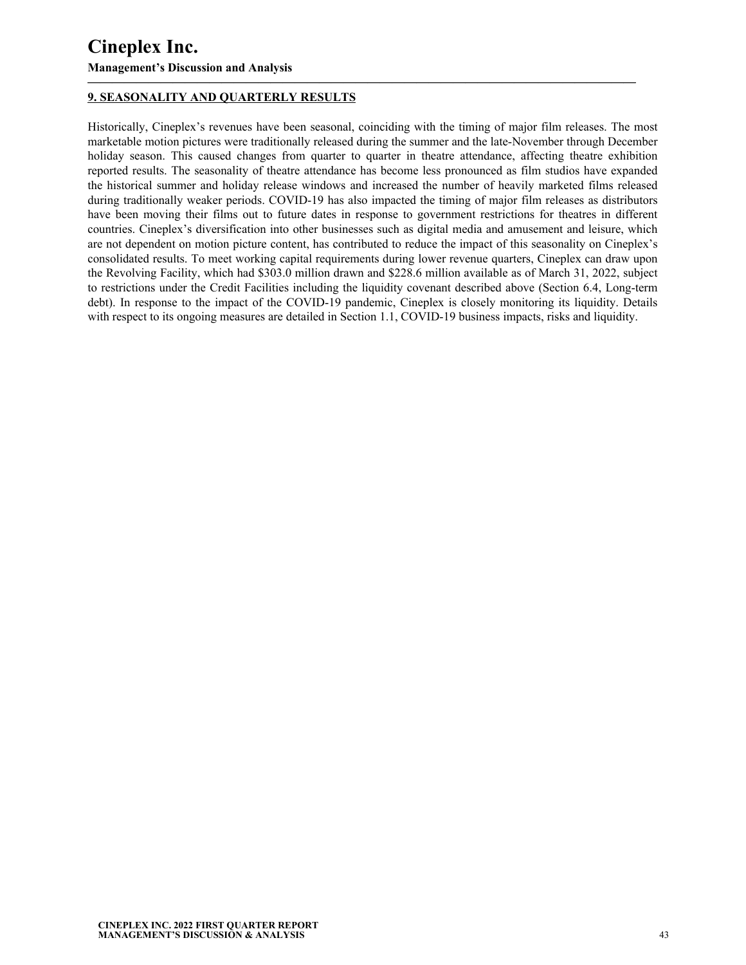## **9. SEASONALITY AND QUARTERLY RESULTS**

Historically, Cineplex's revenues have been seasonal, coinciding with the timing of major film releases. The most marketable motion pictures were traditionally released during the summer and the late-November through December holiday season. This caused changes from quarter to quarter in theatre attendance, affecting theatre exhibition reported results. The seasonality of theatre attendance has become less pronounced as film studios have expanded the historical summer and holiday release windows and increased the number of heavily marketed films released during traditionally weaker periods. COVID-19 has also impacted the timing of major film releases as distributors have been moving their films out to future dates in response to government restrictions for theatres in different countries. Cineplex's diversification into other businesses such as digital media and amusement and leisure, which are not dependent on motion picture content, has contributed to reduce the impact of this seasonality on Cineplex's consolidated results. To meet working capital requirements during lower revenue quarters, Cineplex can draw upon the Revolving Facility, which had \$303.0 million drawn and \$228.6 million available as of March 31, 2022, subject to restrictions under the Credit Facilities including the liquidity covenant described above (Section 6.4, Long-term debt). In response to the impact of the COVID-19 pandemic, Cineplex is closely monitoring its liquidity. Details with respect to its ongoing measures are detailed in Section 1.1, COVID-19 business impacts, risks and liquidity.

<span id="page-42-0"></span>**—————————————————————————————————————————————**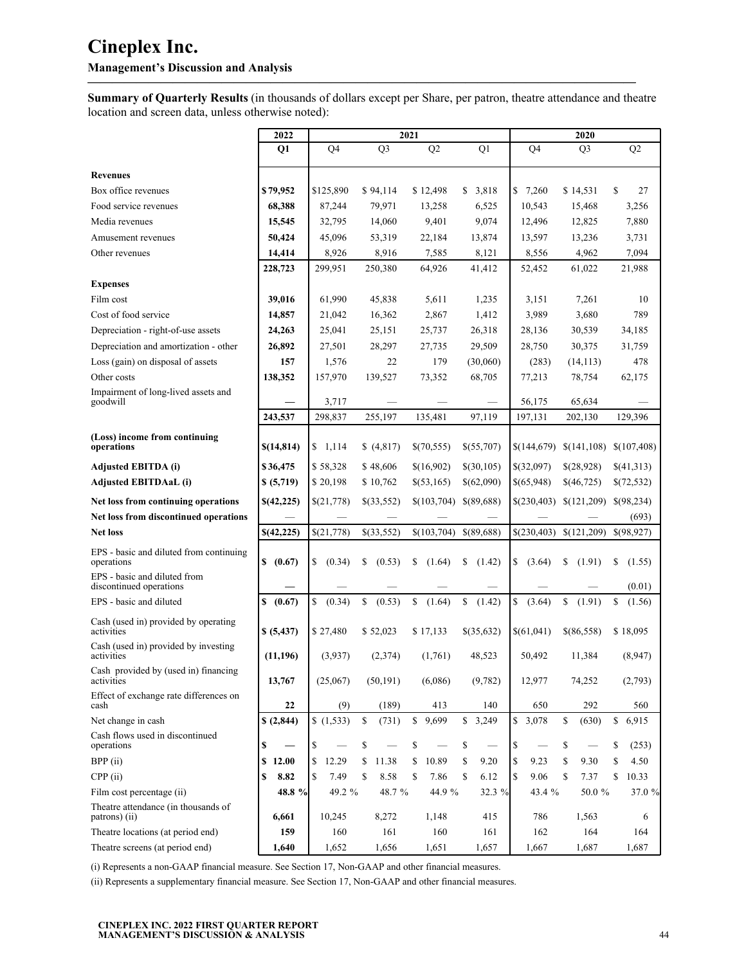### **Management's Discussion and Analysis**

**Summary of Quarterly Results** (in thousands of dollars except per Share, per patron, theatre attendance and theatre location and screen data, unless otherwise noted):

**—————————————————————————————————————————————**

|                                                         | 2022       |                |                        | 2021                           |                                       |              | 2020                           |              |
|---------------------------------------------------------|------------|----------------|------------------------|--------------------------------|---------------------------------------|--------------|--------------------------------|--------------|
|                                                         | Q1         | Q <sub>4</sub> | Q <sub>3</sub>         | Q2                             | Q1                                    | Q4           | Q <sub>3</sub>                 | Q2           |
| <b>Revenues</b>                                         |            |                |                        |                                |                                       |              |                                |              |
| Box office revenues                                     | \$79,952   | \$125,890      | \$94,114               | \$12.498                       | 3,818<br>S.                           | \$7,260      | \$14,531                       | \$<br>27     |
| Food service revenues                                   | 68,388     | 87,244         | 79,971                 | 13,258                         | 6,525                                 | 10,543       | 15,468                         | 3,256        |
| Media revenues                                          | 15,545     | 32,795         | 14,060                 | 9,401                          | 9,074                                 | 12,496       | 12,825                         | 7,880        |
| Amusement revenues                                      | 50,424     | 45,096         | 53,319                 | 22,184                         | 13,874                                | 13,597       | 13,236                         | 3,731        |
| Other revenues                                          | 14,414     | 8,926          | 8,916                  | 7,585                          | 8,121                                 | 8,556        | 4,962                          | 7,094        |
|                                                         | 228,723    | 299,951        | 250,380                | 64,926                         | 41,412                                | 52,452       | 61,022                         | 21,988       |
| <b>Expenses</b>                                         |            |                |                        |                                |                                       |              |                                |              |
| Film cost                                               | 39,016     | 61,990         | 45.838                 | 5,611                          | 1,235                                 | 3,151        | 7,261                          | 10           |
| Cost of food service                                    | 14,857     | 21,042         | 16,362                 | 2,867                          | 1,412                                 | 3,989        | 3,680                          | 789          |
| Depreciation - right-of-use assets                      | 24,263     | 25,041         | 25,151                 | 25,737                         | 26,318                                | 28,136       | 30,539                         | 34,185       |
| Depreciation and amortization - other                   | 26,892     | 27,501         | 28,297                 | 27,735                         | 29,509                                | 28,750       | 30,375                         | 31,759       |
| Loss (gain) on disposal of assets                       | 157        | 1,576          | 22                     | 179                            | (30,060)                              | (283)        | (14, 113)                      | 478          |
| Other costs                                             | 138,352    | 157,970        | 139,527                | 73,352                         | 68,705                                | 77,213       | 78,754                         | 62,175       |
| Impairment of long-lived assets and<br>goodwill         |            | 3,717          |                        |                                |                                       | 56,175       | 65,634                         |              |
|                                                         | 243,537    | 298,837        | 255,197                | 135,481                        | 97,119                                | 197,131      | 202,130                        | 129,396      |
| (Loss) income from continuing<br>operations             | \$(14,814) | \$1,114        | \$(4,817)              | \$(70,555)                     | \$(55,707)                            | \$(144,679)  | \$(141,108)                    | \$(107, 408) |
| <b>Adjusted EBITDA (i)</b>                              | \$36,475   | \$58,328       | \$48,606               | \$(16,902)                     | \$(30,105)                            | \$(32,097)   | \$(28,928)                     | \$(41,313)   |
| <b>Adjusted EBITDAaL (i)</b>                            | \$ (5,719) | \$20,198       | \$10,762               | \$(53,165)                     | \$(62,090)                            | \$(65,948)   | \$(46,725)                     | \$(72,532)   |
| Net loss from continuing operations                     | \$(42,225) | \$(21,778)     | \$(33,552)             | \$(103,704)                    | \$(89,688)                            | \$(230,403)  | \$(121,209)                    | \$(98,234)   |
| Net loss from discontinued operations                   |            |                |                        |                                |                                       |              |                                | (693)        |
| <b>Net loss</b>                                         | \$(42,225) | \$(21,778)     | \$(33,552)             | \$(103,704)                    | $$$ (89,688)                          | \$(230,403)  | \$(121,209)                    | \$(98,927)   |
| EPS - basic and diluted from continuing<br>operations   | \$ (0.67)  | \$<br>(0.34)   | \$<br>(0.53)           | \$<br>(1.64)                   | \$<br>(1.42)                          | \$<br>(3.64) | (1.91)<br>\$                   | \$<br>(1.55) |
| EPS - basic and diluted from<br>discontinued operations |            |                |                        |                                |                                       |              |                                | (0.01)       |
| EPS - basic and diluted                                 | \$ (0.67)  | S<br>(0.34)    | $\mathbb{S}$<br>(0.53) | \$<br>(1.64)                   | \$<br>(1.42)                          | \$<br>(3.64) | $\mathbb{S}$<br>(1.91)         | \$<br>(1.56) |
| Cash (used in) provided by operating<br>activities      | \$ (5,437) | \$27,480       | \$52,023               | \$17,133                       | \$(35,632)                            | \$(61,041)   | \$(86,558)                     | \$18,095     |
| Cash (used in) provided by investing<br>activities      | (11,196)   | (3,937)        | (2,374)                | (1,761)                        | 48,523                                | 50,492       | 11,384                         | (8,947)      |
| Cash provided by (used in) financing<br>activities      | 13,767     | (25,067)       | (50, 191)              | (6,086)                        | (9,782)                               | 12,977       | 74,252                         | (2,793)      |
| Effect of exchange rate differences on<br>cash          | 22         | (9)            | (189)                  | 413                            | 140                                   | 650          | 292                            | 560          |
| Net change in cash                                      | \$(2,844)  | (1,533)        | $\mathbb{S}$<br>(731)  | \$9,699                        | \$3,249                               | \$3,078      | \$<br>(630)                    | \$<br>6,915  |
| Cash flows used in discontinued<br>operations           | \$<br>—    | \$             | \$                     | \$<br>$\overline{\phantom{0}}$ | \$<br>$\overbrace{\qquad \qquad }^{}$ | \$           | \$<br>$\overline{\phantom{m}}$ | \$<br>(253)  |
| BPP (ii)                                                | \$12.00    | \$<br>12.29    | \$<br>11.38            | \$<br>10.89                    | \$<br>9.20                            | \$<br>9.23   | \$<br>9.30                     | \$<br>4.50   |
| CPP(i)                                                  | \$<br>8.82 | S<br>7.49      | \$<br>8.58             | \$<br>7.86                     | \$<br>6.12                            | 9.06<br>\$   | \$<br>7.37                     | \$<br>10.33  |
| Film cost percentage (ii)                               | 48.8 %     | 49.2 %         | 48.7 %                 | 44.9 %                         | 32.3 %                                | 43.4 %       | 50.0%                          | 37.0 %       |
| Theatre attendance (in thousands of<br>patrons) (ii)    | 6,661      | 10,245         | 8,272                  | 1,148                          | 415                                   | 786          | 1,563                          | 6            |
| Theatre locations (at period end)                       | 159        | 160            | 161                    | 160                            | 161                                   | 162          | 164                            | 164          |
| Theatre screens (at period end)                         | 1,640      | 1,652          | 1,656                  | 1,651                          | 1,657                                 | 1,667        | 1,687                          | 1,687        |

(i) Represents a non-GAAP financial measure. See Section 17, Non-GAAP and other financial measures.

(ii) Represents a supplementary financial measure. See Section 17, Non-GAAP and other financial measures.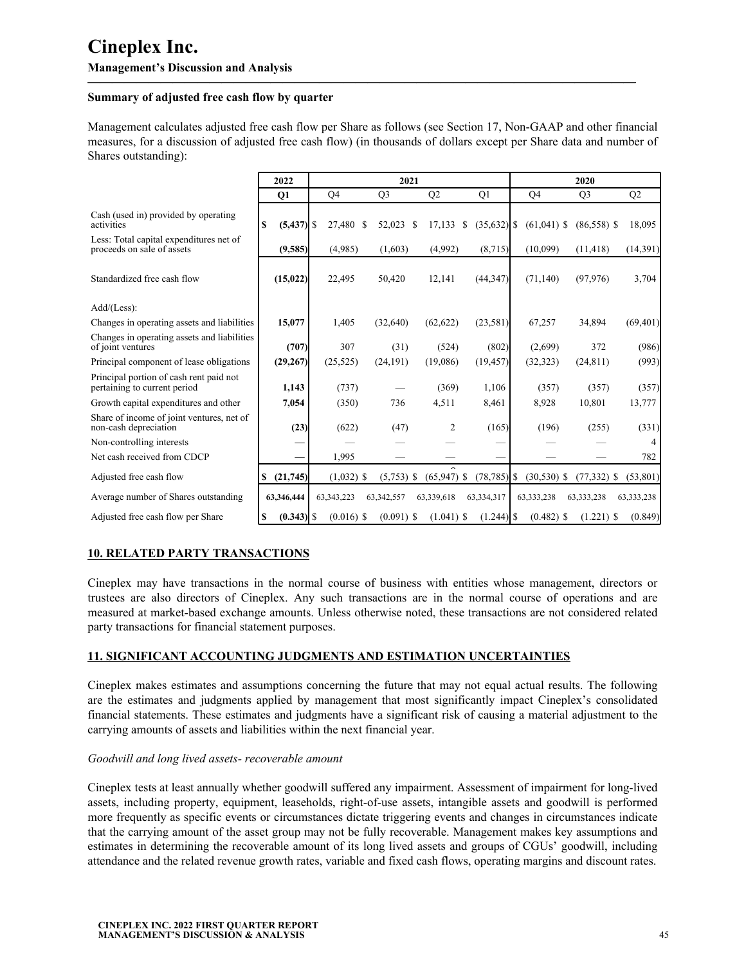#### **Summary of adjusted free cash flow by quarter**

Management calculates adjusted free cash flow per Share as follows (see Section 17, Non-GAAP and other financial measures, for a discussion of adjusted free cash flow) (in thousands of dollars except per Share data and number of Shares outstanding):

<span id="page-44-0"></span>**—————————————————————————————————————————————**

|                                                                         | 2022          |              | 2021           |                | 2020                           |                |                |            |
|-------------------------------------------------------------------------|---------------|--------------|----------------|----------------|--------------------------------|----------------|----------------|------------|
|                                                                         | <b>O1</b>     | Q4           | Q <sub>3</sub> | Q2             | Q1                             | Q4             | Q <sub>3</sub> | Q2         |
| Cash (used in) provided by operating<br>activities                      | S             | 27,480 \$    | 52,023         | 17,133<br>S    | $(35,632)$ \$<br>-S            | $(61,041)$ \$  | $(86,558)$ \$  | 18,095     |
| Less: Total capital expenditures net of<br>proceeds on sale of assets   | (9,585)       | (4,985)      | (1,603)        | (4,992)        | (8,715)                        | (10,099)       | (11, 418)      | (14,391)   |
| Standardized free cash flow                                             | (15, 022)     | 22,495       | 50,420         | 12,141         | (44, 347)                      | (71, 140)      | (97, 976)      | 3,704      |
| $Add/(Less)$ :                                                          |               |              |                |                |                                |                |                |            |
| Changes in operating assets and liabilities                             | 15,077        | 1,405        | (32,640)       | (62, 622)      | (23,581)                       | 67,257         | 34,894         | (69, 401)  |
| Changes in operating assets and liabilities<br>of joint ventures        | (707)         | 307          | (31)           | (524)          | (802)                          | (2,699)        | 372            | (986)      |
| Principal component of lease obligations                                | (29, 267)     | (25, 525)    | (24, 191)      | (19,086)       | (19, 457)                      | (32, 323)      | (24, 811)      | (993)      |
| Principal portion of cash rent paid not<br>pertaining to current period | 1,143         | (737)        |                | (369)          | 1,106                          | (357)          | (357)          | (357)      |
| Growth capital expenditures and other                                   | 7,054         | (350)        | 736            | 4,511          | 8,461                          | 8,928          | 10,801         | 13,777     |
| Share of income of joint ventures, net of<br>non-cash depreciation      | (23)          | (622)        | (47)           | $\overline{2}$ | (165)                          | (196)          | (255)          | (331)      |
| Non-controlling interests                                               |               |              |                |                |                                |                |                |            |
| Net cash received from CDCP                                             |               | 1,995        |                |                |                                |                |                | 782        |
| Adjusted free cash flow                                                 | (21,745)<br>S | $(1,032)$ \$ | $(5,753)$ \$   | (65, 947)      | <sup>S</sup><br>$(78, 785)$ \$ | $(30, 530)$ \$ | $(77, 332)$ \$ | (53,801)   |
| Average number of Shares outstanding                                    | 63,346,444    | 63, 343, 223 | 63,342,557     | 63,339,618     | 63,334,317                     | 63,333,238     | 63, 333, 238   | 63,333,238 |
| Adjusted free cash flow per Share                                       |               | $(0.016)$ \$ | $(0.091)$ \$   | $(1.041)$ \$   |                                | $(0.482)$ \$   | $(1.221)$ \$   | (0.849)    |

## **10. RELATED PARTY TRANSACTIONS**

Cineplex may have transactions in the normal course of business with entities whose management, directors or trustees are also directors of Cineplex. Any such transactions are in the normal course of operations and are measured at market-based exchange amounts. Unless otherwise noted, these transactions are not considered related party transactions for financial statement purposes.

#### **11. SIGNIFICANT ACCOUNTING JUDGMENTS AND ESTIMATION UNCERTAINTIES**

Cineplex makes estimates and assumptions concerning the future that may not equal actual results. The following are the estimates and judgments applied by management that most significantly impact Cineplex's consolidated financial statements. These estimates and judgments have a significant risk of causing a material adjustment to the carrying amounts of assets and liabilities within the next financial year.

#### *Goodwill and long lived assets- recoverable amount*

Cineplex tests at least annually whether goodwill suffered any impairment. Assessment of impairment for long-lived assets, including property, equipment, leaseholds, right-of-use assets, intangible assets and goodwill is performed more frequently as specific events or circumstances dictate triggering events and changes in circumstances indicate that the carrying amount of the asset group may not be fully recoverable. Management makes key assumptions and estimates in determining the recoverable amount of its long lived assets and groups of CGUs' goodwill, including attendance and the related revenue growth rates, variable and fixed cash flows, operating margins and discount rates.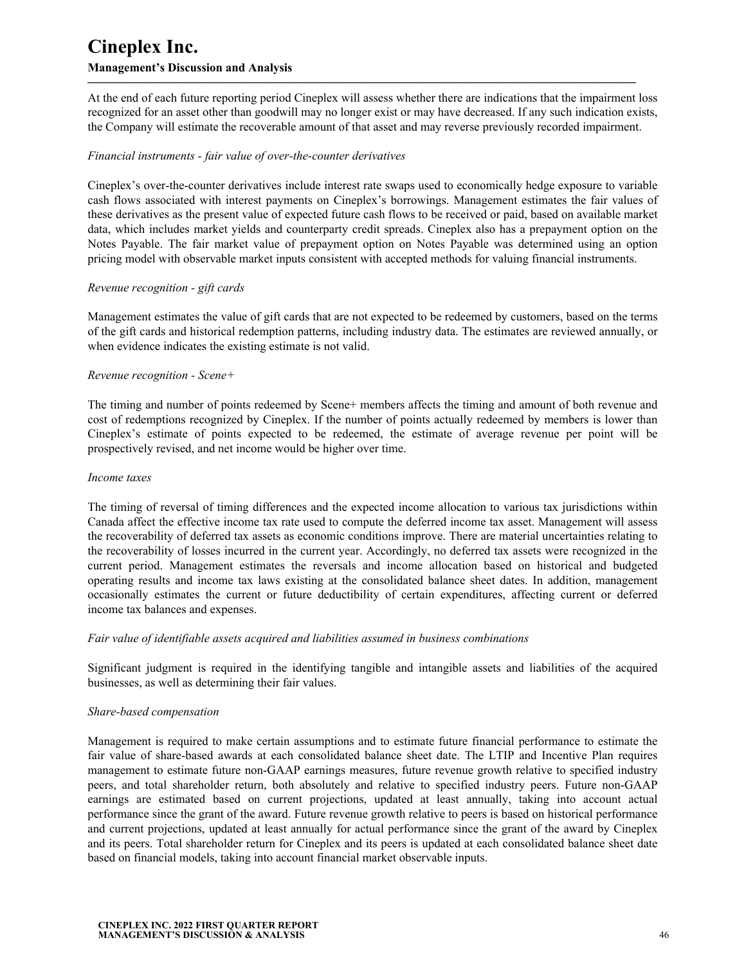At the end of each future reporting period Cineplex will assess whether there are indications that the impairment loss recognized for an asset other than goodwill may no longer exist or may have decreased. If any such indication exists, the Company will estimate the recoverable amount of that asset and may reverse previously recorded impairment.

**—————————————————————————————————————————————**

#### *Financial instruments - fair value of over-the-counter derivatives*

Cineplex's over-the-counter derivatives include interest rate swaps used to economically hedge exposure to variable cash flows associated with interest payments on Cineplex's borrowings. Management estimates the fair values of these derivatives as the present value of expected future cash flows to be received or paid, based on available market data, which includes market yields and counterparty credit spreads. Cineplex also has a prepayment option on the Notes Payable. The fair market value of prepayment option on Notes Payable was determined using an option pricing model with observable market inputs consistent with accepted methods for valuing financial instruments.

#### *Revenue recognition - gift cards*

Management estimates the value of gift cards that are not expected to be redeemed by customers, based on the terms of the gift cards and historical redemption patterns, including industry data. The estimates are reviewed annually, or when evidence indicates the existing estimate is not valid.

#### *Revenue recognition - Scene+*

The timing and number of points redeemed by Scene+ members affects the timing and amount of both revenue and cost of redemptions recognized by Cineplex. If the number of points actually redeemed by members is lower than Cineplex's estimate of points expected to be redeemed, the estimate of average revenue per point will be prospectively revised, and net income would be higher over time.

#### *Income taxes*

The timing of reversal of timing differences and the expected income allocation to various tax jurisdictions within Canada affect the effective income tax rate used to compute the deferred income tax asset. Management will assess the recoverability of deferred tax assets as economic conditions improve. There are material uncertainties relating to the recoverability of losses incurred in the current year. Accordingly, no deferred tax assets were recognized in the current period. Management estimates the reversals and income allocation based on historical and budgeted operating results and income tax laws existing at the consolidated balance sheet dates. In addition, management occasionally estimates the current or future deductibility of certain expenditures, affecting current or deferred income tax balances and expenses.

#### *Fair value of identifiable assets acquired and liabilities assumed in business combinations*

Significant judgment is required in the identifying tangible and intangible assets and liabilities of the acquired businesses, as well as determining their fair values.

#### *Share-based compensation*

Management is required to make certain assumptions and to estimate future financial performance to estimate the fair value of share-based awards at each consolidated balance sheet date. The LTIP and Incentive Plan requires management to estimate future non-GAAP earnings measures, future revenue growth relative to specified industry peers, and total shareholder return, both absolutely and relative to specified industry peers. Future non-GAAP earnings are estimated based on current projections, updated at least annually, taking into account actual performance since the grant of the award. Future revenue growth relative to peers is based on historical performance and current projections, updated at least annually for actual performance since the grant of the award by Cineplex and its peers. Total shareholder return for Cineplex and its peers is updated at each consolidated balance sheet date based on financial models, taking into account financial market observable inputs.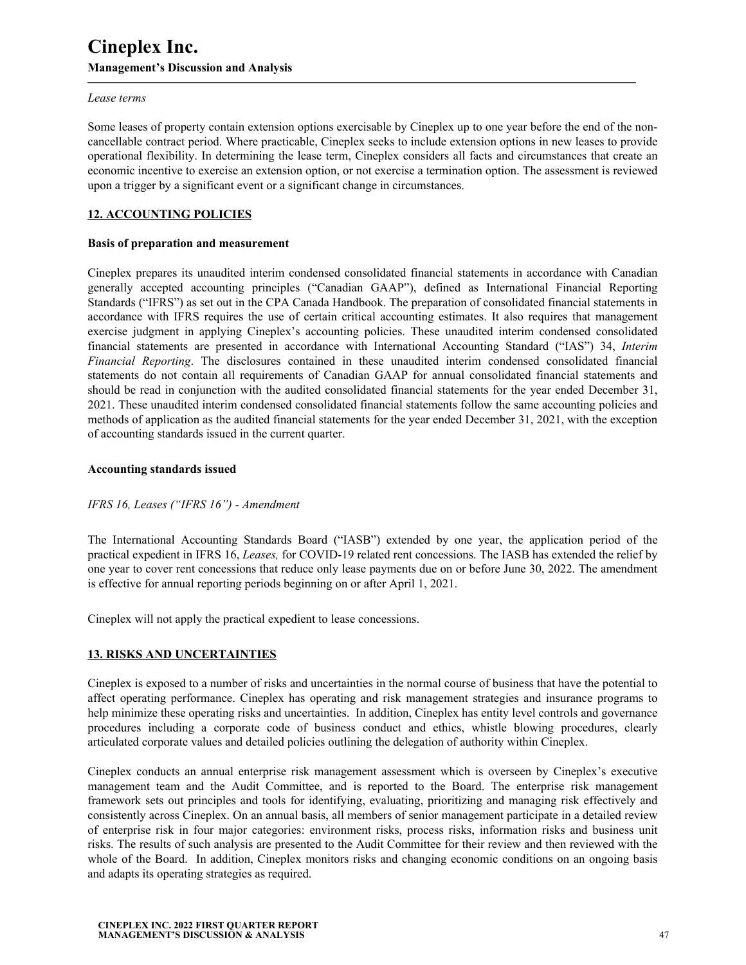#### *Lease terms*

Some leases of property contain extension options exercisable by Cineplex up to one year before the end of the noncancellable contract period. Where practicable, Cineplex seeks to include extension options in new leases to provide operational flexibility. In determining the lease term, Cineplex considers all facts and circumstances that create an economic incentive to exercise an extension option, or not exercise a termination option. The assessment is reviewed upon a trigger by a significant event or a significant change in circumstances.

<span id="page-46-0"></span>**—————————————————————————————————————————————**

### **12. ACCOUNTING POLICIES**

#### **Basis of preparation and measurement**

Cineplex prepares its unaudited interim condensed consolidated financial statements in accordance with Canadian generally accepted accounting principles ("Canadian GAAP"), defined as International Financial Reporting Standards ("IFRS") as set out in the CPA Canada Handbook. The preparation of consolidated financial statements in accordance with IFRS requires the use of certain critical accounting estimates. It also requires that management exercise judgment in applying Cineplex's accounting policies. These unaudited interim condensed consolidated financial statements are presented in accordance with International Accounting Standard ("IAS") 34, *Interim Financial Reporting*. The disclosures contained in these unaudited interim condensed consolidated financial statements do not contain all requirements of Canadian GAAP for annual consolidated financial statements and should be read in conjunction with the audited consolidated financial statements for the year ended December 31, 2021. These unaudited interim condensed consolidated financial statements follow the same accounting policies and methods of application as the audited financial statements for the year ended December 31, 2021, with the exception of accounting standards issued in the current quarter.

#### **Accounting standards issued**

#### *IFRS 16, Leases ("IFRS 16") - Amendment*

The International Accounting Standards Board ("IASB") extended by one year, the application period of the practical expedient in IFRS 16, *Leases,* for COVID-19 related rent concessions. The IASB has extended the relief by one year to cover rent concessions that reduce only lease payments due on or before June 30, 2022. The amendment is effective for annual reporting periods beginning on or after April 1, 2021.

Cineplex will not apply the practical expedient to lease concessions.

#### **13. RISKS AND UNCERTAINTIES**

Cineplex is exposed to a number of risks and uncertainties in the normal course of business that have the potential to affect operating performance. Cineplex has operating and risk management strategies and insurance programs to help minimize these operating risks and uncertainties. In addition, Cineplex has entity level controls and governance procedures including a corporate code of business conduct and ethics, whistle blowing procedures, clearly articulated corporate values and detailed policies outlining the delegation of authority within Cineplex.

Cineplex conducts an annual enterprise risk management assessment which is overseen by Cineplex's executive management team and the Audit Committee, and is reported to the Board. The enterprise risk management framework sets out principles and tools for identifying, evaluating, prioritizing and managing risk effectively and consistently across Cineplex. On an annual basis, all members of senior management participate in a detailed review of enterprise risk in four major categories: environment risks, process risks, information risks and business unit risks. The results of such analysis are presented to the Audit Committee for their review and then reviewed with the whole of the Board. In addition, Cineplex monitors risks and changing economic conditions on an ongoing basis and adapts its operating strategies as required.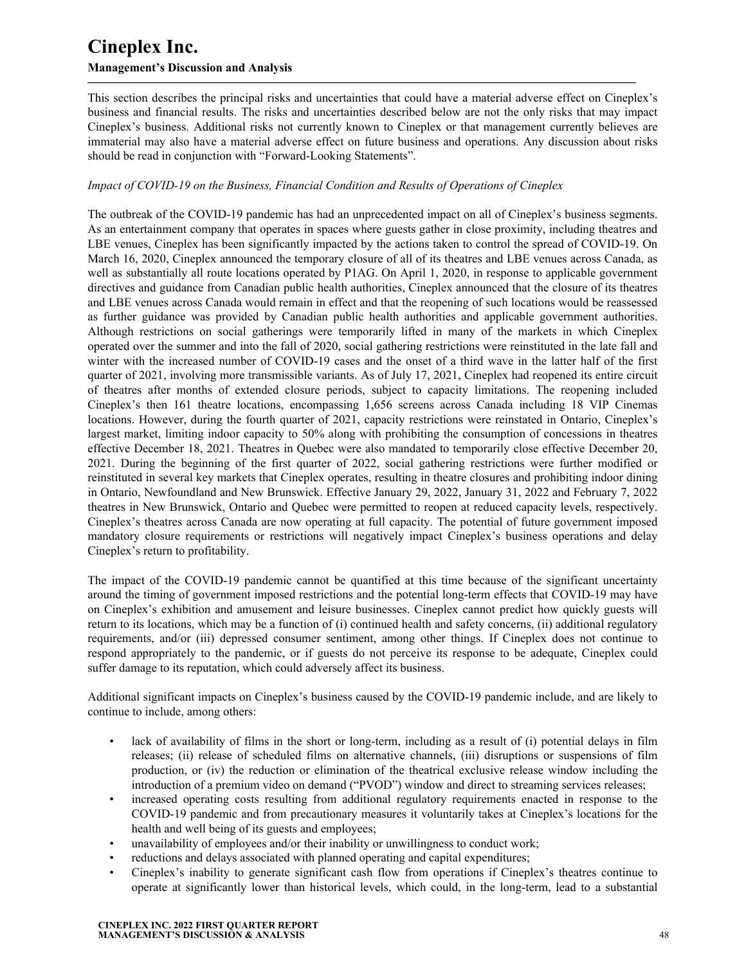### **Management's Discussion and Analysis**

This section describes the principal risks and uncertainties that could have a material adverse effect on Cineplex's business and financial results. The risks and uncertainties described below are not the only risks that may impact Cineplex's business. Additional risks not currently known to Cineplex or that management currently believes are immaterial may also have a material adverse effect on future business and operations. Any discussion about risks should be read in conjunction with "Forward-Looking Statements".

**—————————————————————————————————————————————**

### *Impact of COVID-19 on the Business, Financial Condition and Results of Operations of Cineplex*

The outbreak of the COVID-19 pandemic has had an unprecedented impact on all of Cineplex's business segments. As an entertainment company that operates in spaces where guests gather in close proximity, including theatres and LBE venues, Cineplex has been significantly impacted by the actions taken to control the spread of COVID-19. On March 16, 2020, Cineplex announced the temporary closure of all of its theatres and LBE venues across Canada, as well as substantially all route locations operated by P1AG. On April 1, 2020, in response to applicable government directives and guidance from Canadian public health authorities, Cineplex announced that the closure of its theatres and LBE venues across Canada would remain in effect and that the reopening of such locations would be reassessed as further guidance was provided by Canadian public health authorities and applicable government authorities. Although restrictions on social gatherings were temporarily lifted in many of the markets in which Cineplex operated over the summer and into the fall of 2020, social gathering restrictions were reinstituted in the late fall and winter with the increased number of COVID-19 cases and the onset of a third wave in the latter half of the first quarter of 2021, involving more transmissible variants. As of July 17, 2021, Cineplex had reopened its entire circuit of theatres after months of extended closure periods, subject to capacity limitations. The reopening included Cineplex's then 161 theatre locations, encompassing 1,656 screens across Canada including 18 VIP Cinemas locations. However, during the fourth quarter of 2021, capacity restrictions were reinstated in Ontario, Cineplex's largest market, limiting indoor capacity to 50% along with prohibiting the consumption of concessions in theatres effective December 18, 2021. Theatres in Quebec were also mandated to temporarily close effective December 20, 2021. During the beginning of the first quarter of 2022, social gathering restrictions were further modified or reinstituted in several key markets that Cineplex operates, resulting in theatre closures and prohibiting indoor dining in Ontario, Newfoundland and New Brunswick. Effective January 29, 2022, January 31, 2022 and February 7, 2022 theatres in New Brunswick, Ontario and Quebec were permitted to reopen at reduced capacity levels, respectively. Cineplex's theatres across Canada are now operating at full capacity. The potential of future government imposed mandatory closure requirements or restrictions will negatively impact Cineplex's business operations and delay Cineplex's return to profitability.

The impact of the COVID-19 pandemic cannot be quantified at this time because of the significant uncertainty around the timing of government imposed restrictions and the potential long-term effects that COVID-19 may have on Cineplex's exhibition and amusement and leisure businesses. Cineplex cannot predict how quickly guests will return to its locations, which may be a function of (i) continued health and safety concerns, (ii) additional regulatory requirements, and/or (iii) depressed consumer sentiment, among other things. If Cineplex does not continue to respond appropriately to the pandemic, or if guests do not perceive its response to be adequate, Cineplex could suffer damage to its reputation, which could adversely affect its business.

Additional significant impacts on Cineplex's business caused by the COVID-19 pandemic include, and are likely to continue to include, among others:

- lack of availability of films in the short or long-term, including as a result of (i) potential delays in film releases; (ii) release of scheduled films on alternative channels, (iii) disruptions or suspensions of film production, or (iv) the reduction or elimination of the theatrical exclusive release window including the introduction of a premium video on demand ("PVOD") window and direct to streaming services releases;
- increased operating costs resulting from additional regulatory requirements enacted in response to the COVID-19 pandemic and from precautionary measures it voluntarily takes at Cineplex's locations for the health and well being of its guests and employees;
- unavailability of employees and/or their inability or unwillingness to conduct work;
- reductions and delays associated with planned operating and capital expenditures;
- Cineplex's inability to generate significant cash flow from operations if Cineplex's theatres continue to operate at significantly lower than historical levels, which could, in the long-term, lead to a substantial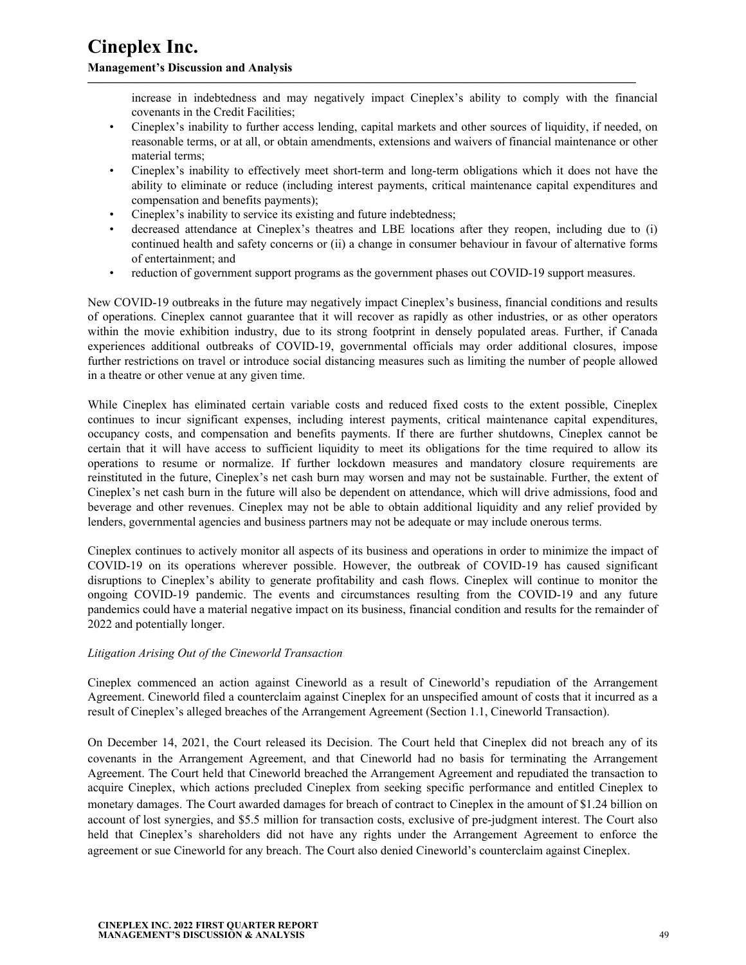#### **Management's Discussion and Analysis**

increase in indebtedness and may negatively impact Cineplex's ability to comply with the financial covenants in the Credit Facilities;

• Cineplex's inability to further access lending, capital markets and other sources of liquidity, if needed, on reasonable terms, or at all, or obtain amendments, extensions and waivers of financial maintenance or other material terms;

**—————————————————————————————————————————————**

- Cineplex's inability to effectively meet short-term and long-term obligations which it does not have the ability to eliminate or reduce (including interest payments, critical maintenance capital expenditures and compensation and benefits payments);
- Cineplex's inability to service its existing and future indebtedness;
- decreased attendance at Cineplex's theatres and LBE locations after they reopen, including due to (i) continued health and safety concerns or (ii) a change in consumer behaviour in favour of alternative forms of entertainment; and
- reduction of government support programs as the government phases out COVID-19 support measures.

New COVID-19 outbreaks in the future may negatively impact Cineplex's business, financial conditions and results of operations. Cineplex cannot guarantee that it will recover as rapidly as other industries, or as other operators within the movie exhibition industry, due to its strong footprint in densely populated areas. Further, if Canada experiences additional outbreaks of COVID-19, governmental officials may order additional closures, impose further restrictions on travel or introduce social distancing measures such as limiting the number of people allowed in a theatre or other venue at any given time.

While Cineplex has eliminated certain variable costs and reduced fixed costs to the extent possible, Cineplex continues to incur significant expenses, including interest payments, critical maintenance capital expenditures, occupancy costs, and compensation and benefits payments. If there are further shutdowns, Cineplex cannot be certain that it will have access to sufficient liquidity to meet its obligations for the time required to allow its operations to resume or normalize. If further lockdown measures and mandatory closure requirements are reinstituted in the future, Cineplex's net cash burn may worsen and may not be sustainable. Further, the extent of Cineplex's net cash burn in the future will also be dependent on attendance, which will drive admissions, food and beverage and other revenues. Cineplex may not be able to obtain additional liquidity and any relief provided by lenders, governmental agencies and business partners may not be adequate or may include onerous terms.

Cineplex continues to actively monitor all aspects of its business and operations in order to minimize the impact of COVID-19 on its operations wherever possible. However, the outbreak of COVID-19 has caused significant disruptions to Cineplex's ability to generate profitability and cash flows. Cineplex will continue to monitor the ongoing COVID-19 pandemic. The events and circumstances resulting from the COVID-19 and any future pandemics could have a material negative impact on its business, financial condition and results for the remainder of 2022 and potentially longer.

#### *Litigation Arising Out of the Cineworld Transaction*

Cineplex commenced an action against Cineworld as a result of Cineworld's repudiation of the Arrangement Agreement. Cineworld filed a counterclaim against Cineplex for an unspecified amount of costs that it incurred as a result of Cineplex's alleged breaches of the Arrangement Agreement (Section 1.1, Cineworld Transaction).

On December 14, 2021, the Court released its Decision. The Court held that Cineplex did not breach any of its covenants in the Arrangement Agreement, and that Cineworld had no basis for terminating the Arrangement Agreement. The Court held that Cineworld breached the Arrangement Agreement and repudiated the transaction to acquire Cineplex, which actions precluded Cineplex from seeking specific performance and entitled Cineplex to monetary damages. The Court awarded damages for breach of contract to Cineplex in the amount of \$1.24 billion on account of lost synergies, and \$5.5 million for transaction costs, exclusive of pre-judgment interest. The Court also held that Cineplex's shareholders did not have any rights under the Arrangement Agreement to enforce the agreement or sue Cineworld for any breach. The Court also denied Cineworld's counterclaim against Cineplex.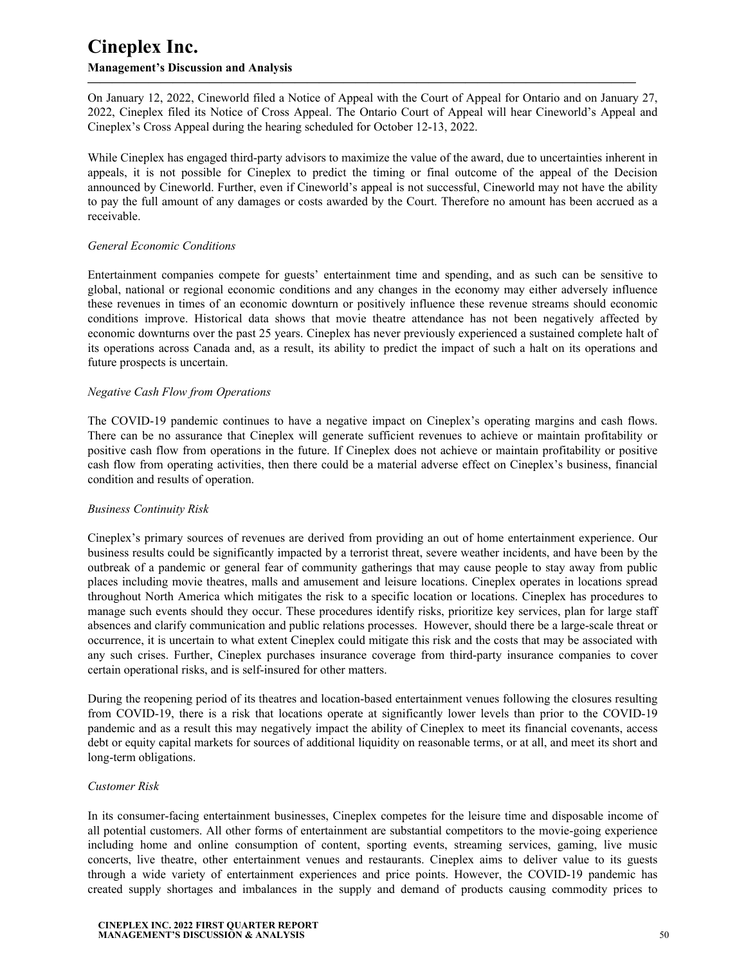### **Management's Discussion and Analysis**

On January 12, 2022, Cineworld filed a Notice of Appeal with the Court of Appeal for Ontario and on January 27, 2022, Cineplex filed its Notice of Cross Appeal. The Ontario Court of Appeal will hear Cineworld's Appeal and Cineplex's Cross Appeal during the hearing scheduled for October 12-13, 2022.

**—————————————————————————————————————————————**

While Cineplex has engaged third-party advisors to maximize the value of the award, due to uncertainties inherent in appeals, it is not possible for Cineplex to predict the timing or final outcome of the appeal of the Decision announced by Cineworld. Further, even if Cineworld's appeal is not successful, Cineworld may not have the ability to pay the full amount of any damages or costs awarded by the Court. Therefore no amount has been accrued as a receivable.

### *General Economic Conditions*

Entertainment companies compete for guests' entertainment time and spending, and as such can be sensitive to global, national or regional economic conditions and any changes in the economy may either adversely influence these revenues in times of an economic downturn or positively influence these revenue streams should economic conditions improve. Historical data shows that movie theatre attendance has not been negatively affected by economic downturns over the past 25 years. Cineplex has never previously experienced a sustained complete halt of its operations across Canada and, as a result, its ability to predict the impact of such a halt on its operations and future prospects is uncertain.

### *Negative Cash Flow from Operations*

The COVID-19 pandemic continues to have a negative impact on Cineplex's operating margins and cash flows. There can be no assurance that Cineplex will generate sufficient revenues to achieve or maintain profitability or positive cash flow from operations in the future. If Cineplex does not achieve or maintain profitability or positive cash flow from operating activities, then there could be a material adverse effect on Cineplex's business, financial condition and results of operation.

#### *Business Continuity Risk*

Cineplex's primary sources of revenues are derived from providing an out of home entertainment experience. Our business results could be significantly impacted by a terrorist threat, severe weather incidents, and have been by the outbreak of a pandemic or general fear of community gatherings that may cause people to stay away from public places including movie theatres, malls and amusement and leisure locations. Cineplex operates in locations spread throughout North America which mitigates the risk to a specific location or locations. Cineplex has procedures to manage such events should they occur. These procedures identify risks, prioritize key services, plan for large staff absences and clarify communication and public relations processes. However, should there be a large-scale threat or occurrence, it is uncertain to what extent Cineplex could mitigate this risk and the costs that may be associated with any such crises. Further, Cineplex purchases insurance coverage from third-party insurance companies to cover certain operational risks, and is self-insured for other matters.

During the reopening period of its theatres and location-based entertainment venues following the closures resulting from COVID-19, there is a risk that locations operate at significantly lower levels than prior to the COVID-19 pandemic and as a result this may negatively impact the ability of Cineplex to meet its financial covenants, access debt or equity capital markets for sources of additional liquidity on reasonable terms, or at all, and meet its short and long-term obligations.

#### *Customer Risk*

In its consumer-facing entertainment businesses, Cineplex competes for the leisure time and disposable income of all potential customers. All other forms of entertainment are substantial competitors to the movie-going experience including home and online consumption of content, sporting events, streaming services, gaming, live music concerts, live theatre, other entertainment venues and restaurants. Cineplex aims to deliver value to its guests through a wide variety of entertainment experiences and price points. However, the COVID-19 pandemic has created supply shortages and imbalances in the supply and demand of products causing commodity prices to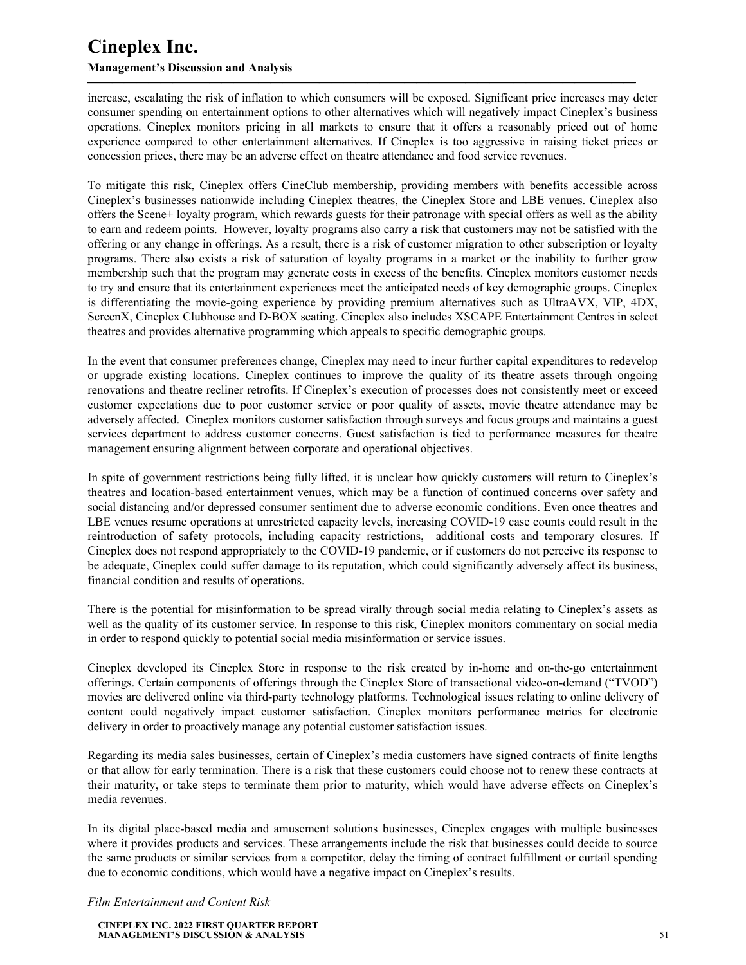### **Management's Discussion and Analysis**

increase, escalating the risk of inflation to which consumers will be exposed. Significant price increases may deter consumer spending on entertainment options to other alternatives which will negatively impact Cineplex's business operations. Cineplex monitors pricing in all markets to ensure that it offers a reasonably priced out of home experience compared to other entertainment alternatives. If Cineplex is too aggressive in raising ticket prices or concession prices, there may be an adverse effect on theatre attendance and food service revenues.

**—————————————————————————————————————————————**

To mitigate this risk, Cineplex offers CineClub membership, providing members with benefits accessible across Cineplex's businesses nationwide including Cineplex theatres, the Cineplex Store and LBE venues. Cineplex also offers the Scene+ loyalty program, which rewards guests for their patronage with special offers as well as the ability to earn and redeem points. However, loyalty programs also carry a risk that customers may not be satisfied with the offering or any change in offerings. As a result, there is a risk of customer migration to other subscription or loyalty programs. There also exists a risk of saturation of loyalty programs in a market or the inability to further grow membership such that the program may generate costs in excess of the benefits. Cineplex monitors customer needs to try and ensure that its entertainment experiences meet the anticipated needs of key demographic groups. Cineplex is differentiating the movie-going experience by providing premium alternatives such as UltraAVX, VIP, 4DX, ScreenX, Cineplex Clubhouse and D-BOX seating. Cineplex also includes XSCAPE Entertainment Centres in select theatres and provides alternative programming which appeals to specific demographic groups.

In the event that consumer preferences change, Cineplex may need to incur further capital expenditures to redevelop or upgrade existing locations. Cineplex continues to improve the quality of its theatre assets through ongoing renovations and theatre recliner retrofits. If Cineplex's execution of processes does not consistently meet or exceed customer expectations due to poor customer service or poor quality of assets, movie theatre attendance may be adversely affected. Cineplex monitors customer satisfaction through surveys and focus groups and maintains a guest services department to address customer concerns. Guest satisfaction is tied to performance measures for theatre management ensuring alignment between corporate and operational objectives.

In spite of government restrictions being fully lifted, it is unclear how quickly customers will return to Cineplex's theatres and location-based entertainment venues, which may be a function of continued concerns over safety and social distancing and/or depressed consumer sentiment due to adverse economic conditions. Even once theatres and LBE venues resume operations at unrestricted capacity levels, increasing COVID-19 case counts could result in the reintroduction of safety protocols, including capacity restrictions, additional costs and temporary closures. If Cineplex does not respond appropriately to the COVID-19 pandemic, or if customers do not perceive its response to be adequate, Cineplex could suffer damage to its reputation, which could significantly adversely affect its business, financial condition and results of operations.

There is the potential for misinformation to be spread virally through social media relating to Cineplex's assets as well as the quality of its customer service. In response to this risk, Cineplex monitors commentary on social media in order to respond quickly to potential social media misinformation or service issues.

Cineplex developed its Cineplex Store in response to the risk created by in-home and on-the-go entertainment offerings. Certain components of offerings through the Cineplex Store of transactional video-on-demand ("TVOD") movies are delivered online via third-party technology platforms. Technological issues relating to online delivery of content could negatively impact customer satisfaction. Cineplex monitors performance metrics for electronic delivery in order to proactively manage any potential customer satisfaction issues.

Regarding its media sales businesses, certain of Cineplex's media customers have signed contracts of finite lengths or that allow for early termination. There is a risk that these customers could choose not to renew these contracts at their maturity, or take steps to terminate them prior to maturity, which would have adverse effects on Cineplex's media revenues.

In its digital place-based media and amusement solutions businesses, Cineplex engages with multiple businesses where it provides products and services. These arrangements include the risk that businesses could decide to source the same products or similar services from a competitor, delay the timing of contract fulfillment or curtail spending due to economic conditions, which would have a negative impact on Cineplex's results.

*Film Entertainment and Content Risk*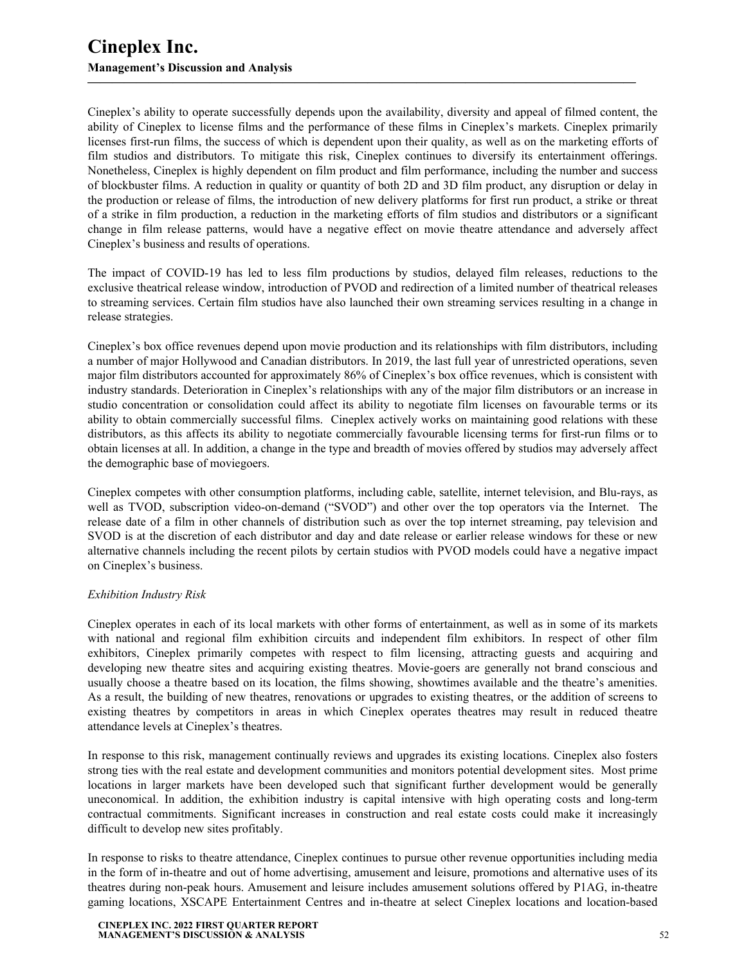Cineplex's ability to operate successfully depends upon the availability, diversity and appeal of filmed content, the ability of Cineplex to license films and the performance of these films in Cineplex's markets. Cineplex primarily licenses first-run films, the success of which is dependent upon their quality, as well as on the marketing efforts of film studios and distributors. To mitigate this risk, Cineplex continues to diversify its entertainment offerings. Nonetheless, Cineplex is highly dependent on film product and film performance, including the number and success of blockbuster films. A reduction in quality or quantity of both 2D and 3D film product, any disruption or delay in the production or release of films, the introduction of new delivery platforms for first run product, a strike or threat of a strike in film production, a reduction in the marketing efforts of film studios and distributors or a significant change in film release patterns, would have a negative effect on movie theatre attendance and adversely affect Cineplex's business and results of operations.

**—————————————————————————————————————————————**

The impact of COVID-19 has led to less film productions by studios, delayed film releases, reductions to the exclusive theatrical release window, introduction of PVOD and redirection of a limited number of theatrical releases to streaming services. Certain film studios have also launched their own streaming services resulting in a change in release strategies.

Cineplex's box office revenues depend upon movie production and its relationships with film distributors, including a number of major Hollywood and Canadian distributors. In 2019, the last full year of unrestricted operations, seven major film distributors accounted for approximately 86% of Cineplex's box office revenues, which is consistent with industry standards. Deterioration in Cineplex's relationships with any of the major film distributors or an increase in studio concentration or consolidation could affect its ability to negotiate film licenses on favourable terms or its ability to obtain commercially successful films. Cineplex actively works on maintaining good relations with these distributors, as this affects its ability to negotiate commercially favourable licensing terms for first-run films or to obtain licenses at all. In addition, a change in the type and breadth of movies offered by studios may adversely affect the demographic base of moviegoers.

Cineplex competes with other consumption platforms, including cable, satellite, internet television, and Blu-rays, as well as TVOD, subscription video-on-demand ("SVOD") and other over the top operators via the Internet. The release date of a film in other channels of distribution such as over the top internet streaming, pay television and SVOD is at the discretion of each distributor and day and date release or earlier release windows for these or new alternative channels including the recent pilots by certain studios with PVOD models could have a negative impact on Cineplex's business.

#### *Exhibition Industry Risk*

Cineplex operates in each of its local markets with other forms of entertainment, as well as in some of its markets with national and regional film exhibition circuits and independent film exhibitors. In respect of other film exhibitors, Cineplex primarily competes with respect to film licensing, attracting guests and acquiring and developing new theatre sites and acquiring existing theatres. Movie-goers are generally not brand conscious and usually choose a theatre based on its location, the films showing, showtimes available and the theatre's amenities. As a result, the building of new theatres, renovations or upgrades to existing theatres, or the addition of screens to existing theatres by competitors in areas in which Cineplex operates theatres may result in reduced theatre attendance levels at Cineplex's theatres.

In response to this risk, management continually reviews and upgrades its existing locations. Cineplex also fosters strong ties with the real estate and development communities and monitors potential development sites. Most prime locations in larger markets have been developed such that significant further development would be generally uneconomical. In addition, the exhibition industry is capital intensive with high operating costs and long-term contractual commitments. Significant increases in construction and real estate costs could make it increasingly difficult to develop new sites profitably.

In response to risks to theatre attendance, Cineplex continues to pursue other revenue opportunities including media in the form of in-theatre and out of home advertising, amusement and leisure, promotions and alternative uses of its theatres during non-peak hours. Amusement and leisure includes amusement solutions offered by P1AG, in-theatre gaming locations, XSCAPE Entertainment Centres and in-theatre at select Cineplex locations and location-based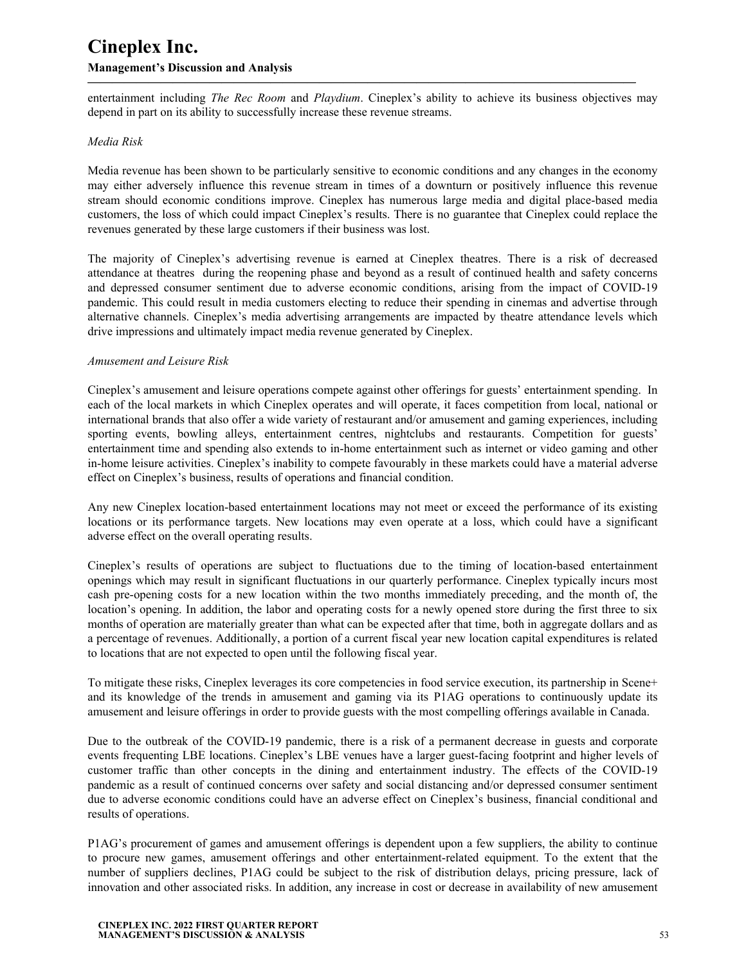entertainment including *The Rec Room* and *Playdium*. Cineplex's ability to achieve its business objectives may depend in part on its ability to successfully increase these revenue streams.

**—————————————————————————————————————————————**

#### *Media Risk*

Media revenue has been shown to be particularly sensitive to economic conditions and any changes in the economy may either adversely influence this revenue stream in times of a downturn or positively influence this revenue stream should economic conditions improve. Cineplex has numerous large media and digital place-based media customers, the loss of which could impact Cineplex's results. There is no guarantee that Cineplex could replace the revenues generated by these large customers if their business was lost.

The majority of Cineplex's advertising revenue is earned at Cineplex theatres. There is a risk of decreased attendance at theatres during the reopening phase and beyond as a result of continued health and safety concerns and depressed consumer sentiment due to adverse economic conditions, arising from the impact of COVID-19 pandemic. This could result in media customers electing to reduce their spending in cinemas and advertise through alternative channels. Cineplex's media advertising arrangements are impacted by theatre attendance levels which drive impressions and ultimately impact media revenue generated by Cineplex.

#### *Amusement and Leisure Risk*

Cineplex's amusement and leisure operations compete against other offerings for guests' entertainment spending. In each of the local markets in which Cineplex operates and will operate, it faces competition from local, national or international brands that also offer a wide variety of restaurant and/or amusement and gaming experiences, including sporting events, bowling alleys, entertainment centres, nightclubs and restaurants. Competition for guests' entertainment time and spending also extends to in-home entertainment such as internet or video gaming and other in-home leisure activities. Cineplex's inability to compete favourably in these markets could have a material adverse effect on Cineplex's business, results of operations and financial condition.

Any new Cineplex location-based entertainment locations may not meet or exceed the performance of its existing locations or its performance targets. New locations may even operate at a loss, which could have a significant adverse effect on the overall operating results.

Cineplex's results of operations are subject to fluctuations due to the timing of location-based entertainment openings which may result in significant fluctuations in our quarterly performance. Cineplex typically incurs most cash pre-opening costs for a new location within the two months immediately preceding, and the month of, the location's opening. In addition, the labor and operating costs for a newly opened store during the first three to six months of operation are materially greater than what can be expected after that time, both in aggregate dollars and as a percentage of revenues. Additionally, a portion of a current fiscal year new location capital expenditures is related to locations that are not expected to open until the following fiscal year.

To mitigate these risks, Cineplex leverages its core competencies in food service execution, its partnership in Scene+ and its knowledge of the trends in amusement and gaming via its P1AG operations to continuously update its amusement and leisure offerings in order to provide guests with the most compelling offerings available in Canada.

Due to the outbreak of the COVID-19 pandemic, there is a risk of a permanent decrease in guests and corporate events frequenting LBE locations. Cineplex's LBE venues have a larger guest-facing footprint and higher levels of customer traffic than other concepts in the dining and entertainment industry. The effects of the COVID-19 pandemic as a result of continued concerns over safety and social distancing and/or depressed consumer sentiment due to adverse economic conditions could have an adverse effect on Cineplex's business, financial conditional and results of operations.

P1AG's procurement of games and amusement offerings is dependent upon a few suppliers, the ability to continue to procure new games, amusement offerings and other entertainment-related equipment. To the extent that the number of suppliers declines, P1AG could be subject to the risk of distribution delays, pricing pressure, lack of innovation and other associated risks. In addition, any increase in cost or decrease in availability of new amusement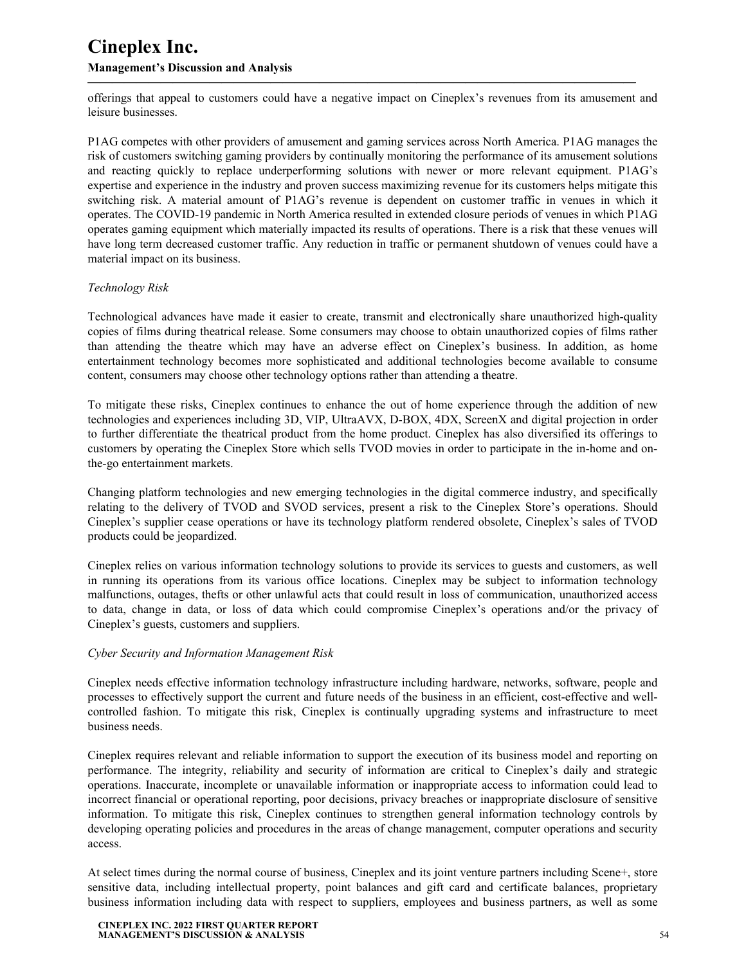offerings that appeal to customers could have a negative impact on Cineplex's revenues from its amusement and leisure businesses.

**—————————————————————————————————————————————**

P1AG competes with other providers of amusement and gaming services across North America. P1AG manages the risk of customers switching gaming providers by continually monitoring the performance of its amusement solutions and reacting quickly to replace underperforming solutions with newer or more relevant equipment. P1AG's expertise and experience in the industry and proven success maximizing revenue for its customers helps mitigate this switching risk. A material amount of P1AG's revenue is dependent on customer traffic in venues in which it operates. The COVID-19 pandemic in North America resulted in extended closure periods of venues in which P1AG operates gaming equipment which materially impacted its results of operations. There is a risk that these venues will have long term decreased customer traffic. Any reduction in traffic or permanent shutdown of venues could have a material impact on its business.

#### *Technology Risk*

Technological advances have made it easier to create, transmit and electronically share unauthorized high-quality copies of films during theatrical release. Some consumers may choose to obtain unauthorized copies of films rather than attending the theatre which may have an adverse effect on Cineplex's business. In addition, as home entertainment technology becomes more sophisticated and additional technologies become available to consume content, consumers may choose other technology options rather than attending a theatre.

To mitigate these risks, Cineplex continues to enhance the out of home experience through the addition of new technologies and experiences including 3D, VIP, UltraAVX, D-BOX, 4DX, ScreenX and digital projection in order to further differentiate the theatrical product from the home product. Cineplex has also diversified its offerings to customers by operating the Cineplex Store which sells TVOD movies in order to participate in the in-home and onthe-go entertainment markets.

Changing platform technologies and new emerging technologies in the digital commerce industry, and specifically relating to the delivery of TVOD and SVOD services, present a risk to the Cineplex Store's operations. Should Cineplex's supplier cease operations or have its technology platform rendered obsolete, Cineplex's sales of TVOD products could be jeopardized.

Cineplex relies on various information technology solutions to provide its services to guests and customers, as well in running its operations from its various office locations. Cineplex may be subject to information technology malfunctions, outages, thefts or other unlawful acts that could result in loss of communication, unauthorized access to data, change in data, or loss of data which could compromise Cineplex's operations and/or the privacy of Cineplex's guests, customers and suppliers.

#### *Cyber Security and Information Management Risk*

Cineplex needs effective information technology infrastructure including hardware, networks, software, people and processes to effectively support the current and future needs of the business in an efficient, cost-effective and wellcontrolled fashion. To mitigate this risk, Cineplex is continually upgrading systems and infrastructure to meet business needs.

Cineplex requires relevant and reliable information to support the execution of its business model and reporting on performance. The integrity, reliability and security of information are critical to Cineplex's daily and strategic operations. Inaccurate, incomplete or unavailable information or inappropriate access to information could lead to incorrect financial or operational reporting, poor decisions, privacy breaches or inappropriate disclosure of sensitive information. To mitigate this risk, Cineplex continues to strengthen general information technology controls by developing operating policies and procedures in the areas of change management, computer operations and security access.

At select times during the normal course of business, Cineplex and its joint venture partners including Scene+, store sensitive data, including intellectual property, point balances and gift card and certificate balances, proprietary business information including data with respect to suppliers, employees and business partners, as well as some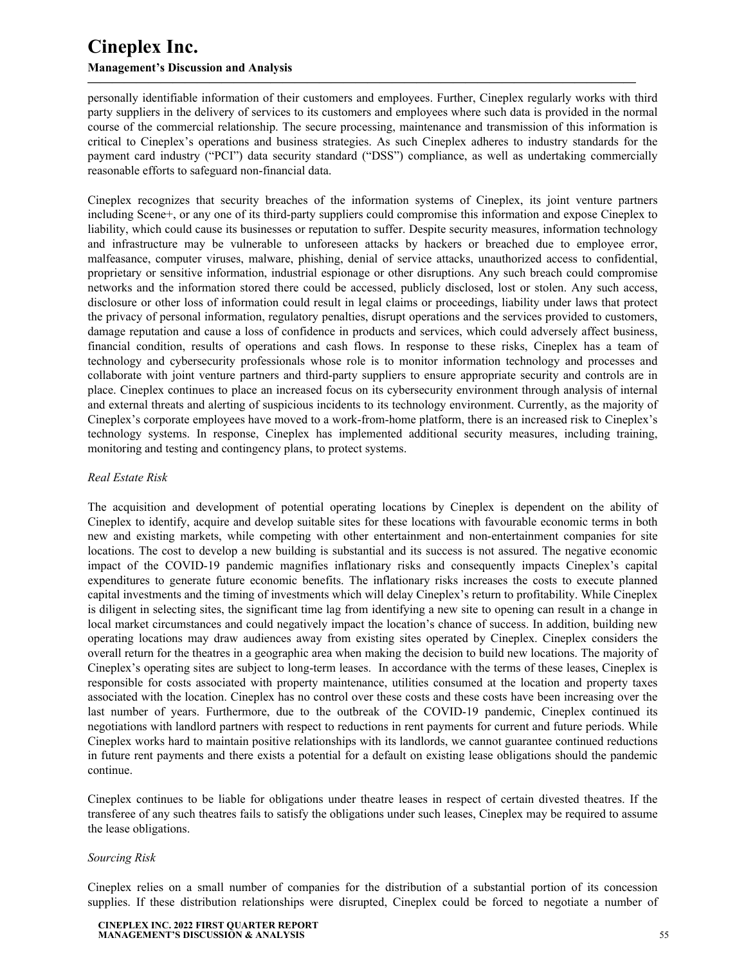personally identifiable information of their customers and employees. Further, Cineplex regularly works with third party suppliers in the delivery of services to its customers and employees where such data is provided in the normal course of the commercial relationship. The secure processing, maintenance and transmission of this information is critical to Cineplex's operations and business strategies. As such Cineplex adheres to industry standards for the payment card industry ("PCI") data security standard ("DSS") compliance, as well as undertaking commercially reasonable efforts to safeguard non-financial data.

**—————————————————————————————————————————————**

Cineplex recognizes that security breaches of the information systems of Cineplex, its joint venture partners including Scene+, or any one of its third-party suppliers could compromise this information and expose Cineplex to liability, which could cause its businesses or reputation to suffer. Despite security measures, information technology and infrastructure may be vulnerable to unforeseen attacks by hackers or breached due to employee error, malfeasance, computer viruses, malware, phishing, denial of service attacks, unauthorized access to confidential, proprietary or sensitive information, industrial espionage or other disruptions. Any such breach could compromise networks and the information stored there could be accessed, publicly disclosed, lost or stolen. Any such access, disclosure or other loss of information could result in legal claims or proceedings, liability under laws that protect the privacy of personal information, regulatory penalties, disrupt operations and the services provided to customers, damage reputation and cause a loss of confidence in products and services, which could adversely affect business, financial condition, results of operations and cash flows. In response to these risks, Cineplex has a team of technology and cybersecurity professionals whose role is to monitor information technology and processes and collaborate with joint venture partners and third-party suppliers to ensure appropriate security and controls are in place. Cineplex continues to place an increased focus on its cybersecurity environment through analysis of internal and external threats and alerting of suspicious incidents to its technology environment. Currently, as the majority of Cineplex's corporate employees have moved to a work-from-home platform, there is an increased risk to Cineplex's technology systems. In response, Cineplex has implemented additional security measures, including training, monitoring and testing and contingency plans, to protect systems.

#### *Real Estate Risk*

The acquisition and development of potential operating locations by Cineplex is dependent on the ability of Cineplex to identify, acquire and develop suitable sites for these locations with favourable economic terms in both new and existing markets, while competing with other entertainment and non-entertainment companies for site locations. The cost to develop a new building is substantial and its success is not assured. The negative economic impact of the COVID-19 pandemic magnifies inflationary risks and consequently impacts Cineplex's capital expenditures to generate future economic benefits. The inflationary risks increases the costs to execute planned capital investments and the timing of investments which will delay Cineplex's return to profitability. While Cineplex is diligent in selecting sites, the significant time lag from identifying a new site to opening can result in a change in local market circumstances and could negatively impact the location's chance of success. In addition, building new operating locations may draw audiences away from existing sites operated by Cineplex. Cineplex considers the overall return for the theatres in a geographic area when making the decision to build new locations. The majority of Cineplex's operating sites are subject to long-term leases. In accordance with the terms of these leases, Cineplex is responsible for costs associated with property maintenance, utilities consumed at the location and property taxes associated with the location. Cineplex has no control over these costs and these costs have been increasing over the last number of years. Furthermore, due to the outbreak of the COVID-19 pandemic, Cineplex continued its negotiations with landlord partners with respect to reductions in rent payments for current and future periods. While Cineplex works hard to maintain positive relationships with its landlords, we cannot guarantee continued reductions in future rent payments and there exists a potential for a default on existing lease obligations should the pandemic continue.

Cineplex continues to be liable for obligations under theatre leases in respect of certain divested theatres. If the transferee of any such theatres fails to satisfy the obligations under such leases, Cineplex may be required to assume the lease obligations.

#### *Sourcing Risk*

Cineplex relies on a small number of companies for the distribution of a substantial portion of its concession supplies. If these distribution relationships were disrupted, Cineplex could be forced to negotiate a number of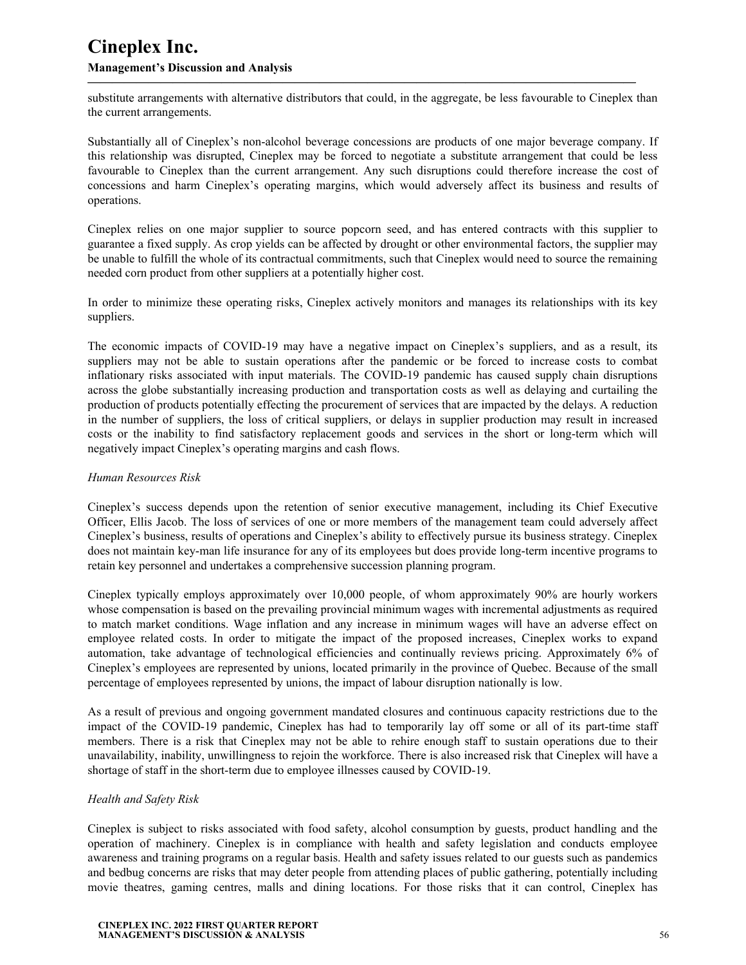substitute arrangements with alternative distributors that could, in the aggregate, be less favourable to Cineplex than the current arrangements.

**—————————————————————————————————————————————**

Substantially all of Cineplex's non-alcohol beverage concessions are products of one major beverage company. If this relationship was disrupted, Cineplex may be forced to negotiate a substitute arrangement that could be less favourable to Cineplex than the current arrangement. Any such disruptions could therefore increase the cost of concessions and harm Cineplex's operating margins, which would adversely affect its business and results of operations.

Cineplex relies on one major supplier to source popcorn seed, and has entered contracts with this supplier to guarantee a fixed supply. As crop yields can be affected by drought or other environmental factors, the supplier may be unable to fulfill the whole of its contractual commitments, such that Cineplex would need to source the remaining needed corn product from other suppliers at a potentially higher cost.

In order to minimize these operating risks, Cineplex actively monitors and manages its relationships with its key suppliers.

The economic impacts of COVID-19 may have a negative impact on Cineplex's suppliers, and as a result, its suppliers may not be able to sustain operations after the pandemic or be forced to increase costs to combat inflationary risks associated with input materials. The COVID-19 pandemic has caused supply chain disruptions across the globe substantially increasing production and transportation costs as well as delaying and curtailing the production of products potentially effecting the procurement of services that are impacted by the delays. A reduction in the number of suppliers, the loss of critical suppliers, or delays in supplier production may result in increased costs or the inability to find satisfactory replacement goods and services in the short or long-term which will negatively impact Cineplex's operating margins and cash flows.

#### *Human Resources Risk*

Cineplex's success depends upon the retention of senior executive management, including its Chief Executive Officer, Ellis Jacob. The loss of services of one or more members of the management team could adversely affect Cineplex's business, results of operations and Cineplex's ability to effectively pursue its business strategy. Cineplex does not maintain key-man life insurance for any of its employees but does provide long-term incentive programs to retain key personnel and undertakes a comprehensive succession planning program.

Cineplex typically employs approximately over 10,000 people, of whom approximately 90% are hourly workers whose compensation is based on the prevailing provincial minimum wages with incremental adjustments as required to match market conditions. Wage inflation and any increase in minimum wages will have an adverse effect on employee related costs. In order to mitigate the impact of the proposed increases, Cineplex works to expand automation, take advantage of technological efficiencies and continually reviews pricing. Approximately 6% of Cineplex's employees are represented by unions, located primarily in the province of Quebec. Because of the small percentage of employees represented by unions, the impact of labour disruption nationally is low.

As a result of previous and ongoing government mandated closures and continuous capacity restrictions due to the impact of the COVID-19 pandemic, Cineplex has had to temporarily lay off some or all of its part-time staff members. There is a risk that Cineplex may not be able to rehire enough staff to sustain operations due to their unavailability, inability, unwillingness to rejoin the workforce. There is also increased risk that Cineplex will have a shortage of staff in the short-term due to employee illnesses caused by COVID-19.

#### *Health and Safety Risk*

Cineplex is subject to risks associated with food safety, alcohol consumption by guests, product handling and the operation of machinery. Cineplex is in compliance with health and safety legislation and conducts employee awareness and training programs on a regular basis. Health and safety issues related to our guests such as pandemics and bedbug concerns are risks that may deter people from attending places of public gathering, potentially including movie theatres, gaming centres, malls and dining locations. For those risks that it can control, Cineplex has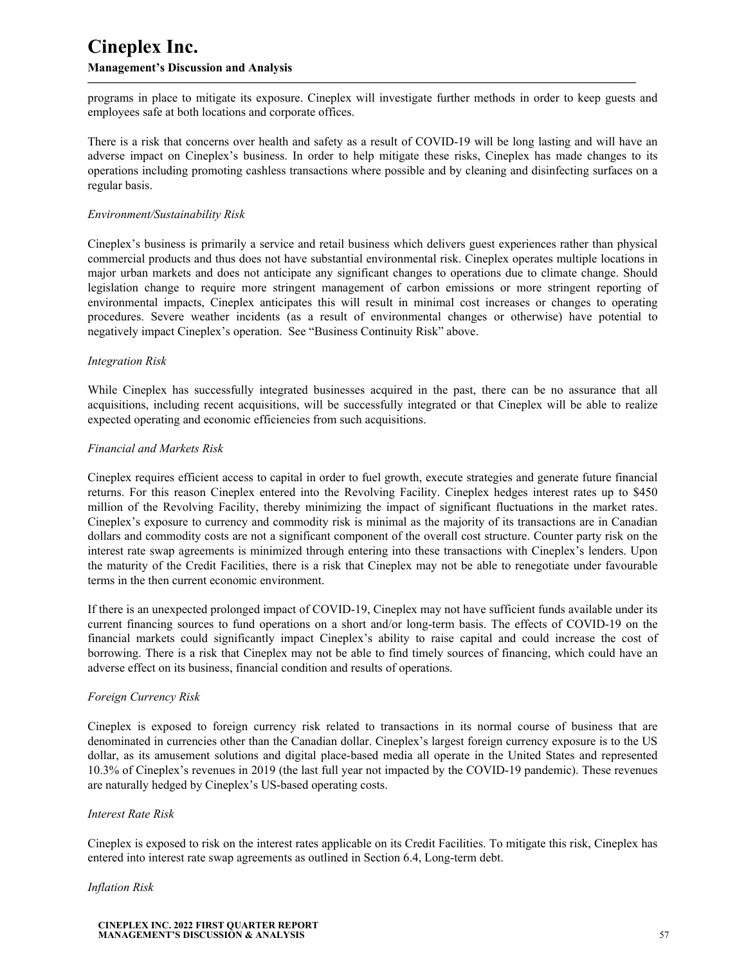programs in place to mitigate its exposure. Cineplex will investigate further methods in order to keep guests and employees safe at both locations and corporate offices.

**—————————————————————————————————————————————**

There is a risk that concerns over health and safety as a result of COVID-19 will be long lasting and will have an adverse impact on Cineplex's business. In order to help mitigate these risks, Cineplex has made changes to its operations including promoting cashless transactions where possible and by cleaning and disinfecting surfaces on a regular basis.

#### *Environment/Sustainability Risk*

Cineplex's business is primarily a service and retail business which delivers guest experiences rather than physical commercial products and thus does not have substantial environmental risk. Cineplex operates multiple locations in major urban markets and does not anticipate any significant changes to operations due to climate change. Should legislation change to require more stringent management of carbon emissions or more stringent reporting of environmental impacts, Cineplex anticipates this will result in minimal cost increases or changes to operating procedures. Severe weather incidents (as a result of environmental changes or otherwise) have potential to negatively impact Cineplex's operation. See "Business Continuity Risk" above.

#### *Integration Risk*

While Cineplex has successfully integrated businesses acquired in the past, there can be no assurance that all acquisitions, including recent acquisitions, will be successfully integrated or that Cineplex will be able to realize expected operating and economic efficiencies from such acquisitions.

#### *Financial and Markets Risk*

Cineplex requires efficient access to capital in order to fuel growth, execute strategies and generate future financial returns. For this reason Cineplex entered into the Revolving Facility. Cineplex hedges interest rates up to \$450 million of the Revolving Facility, thereby minimizing the impact of significant fluctuations in the market rates. Cineplex's exposure to currency and commodity risk is minimal as the majority of its transactions are in Canadian dollars and commodity costs are not a significant component of the overall cost structure. Counter party risk on the interest rate swap agreements is minimized through entering into these transactions with Cineplex's lenders. Upon the maturity of the Credit Facilities, there is a risk that Cineplex may not be able to renegotiate under favourable terms in the then current economic environment.

If there is an unexpected prolonged impact of COVID-19, Cineplex may not have sufficient funds available under its current financing sources to fund operations on a short and/or long-term basis. The effects of COVID-19 on the financial markets could significantly impact Cineplex's ability to raise capital and could increase the cost of borrowing. There is a risk that Cineplex may not be able to find timely sources of financing, which could have an adverse effect on its business, financial condition and results of operations.

#### *Foreign Currency Risk*

Cineplex is exposed to foreign currency risk related to transactions in its normal course of business that are denominated in currencies other than the Canadian dollar. Cineplex's largest foreign currency exposure is to the US dollar, as its amusement solutions and digital place-based media all operate in the United States and represented 10.3% of Cineplex's revenues in 2019 (the last full year not impacted by the COVID-19 pandemic). These revenues are naturally hedged by Cineplex's US-based operating costs.

#### *Interest Rate Risk*

Cineplex is exposed to risk on the interest rates applicable on its Credit Facilities. To mitigate this risk, Cineplex has entered into interest rate swap agreements as outlined in Section 6.4, Long-term debt.

#### *Inflation Risk*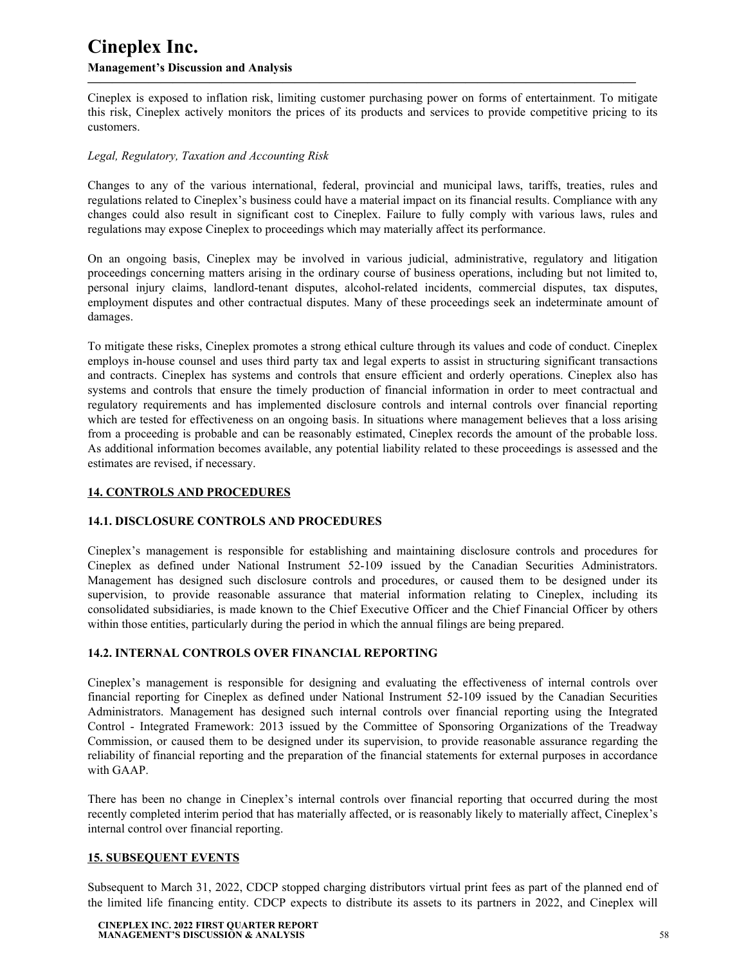Cineplex is exposed to inflation risk, limiting customer purchasing power on forms of entertainment. To mitigate this risk, Cineplex actively monitors the prices of its products and services to provide competitive pricing to its customers.

<span id="page-57-0"></span>**—————————————————————————————————————————————**

#### *Legal, Regulatory, Taxation and Accounting Risk*

Changes to any of the various international, federal, provincial and municipal laws, tariffs, treaties, rules and regulations related to Cineplex's business could have a material impact on its financial results. Compliance with any changes could also result in significant cost to Cineplex. Failure to fully comply with various laws, rules and regulations may expose Cineplex to proceedings which may materially affect its performance.

On an ongoing basis, Cineplex may be involved in various judicial, administrative, regulatory and litigation proceedings concerning matters arising in the ordinary course of business operations, including but not limited to, personal injury claims, landlord-tenant disputes, alcohol-related incidents, commercial disputes, tax disputes, employment disputes and other contractual disputes. Many of these proceedings seek an indeterminate amount of damages.

To mitigate these risks, Cineplex promotes a strong ethical culture through its values and code of conduct. Cineplex employs in-house counsel and uses third party tax and legal experts to assist in structuring significant transactions and contracts. Cineplex has systems and controls that ensure efficient and orderly operations. Cineplex also has systems and controls that ensure the timely production of financial information in order to meet contractual and regulatory requirements and has implemented disclosure controls and internal controls over financial reporting which are tested for effectiveness on an ongoing basis. In situations where management believes that a loss arising from a proceeding is probable and can be reasonably estimated, Cineplex records the amount of the probable loss. As additional information becomes available, any potential liability related to these proceedings is assessed and the estimates are revised, if necessary.

### **14. CONTROLS AND PROCEDURES**

#### **14.1. DISCLOSURE CONTROLS AND PROCEDURES**

Cineplex's management is responsible for establishing and maintaining disclosure controls and procedures for Cineplex as defined under National Instrument 52-109 issued by the Canadian Securities Administrators. Management has designed such disclosure controls and procedures, or caused them to be designed under its supervision, to provide reasonable assurance that material information relating to Cineplex, including its consolidated subsidiaries, is made known to the Chief Executive Officer and the Chief Financial Officer by others within those entities, particularly during the period in which the annual filings are being prepared.

#### **14.2. INTERNAL CONTROLS OVER FINANCIAL REPORTING**

Cineplex's management is responsible for designing and evaluating the effectiveness of internal controls over financial reporting for Cineplex as defined under National Instrument 52-109 issued by the Canadian Securities Administrators. Management has designed such internal controls over financial reporting using the Integrated Control - Integrated Framework: 2013 issued by the Committee of Sponsoring Organizations of the Treadway Commission, or caused them to be designed under its supervision, to provide reasonable assurance regarding the reliability of financial reporting and the preparation of the financial statements for external purposes in accordance with GAAP.

There has been no change in Cineplex's internal controls over financial reporting that occurred during the most recently completed interim period that has materially affected, or is reasonably likely to materially affect, Cineplex's internal control over financial reporting.

#### **15. SUBSEQUENT EVENTS**

Subsequent to March 31, 2022, CDCP stopped charging distributors virtual print fees as part of the planned end of the limited life financing entity. CDCP expects to distribute its assets to its partners in 2022, and Cineplex will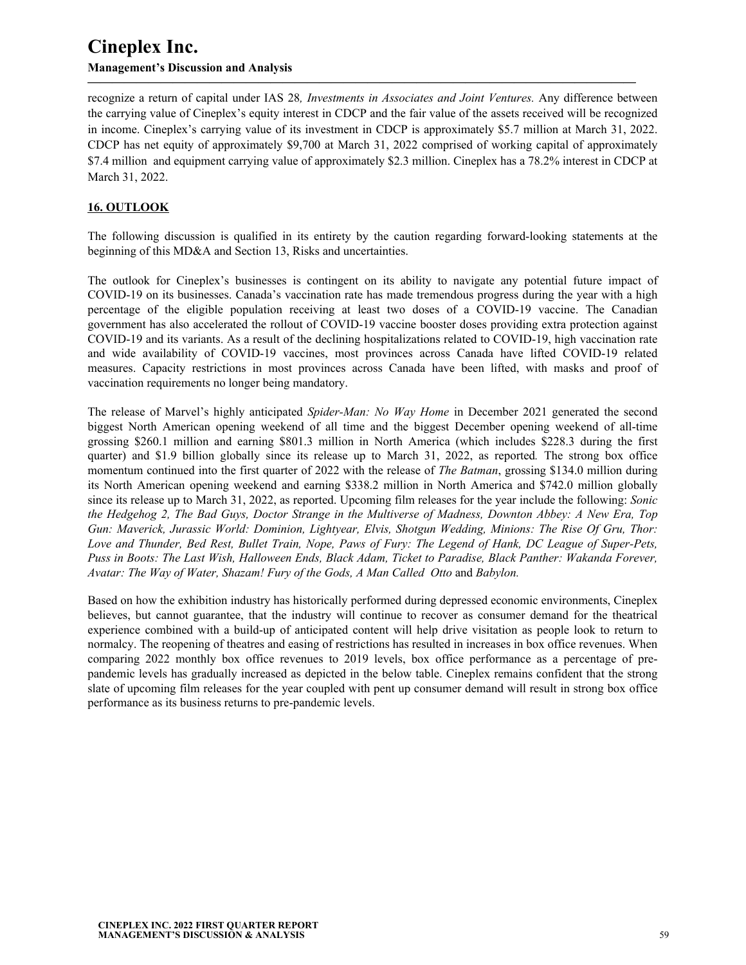recognize a return of capital under IAS 28*, Investments in Associates and Joint Ventures.* Any difference between the carrying value of Cineplex's equity interest in CDCP and the fair value of the assets received will be recognized in income. Cineplex's carrying value of its investment in CDCP is approximately \$5.7 million at March 31, 2022. CDCP has net equity of approximately \$9,700 at March 31, 2022 comprised of working capital of approximately \$7.4 million and equipment carrying value of approximately \$2.3 million. Cineplex has a 78.2% interest in CDCP at March 31, 2022.

<span id="page-58-0"></span>**—————————————————————————————————————————————**

## **16. OUTLOOK**

The following discussion is qualified in its entirety by the caution regarding forward-looking statements at the beginning of this MD&A and Section 13, Risks and uncertainties.

The outlook for Cineplex's businesses is contingent on its ability to navigate any potential future impact of COVID-19 on its businesses. Canada's vaccination rate has made tremendous progress during the year with a high percentage of the eligible population receiving at least two doses of a COVID-19 vaccine. The Canadian government has also accelerated the rollout of COVID-19 vaccine booster doses providing extra protection against COVID-19 and its variants. As a result of the declining hospitalizations related to COVID-19, high vaccination rate and wide availability of COVID-19 vaccines, most provinces across Canada have lifted COVID-19 related measures. Capacity restrictions in most provinces across Canada have been lifted, with masks and proof of vaccination requirements no longer being mandatory.

The release of Marvel's highly anticipated *Spider-Man: No Way Home* in December 2021 generated the second biggest North American opening weekend of all time and the biggest December opening weekend of all-time grossing \$260.1 million and earning \$801.3 million in North America (which includes \$228.3 during the first quarter) and \$1.9 billion globally since its release up to March 31, 2022, as reported*.* The strong box office momentum continued into the first quarter of 2022 with the release of *The Batman*, grossing \$134.0 million during its North American opening weekend and earning \$338.2 million in North America and \$742.0 million globally since its release up to March 31, 2022, as reported. Upcoming film releases for the year include the following: *Sonic the Hedgehog 2, The Bad Guys, Doctor Strange in the Multiverse of Madness, Downton Abbey: A New Era, Top Gun: Maverick, Jurassic World: Dominion, Lightyear, Elvis, Shotgun Wedding, Minions: The Rise Of Gru, Thor: Love and Thunder, Bed Rest, Bullet Train, Nope, Paws of Fury: The Legend of Hank, DC League of Super-Pets, Puss in Boots: The Last Wish, Halloween Ends, Black Adam, Ticket to Paradise, Black Panther: Wakanda Forever, Avatar: The Way of Water, Shazam! Fury of the Gods, A Man Called Otto* and *Babylon.*

Based on how the exhibition industry has historically performed during depressed economic environments, Cineplex believes, but cannot guarantee, that the industry will continue to recover as consumer demand for the theatrical experience combined with a build-up of anticipated content will help drive visitation as people look to return to normalcy. The reopening of theatres and easing of restrictions has resulted in increases in box office revenues. When comparing 2022 monthly box office revenues to 2019 levels, box office performance as a percentage of prepandemic levels has gradually increased as depicted in the below table. Cineplex remains confident that the strong slate of upcoming film releases for the year coupled with pent up consumer demand will result in strong box office performance as its business returns to pre-pandemic levels.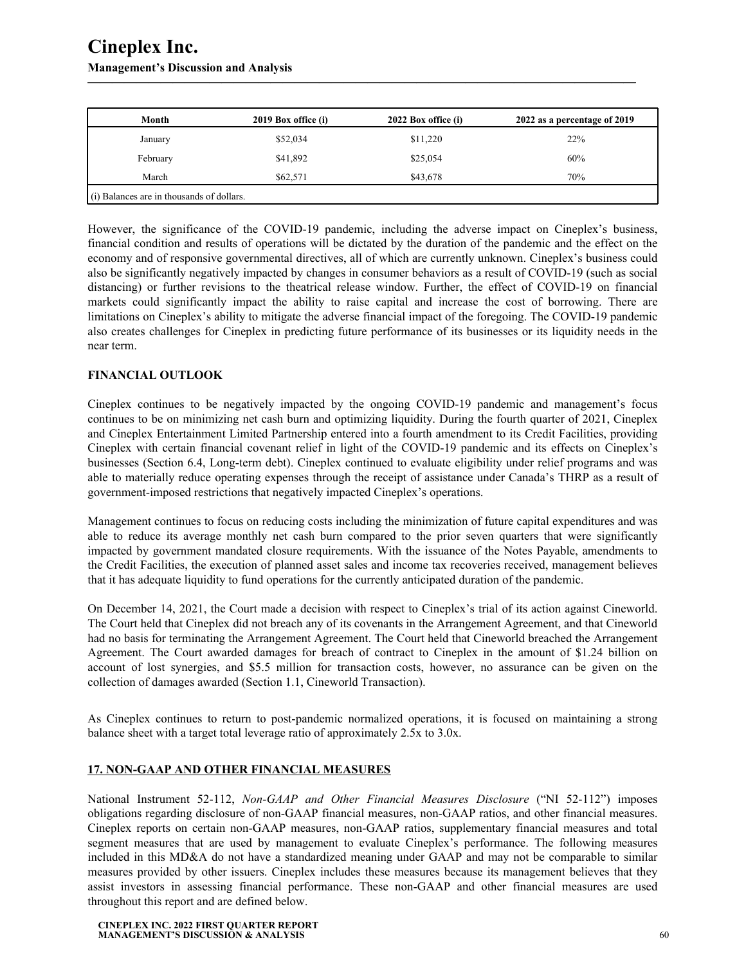## <span id="page-59-0"></span>**Management's Discussion and Analysis**

| Month                                       | 2019 Box office (i) | 2022 Box office (i) | 2022 as a percentage of 2019 |
|---------------------------------------------|---------------------|---------------------|------------------------------|
| January                                     | \$52,034            | \$11,220            | 22%                          |
| February                                    | \$41,892            | \$25,054            | 60%                          |
| March                                       | \$62,571            | \$43,678            | 70%                          |
| $(i)$ Balances are in thousands of dollars. |                     |                     |                              |

**—————————————————————————————————————————————**

However, the significance of the COVID-19 pandemic, including the adverse impact on Cineplex's business, financial condition and results of operations will be dictated by the duration of the pandemic and the effect on the economy and of responsive governmental directives, all of which are currently unknown. Cineplex's business could also be significantly negatively impacted by changes in consumer behaviors as a result of COVID-19 (such as social distancing) or further revisions to the theatrical release window. Further, the effect of COVID-19 on financial markets could significantly impact the ability to raise capital and increase the cost of borrowing. There are limitations on Cineplex's ability to mitigate the adverse financial impact of the foregoing. The COVID-19 pandemic also creates challenges for Cineplex in predicting future performance of its businesses or its liquidity needs in the near term.

### **FINANCIAL OUTLOOK**

Cineplex continues to be negatively impacted by the ongoing COVID-19 pandemic and management's focus continues to be on minimizing net cash burn and optimizing liquidity. During the fourth quarter of 2021, Cineplex and Cineplex Entertainment Limited Partnership entered into a fourth amendment to its Credit Facilities, providing Cineplex with certain financial covenant relief in light of the COVID-19 pandemic and its effects on Cineplex's businesses (Section 6.4, Long-term debt). Cineplex continued to evaluate eligibility under relief programs and was able to materially reduce operating expenses through the receipt of assistance under Canada's THRP as a result of government-imposed restrictions that negatively impacted Cineplex's operations.

Management continues to focus on reducing costs including the minimization of future capital expenditures and was able to reduce its average monthly net cash burn compared to the prior seven quarters that were significantly impacted by government mandated closure requirements. With the issuance of the Notes Payable, amendments to the Credit Facilities, the execution of planned asset sales and income tax recoveries received, management believes that it has adequate liquidity to fund operations for the currently anticipated duration of the pandemic.

On December 14, 2021, the Court made a decision with respect to Cineplex's trial of its action against Cineworld. The Court held that Cineplex did not breach any of its covenants in the Arrangement Agreement, and that Cineworld had no basis for terminating the Arrangement Agreement. The Court held that Cineworld breached the Arrangement Agreement. The Court awarded damages for breach of contract to Cineplex in the amount of \$1.24 billion on account of lost synergies, and \$5.5 million for transaction costs, however, no assurance can be given on the collection of damages awarded (Section 1.1, Cineworld Transaction).

As Cineplex continues to return to post-pandemic normalized operations, it is focused on maintaining a strong balance sheet with a target total leverage ratio of approximately 2.5x to 3.0x.

#### **17. NON-GAAP AND OTHER FINANCIAL MEASURES**

National Instrument 52-112, *Non-GAAP and Other Financial Measures Disclosure* ("NI 52-112") imposes obligations regarding disclosure of non-GAAP financial measures, non-GAAP ratios, and other financial measures. Cineplex reports on certain non-GAAP measures, non-GAAP ratios, supplementary financial measures and total segment measures that are used by management to evaluate Cineplex's performance. The following measures included in this MD&A do not have a standardized meaning under GAAP and may not be comparable to similar measures provided by other issuers. Cineplex includes these measures because its management believes that they assist investors in assessing financial performance. These non-GAAP and other financial measures are used throughout this report and are defined below.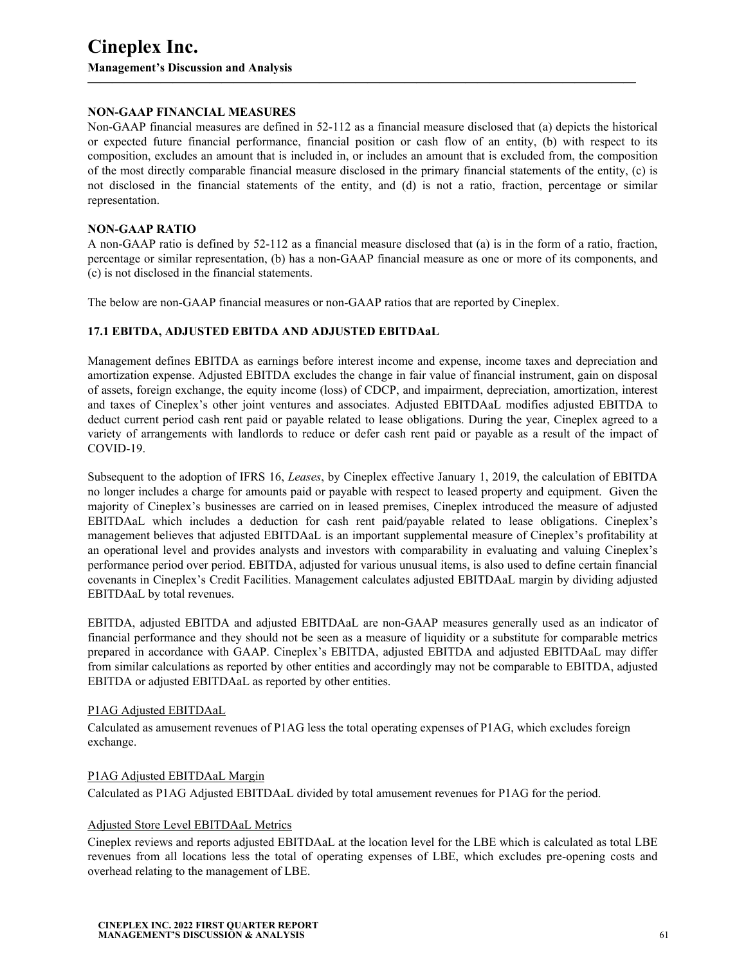#### **NON-GAAP FINANCIAL MEASURES**

Non-GAAP financial measures are defined in 52-112 as a financial measure disclosed that (a) depicts the historical or expected future financial performance, financial position or cash flow of an entity, (b) with respect to its composition, excludes an amount that is included in, or includes an amount that is excluded from, the composition of the most directly comparable financial measure disclosed in the primary financial statements of the entity, (c) is not disclosed in the financial statements of the entity, and (d) is not a ratio, fraction, percentage or similar representation.

**—————————————————————————————————————————————**

#### **NON-GAAP RATIO**

A non-GAAP ratio is defined by 52-112 as a financial measure disclosed that (a) is in the form of a ratio, fraction, percentage or similar representation, (b) has a non-GAAP financial measure as one or more of its components, and (c) is not disclosed in the financial statements.

The below are non-GAAP financial measures or non-GAAP ratios that are reported by Cineplex.

#### **17.1 EBITDA, ADJUSTED EBITDA AND ADJUSTED EBITDAaL**

Management defines EBITDA as earnings before interest income and expense, income taxes and depreciation and amortization expense. Adjusted EBITDA excludes the change in fair value of financial instrument, gain on disposal of assets, foreign exchange, the equity income (loss) of CDCP, and impairment, depreciation, amortization, interest and taxes of Cineplex's other joint ventures and associates. Adjusted EBITDAaL modifies adjusted EBITDA to deduct current period cash rent paid or payable related to lease obligations. During the year, Cineplex agreed to a variety of arrangements with landlords to reduce or defer cash rent paid or payable as a result of the impact of COVID-19.

Subsequent to the adoption of IFRS 16, *Leases*, by Cineplex effective January 1, 2019, the calculation of EBITDA no longer includes a charge for amounts paid or payable with respect to leased property and equipment. Given the majority of Cineplex's businesses are carried on in leased premises, Cineplex introduced the measure of adjusted EBITDAaL which includes a deduction for cash rent paid/payable related to lease obligations. Cineplex's management believes that adjusted EBITDAaL is an important supplemental measure of Cineplex's profitability at an operational level and provides analysts and investors with comparability in evaluating and valuing Cineplex's performance period over period. EBITDA, adjusted for various unusual items, is also used to define certain financial covenants in Cineplex's Credit Facilities. Management calculates adjusted EBITDAaL margin by dividing adjusted EBITDAaL by total revenues.

EBITDA, adjusted EBITDA and adjusted EBITDAaL are non-GAAP measures generally used as an indicator of financial performance and they should not be seen as a measure of liquidity or a substitute for comparable metrics prepared in accordance with GAAP. Cineplex's EBITDA, adjusted EBITDA and adjusted EBITDAaL may differ from similar calculations as reported by other entities and accordingly may not be comparable to EBITDA, adjusted EBITDA or adjusted EBITDAaL as reported by other entities.

#### P1AG Adjusted EBITDAaL

Calculated as amusement revenues of P1AG less the total operating expenses of P1AG, which excludes foreign exchange.

#### P1AG Adjusted EBITDAaL Margin

Calculated as P1AG Adjusted EBITDAaL divided by total amusement revenues for P1AG for the period.

#### Adjusted Store Level EBITDAaL Metrics

Cineplex reviews and reports adjusted EBITDAaL at the location level for the LBE which is calculated as total LBE revenues from all locations less the total of operating expenses of LBE, which excludes pre-opening costs and overhead relating to the management of LBE.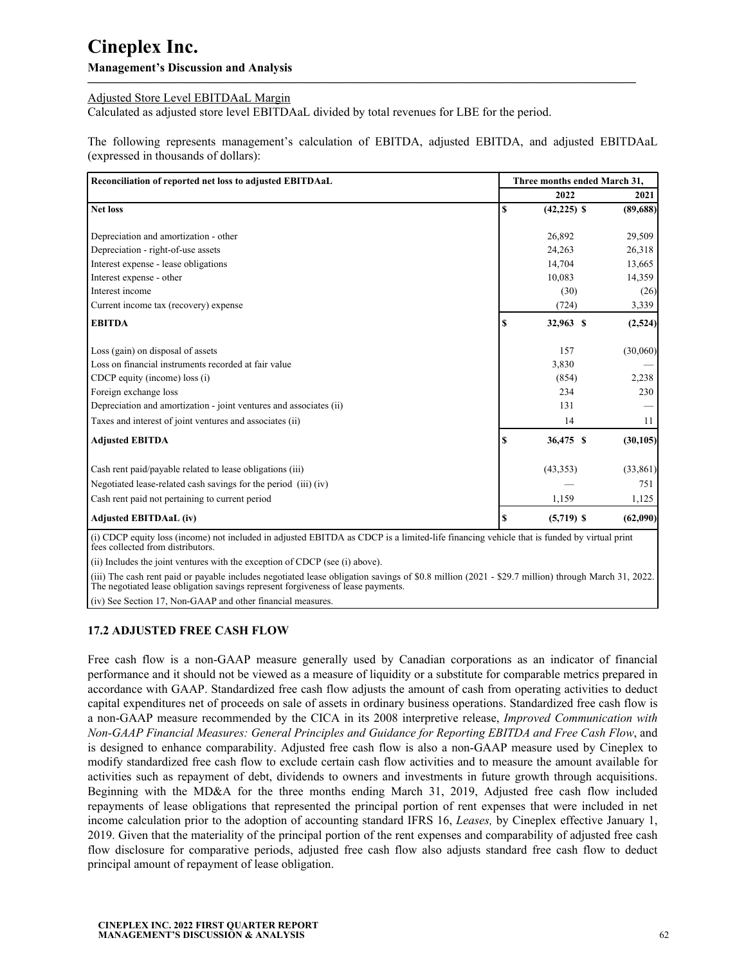#### **Management's Discussion and Analysis**

### Adjusted Store Level EBITDAaL Margin

Calculated as adjusted store level EBITDAaL divided by total revenues for LBE for the period.

The following represents management's calculation of EBITDA, adjusted EBITDA, and adjusted EBITDAaL (expressed in thousands of dollars):

**—————————————————————————————————————————————**

| Reconciliation of reported net loss to adjusted EBITDAaL           |    | Three months ended March 31, |           |  |  |  |
|--------------------------------------------------------------------|----|------------------------------|-----------|--|--|--|
|                                                                    |    | 2022                         | 2021      |  |  |  |
| <b>Net loss</b>                                                    | S  | $(42, 225)$ \$               | (89,688)  |  |  |  |
| Depreciation and amortization - other                              |    | 26,892                       | 29,509    |  |  |  |
| Depreciation - right-of-use assets                                 |    | 24,263                       | 26,318    |  |  |  |
| Interest expense - lease obligations                               |    | 14,704                       | 13,665    |  |  |  |
| Interest expense - other                                           |    | 10,083                       | 14,359    |  |  |  |
| Interest income                                                    |    | (30)                         | (26)      |  |  |  |
| Current income tax (recovery) expense                              |    | (724)                        | 3,339     |  |  |  |
| <b>EBITDA</b>                                                      | -S | 32,963 \$                    | (2,524)   |  |  |  |
| Loss (gain) on disposal of assets                                  |    | 157                          | (30,060)  |  |  |  |
| Loss on financial instruments recorded at fair value               |    | 3,830                        |           |  |  |  |
| CDCP equity (income) loss (i)                                      |    | (854)                        | 2,238     |  |  |  |
| Foreign exchange loss                                              |    | 234                          | 230       |  |  |  |
| Depreciation and amortization - joint ventures and associates (ii) |    | 131                          |           |  |  |  |
| Taxes and interest of joint ventures and associates (ii)           |    | 14                           | 11        |  |  |  |
| <b>Adjusted EBITDA</b>                                             | £. | 36,475 \$                    | (30, 105) |  |  |  |
| Cash rent paid/payable related to lease obligations (iii)          |    | (43,353)                     | (33, 861) |  |  |  |
| Negotiated lease-related cash savings for the period (iii) (iv)    |    |                              | 751       |  |  |  |
| Cash rent paid not pertaining to current period                    |    | 1,159                        | 1,125     |  |  |  |
| <b>Adjusted EBITDAaL (iv)</b>                                      | S  | $(5,719)$ \$                 | (62,090)  |  |  |  |

(i) CDCP equity loss (income) not included in adjusted EBITDA as CDCP is a limited-life financing vehicle that is funded by virtual print fees collected from distributors.

(ii) Includes the joint ventures with the exception of CDCP (see (i) above).

(iii) The cash rent paid or payable includes negotiated lease obligation savings of \$0.8 million (2021 - \$29.7 million) through March 31, 2022. The negotiated lease obligation savings represent forgiveness of lease payments.

(iv) See Section 17, Non-GAAP and other financial measures.

### **17.2 ADJUSTED FREE CASH FLOW**

Free cash flow is a non-GAAP measure generally used by Canadian corporations as an indicator of financial performance and it should not be viewed as a measure of liquidity or a substitute for comparable metrics prepared in accordance with GAAP. Standardized free cash flow adjusts the amount of cash from operating activities to deduct capital expenditures net of proceeds on sale of assets in ordinary business operations. Standardized free cash flow is a non-GAAP measure recommended by the CICA in its 2008 interpretive release, *Improved Communication with Non-GAAP Financial Measures: General Principles and Guidance for Reporting EBITDA and Free Cash Flow*, and is designed to enhance comparability. Adjusted free cash flow is also a non-GAAP measure used by Cineplex to modify standardized free cash flow to exclude certain cash flow activities and to measure the amount available for activities such as repayment of debt, dividends to owners and investments in future growth through acquisitions. Beginning with the MD&A for the three months ending March 31, 2019, Adjusted free cash flow included repayments of lease obligations that represented the principal portion of rent expenses that were included in net income calculation prior to the adoption of accounting standard IFRS 16, *Leases,* by Cineplex effective January 1, 2019. Given that the materiality of the principal portion of the rent expenses and comparability of adjusted free cash flow disclosure for comparative periods, adjusted free cash flow also adjusts standard free cash flow to deduct principal amount of repayment of lease obligation.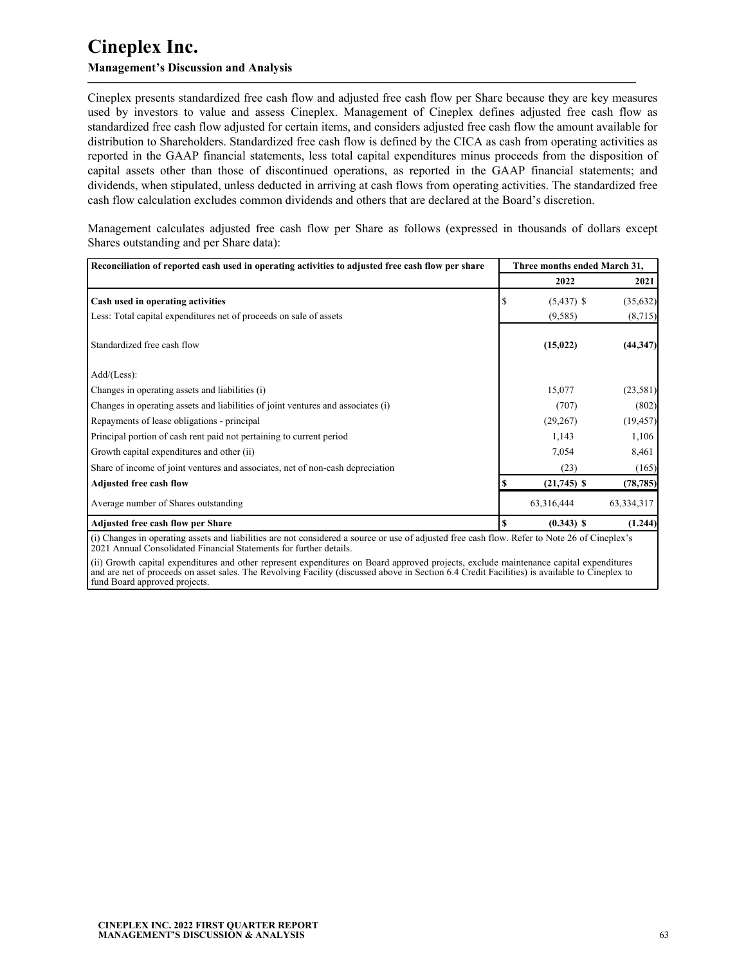## **Management's Discussion and Analysis**

Cineplex presents standardized free cash flow and adjusted free cash flow per Share because they are key measures used by investors to value and assess Cineplex. Management of Cineplex defines adjusted free cash flow as standardized free cash flow adjusted for certain items, and considers adjusted free cash flow the amount available for distribution to Shareholders. Standardized free cash flow is defined by the CICA as cash from operating activities as reported in the GAAP financial statements, less total capital expenditures minus proceeds from the disposition of capital assets other than those of discontinued operations, as reported in the GAAP financial statements; and dividends, when stipulated, unless deducted in arriving at cash flows from operating activities. The standardized free cash flow calculation excludes common dividends and others that are declared at the Board's discretion.

**—————————————————————————————————————————————**

Management calculates adjusted free cash flow per Share as follows (expressed in thousands of dollars except Shares outstanding and per Share data):

| Reconciliation of reported cash used in operating activities to adjusted free cash flow per share |   | Three months ended March 31, |            |  |
|---------------------------------------------------------------------------------------------------|---|------------------------------|------------|--|
|                                                                                                   |   | 2022                         | 2021       |  |
| Cash used in operating activities                                                                 |   | $(5,437)$ \$                 | (35, 632)  |  |
| Less: Total capital expenditures net of proceeds on sale of assets                                |   | (9, 585)                     | (8,715)    |  |
| Standardized free cash flow                                                                       |   | (15, 022)                    | (44, 347)  |  |
| $Add/(Less)$ :                                                                                    |   |                              |            |  |
| Changes in operating assets and liabilities (i)                                                   |   | 15,077                       | (23,581)   |  |
| Changes in operating assets and liabilities of joint ventures and associates (i)                  |   | (707)                        | (802)      |  |
| Repayments of lease obligations - principal                                                       |   | (29, 267)                    | (19, 457)  |  |
| Principal portion of cash rent paid not pertaining to current period                              |   | 1,143                        | 1,106      |  |
| Growth capital expenditures and other (ii)                                                        |   | 7,054                        | 8,461      |  |
| Share of income of joint ventures and associates, net of non-cash depreciation                    |   | (23)                         | (165)      |  |
| <b>Adjusted free cash flow</b>                                                                    |   | $(21,745)$ \$                | (78, 785)  |  |
| Average number of Shares outstanding                                                              |   | 63,316,444                   | 63,334,317 |  |
| Adjusted free cash flow per Share                                                                 | S | $(0.343)$ \$                 | (1.244)    |  |

(i) Changes in operating assets and liabilities are not considered a source or use of adjusted free cash flow. Refer to Note 26 of Cineplex's 2021 Annual Consolidated Financial Statements for further details.

(ii) Growth capital expenditures and other represent expenditures on Board approved projects, exclude maintenance capital expenditures and are net of proceeds on asset sales. The Revolving Facility (discussed above in Section 6.4 Credit Facilities) is available to Cineplex to fund Board approved projects.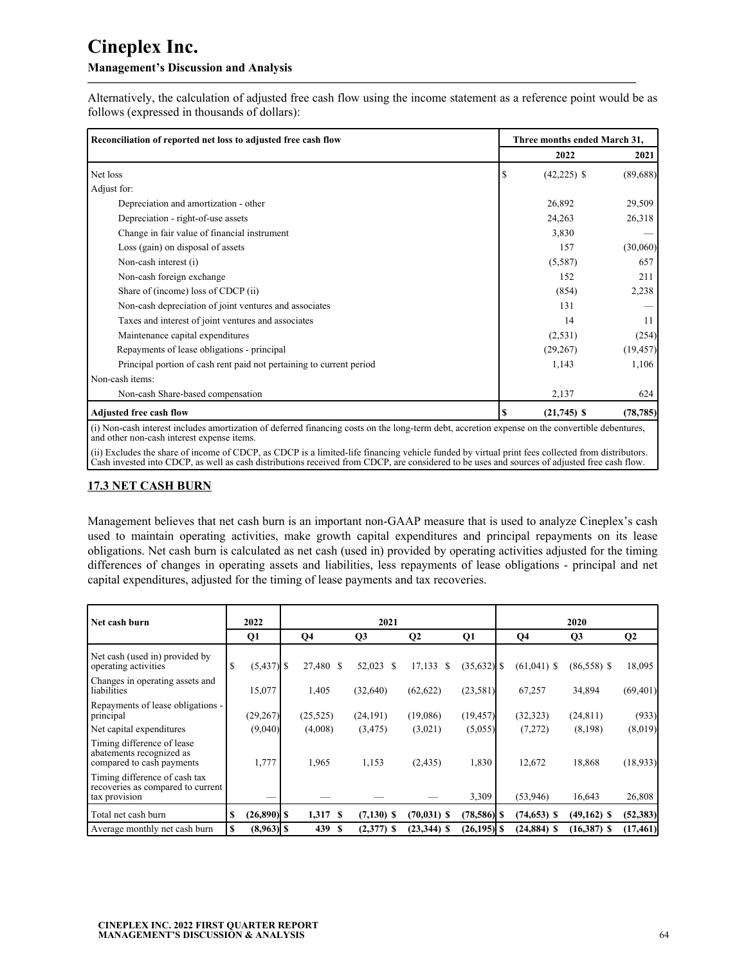### **Management's Discussion and Analysis**

Alternatively, the calculation of adjusted free cash flow using the income statement as a reference point would be as follows (expressed in thousands of dollars):

**—————————————————————————————————————————————**

| Reconciliation of reported net loss to adjusted free cash flow                                                                                                                                |    | Three months ended March 31, |           |
|-----------------------------------------------------------------------------------------------------------------------------------------------------------------------------------------------|----|------------------------------|-----------|
|                                                                                                                                                                                               |    | 2022                         | 2021      |
| Net loss                                                                                                                                                                                      | S  | $(42,225)$ \$                | (89,688)  |
| Adjust for:                                                                                                                                                                                   |    |                              |           |
| Depreciation and amortization - other                                                                                                                                                         |    | 26,892                       | 29,509    |
| Depreciation - right-of-use assets                                                                                                                                                            |    | 24,263                       | 26,318    |
| Change in fair value of financial instrument                                                                                                                                                  |    | 3,830                        |           |
| Loss (gain) on disposal of assets                                                                                                                                                             |    | 157                          | (30,060)  |
| Non-cash interest (i)                                                                                                                                                                         |    | (5,587)                      | 657       |
| Non-cash foreign exchange                                                                                                                                                                     |    | 152                          | 211       |
| Share of (income) loss of CDCP (ii)                                                                                                                                                           |    | (854)                        | 2,238     |
| Non-cash depreciation of joint ventures and associates                                                                                                                                        |    | 131                          |           |
| Taxes and interest of joint ventures and associates                                                                                                                                           |    | 14                           | 11        |
| Maintenance capital expenditures                                                                                                                                                              |    | (2,531)                      | (254)     |
| Repayments of lease obligations - principal                                                                                                                                                   |    | (29, 267)                    | (19, 457) |
| Principal portion of cash rent paid not pertaining to current period                                                                                                                          |    | 1,143                        | 1,106     |
| Non-cash items:                                                                                                                                                                               |    |                              |           |
| Non-cash Share-based compensation                                                                                                                                                             |    | 2,137                        | 624       |
| <b>Adjusted free cash flow</b>                                                                                                                                                                | \$ | $(21,745)$ \$                | (78, 785) |
| (i) Non-cash interest includes amortization of deferred financing costs on the long-term debt, accretion expense on the convertible debentures,<br>and other non-cash interest expense items. |    |                              |           |

(ii) Excludes the share of income of CDCP, as CDCP is a limited-life financing vehicle funded by virtual print fees collected from distributors. Cash invested into CDCP, as well as cash distributions received from CDCP, are considered to be uses and sources of adjusted free cash flow.

## **17.3 NET CASH BURN**

Management believes that net cash burn is an important non-GAAP measure that is used to analyze Cineplex's cash used to maintain operating activities, make growth capital expenditures and principal repayments on its lease obligations. Net cash burn is calculated as net cash (used in) provided by operating activities adjusted for the timing differences of changes in operating assets and liabilities, less repayments of lease obligations - principal and net capital expenditures, adjusted for the timing of lease payments and tax recoveries.

| Net cash burn                                                                       |   | 2022          | 2021 |                |      |                |                |                | 2020 |                |               |              |  |  |
|-------------------------------------------------------------------------------------|---|---------------|------|----------------|------|----------------|----------------|----------------|------|----------------|---------------|--------------|--|--|
|                                                                                     |   | Q1            |      | Q <sub>4</sub> |      | Q <sub>3</sub> | $\mathbf{Q}$   | Q1             |      | Q <sub>4</sub> | Q3            | $\mathbf{Q}$ |  |  |
| Net cash (used in) provided by<br>operating activities                              | S | $(5,437)$ \$  |      | 27,480 \$      |      | 52,023 \$      | 17,133<br>\$   | $(35,632)$ \$  |      | $(61,041)$ \$  | $(86,558)$ \$ | 18,095       |  |  |
| Changes in operating assets and<br>liabilities                                      |   | 15,077        |      | 1,405          |      | (32,640)       | (62, 622)      | (23,581)       |      | 67,257         | 34,894        | (69, 401)    |  |  |
| Repayments of lease obligations -<br>principal                                      |   | (29,267)      |      | (25, 525)      |      | (24, 191)      | (19,086)       | (19, 457)      |      | (32, 323)      | (24, 811)     | (933)        |  |  |
| Net capital expenditures                                                            |   | (9,040)       |      | (4,008)        |      | (3, 475)       | (3,021)        | (5,055)        |      | (7,272)        | (8,198)       | (8,019)      |  |  |
| Timing difference of lease<br>abatements recognized as<br>compared to cash payments |   | 1,777         |      | 1,965          |      | 1,153          | (2, 435)       | 1,830          |      | 12,672         | 18,868        | (18, 933)    |  |  |
| Timing difference of cash tax<br>recoveries as compared to current<br>tax provision |   |               |      |                |      |                |                | 3,309          |      | (53,946)       | 16,643        | 26,808       |  |  |
| Total net cash burn                                                                 |   | $(26,890)$ \$ |      | 1,317 \$       |      | $(7,130)$ \$   | $(70, 031)$ \$ | $(78,586)$ \$  |      | $(74, 653)$ \$ | $(49,162)$ \$ | (52, 383)    |  |  |
| Average monthly net cash burn                                                       |   | $(8,963)$ \$  |      | 439            | - \$ | $(2,377)$ \$   | $(23,344)$ \$  | $(26, 195)$ \$ |      | $(24, 884)$ \$ | $(16,387)$ \$ | (17, 461)    |  |  |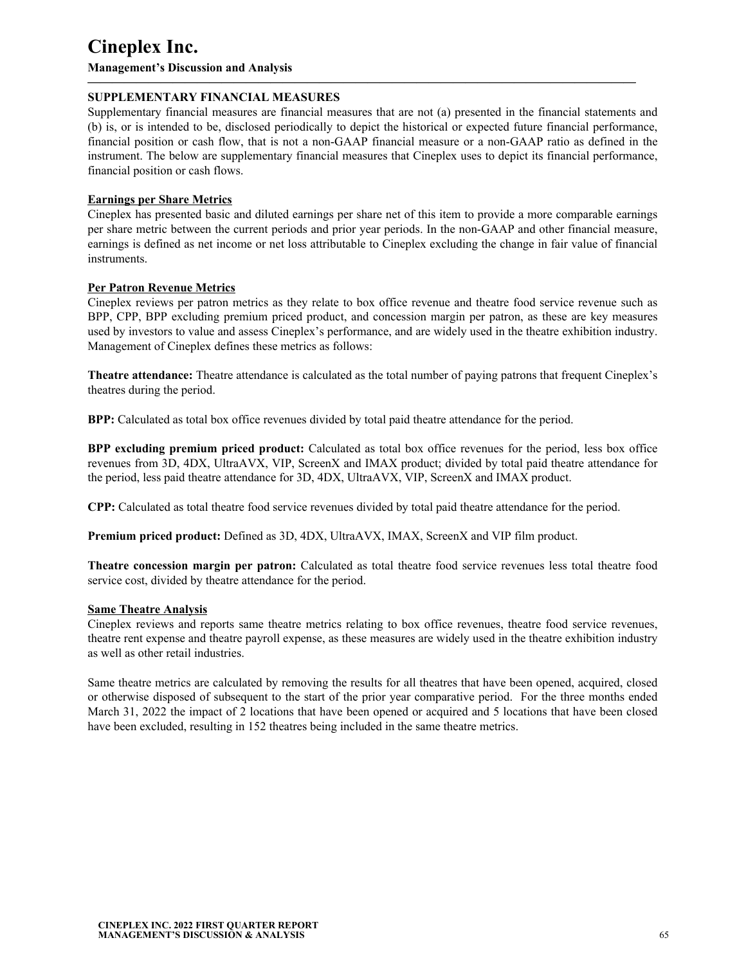**Management's Discussion and Analysis**

### **SUPPLEMENTARY FINANCIAL MEASURES**

Supplementary financial measures are financial measures that are not (a) presented in the financial statements and (b) is, or is intended to be, disclosed periodically to depict the historical or expected future financial performance, financial position or cash flow, that is not a non-GAAP financial measure or a non-GAAP ratio as defined in the instrument. The below are supplementary financial measures that Cineplex uses to depict its financial performance, financial position or cash flows.

**—————————————————————————————————————————————**

#### **Earnings per Share Metrics**

Cineplex has presented basic and diluted earnings per share net of this item to provide a more comparable earnings per share metric between the current periods and prior year periods. In the non-GAAP and other financial measure, earnings is defined as net income or net loss attributable to Cineplex excluding the change in fair value of financial instruments.

#### **Per Patron Revenue Metrics**

Cineplex reviews per patron metrics as they relate to box office revenue and theatre food service revenue such as BPP, CPP, BPP excluding premium priced product, and concession margin per patron, as these are key measures used by investors to value and assess Cineplex's performance, and are widely used in the theatre exhibition industry. Management of Cineplex defines these metrics as follows:

**Theatre attendance:** Theatre attendance is calculated as the total number of paying patrons that frequent Cineplex's theatres during the period.

**BPP:** Calculated as total box office revenues divided by total paid theatre attendance for the period.

**BPP excluding premium priced product:** Calculated as total box office revenues for the period, less box office revenues from 3D, 4DX, UltraAVX, VIP, ScreenX and IMAX product; divided by total paid theatre attendance for the period, less paid theatre attendance for 3D, 4DX, UltraAVX, VIP, ScreenX and IMAX product.

**CPP:** Calculated as total theatre food service revenues divided by total paid theatre attendance for the period.

**Premium priced product:** Defined as 3D, 4DX, UltraAVX, IMAX, ScreenX and VIP film product.

**Theatre concession margin per patron:** Calculated as total theatre food service revenues less total theatre food service cost, divided by theatre attendance for the period.

#### **Same Theatre Analysis**

Cineplex reviews and reports same theatre metrics relating to box office revenues, theatre food service revenues, theatre rent expense and theatre payroll expense, as these measures are widely used in the theatre exhibition industry as well as other retail industries.

Same theatre metrics are calculated by removing the results for all theatres that have been opened, acquired, closed or otherwise disposed of subsequent to the start of the prior year comparative period. For the three months ended March 31, 2022 the impact of 2 locations that have been opened or acquired and 5 locations that have been closed have been excluded, resulting in 152 theatres being included in the same theatre metrics.